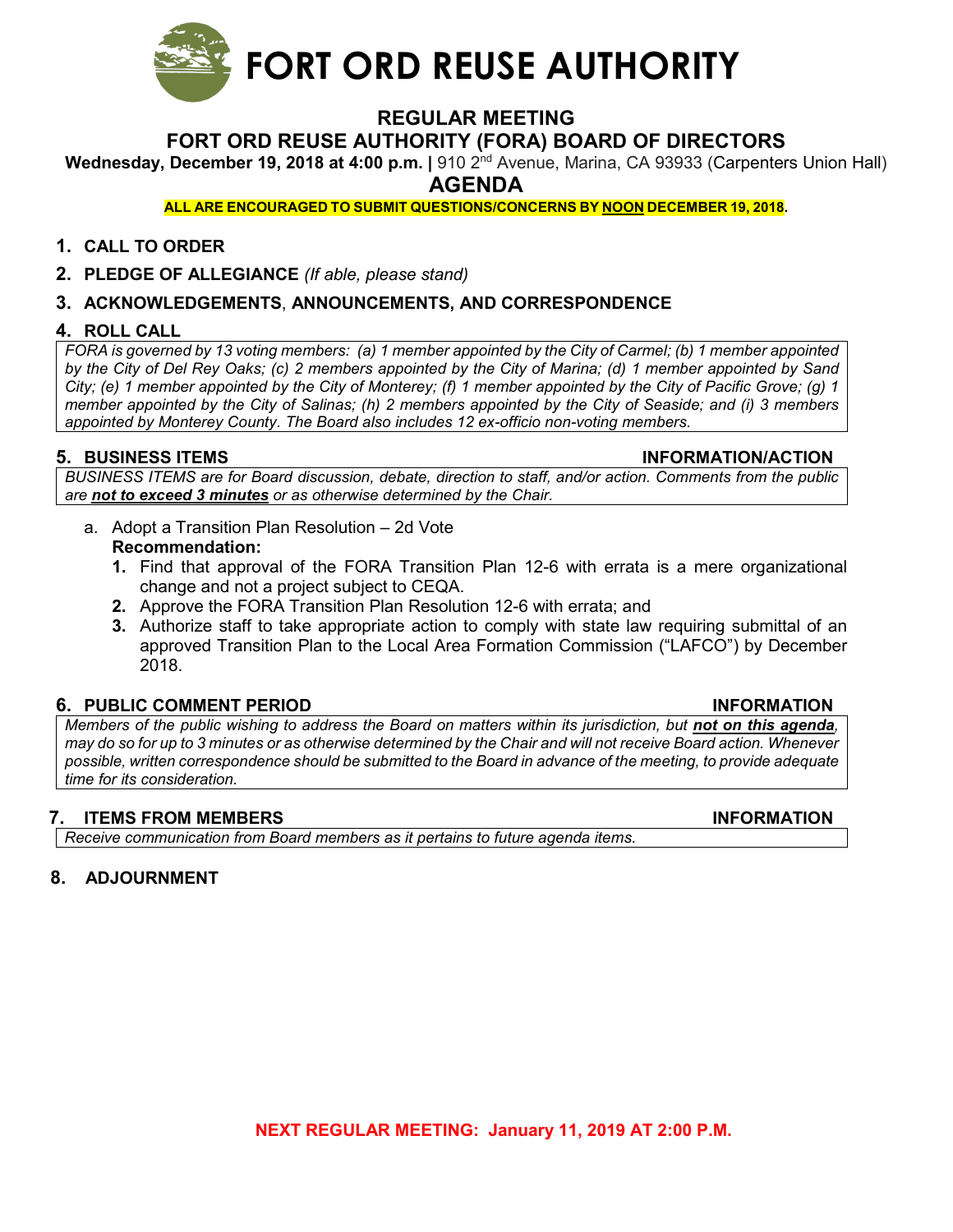

### **REGULAR MEETING**

#### **FORT ORD REUSE AUTHORITY (FORA) BOARD OF DIRECTORS**

**Wednesday, December 19, 2018 at 4:00 p.m.** | 910 2<sup>nd</sup> Avenue, Marina, CA 93933 (Carpenters Union Hall)

**AGENDA**

**ALL ARE ENCOURAGED TO SUBMIT QUESTIONS/CONCERNS BY NOON DECEMBER 19, 2018.** 

#### **1. CALL TO ORDER**

**2. PLEDGE OF ALLEGIANCE** *(If able, please stand)*

#### **3. ACKNOWLEDGEMENTS**, **ANNOUNCEMENTS, AND CORRESPONDENCE**

#### **4. ROLL CALL**

*FORA is governed by 13 voting members: (a) 1 member appointed by the City of Carmel; (b) 1 member appointed by the City of Del Rey Oaks; (c) 2 members appointed by the City of Marina; (d) 1 member appointed by Sand City; (e) 1 member appointed by the City of Monterey; (f) 1 member appointed by the City of Pacific Grove; (g) 1 member appointed by the City of Salinas; (h) 2 members appointed by the City of Seaside; and (i) 3 members appointed by Monterey County. The Board also includes 12 ex-officio non-voting members.*

#### **5. BUSINESS ITEMS INFORMATION/ACTION**

*BUSINESS ITEMS are for Board discussion, debate, direction to staff, and/or action. Comments from the public are not to exceed 3 minutes or as otherwise determined by the Chair.*

- a. Adopt a Transition Plan Resolution 2d Vote **Recommendation:**
	- **1.** Find that approval of the FORA Transition Plan 12-6 with errata is a mere organizational change and not a project subject to CEQA.
	- **2.** Approve the FORA Transition Plan Resolution 12-6 with errata; and
	- **3.** Authorize staff to take appropriate action to comply with state law requiring submittal of an approved Transition Plan to the Local Area Formation Commission ("LAFCO") by December 2018.

#### **6. PUBLIC COMMENT PERIOD INFORMATION**

*Members of the public wishing to address the Board on matters within its jurisdiction, but not on this agenda, may do so for up to 3 minutes or as otherwise determined by the Chair and will not receive Board action. Whenever possible, written correspondence should be submitted to the Board in advance of the meeting, to provide adequate time for its consideration.*

#### **7. ITEMS FROM MEMBERS INFORMATION**

*Receive communication from Board members as it pertains to future agenda items.*

#### **8. ADJOURNMENT**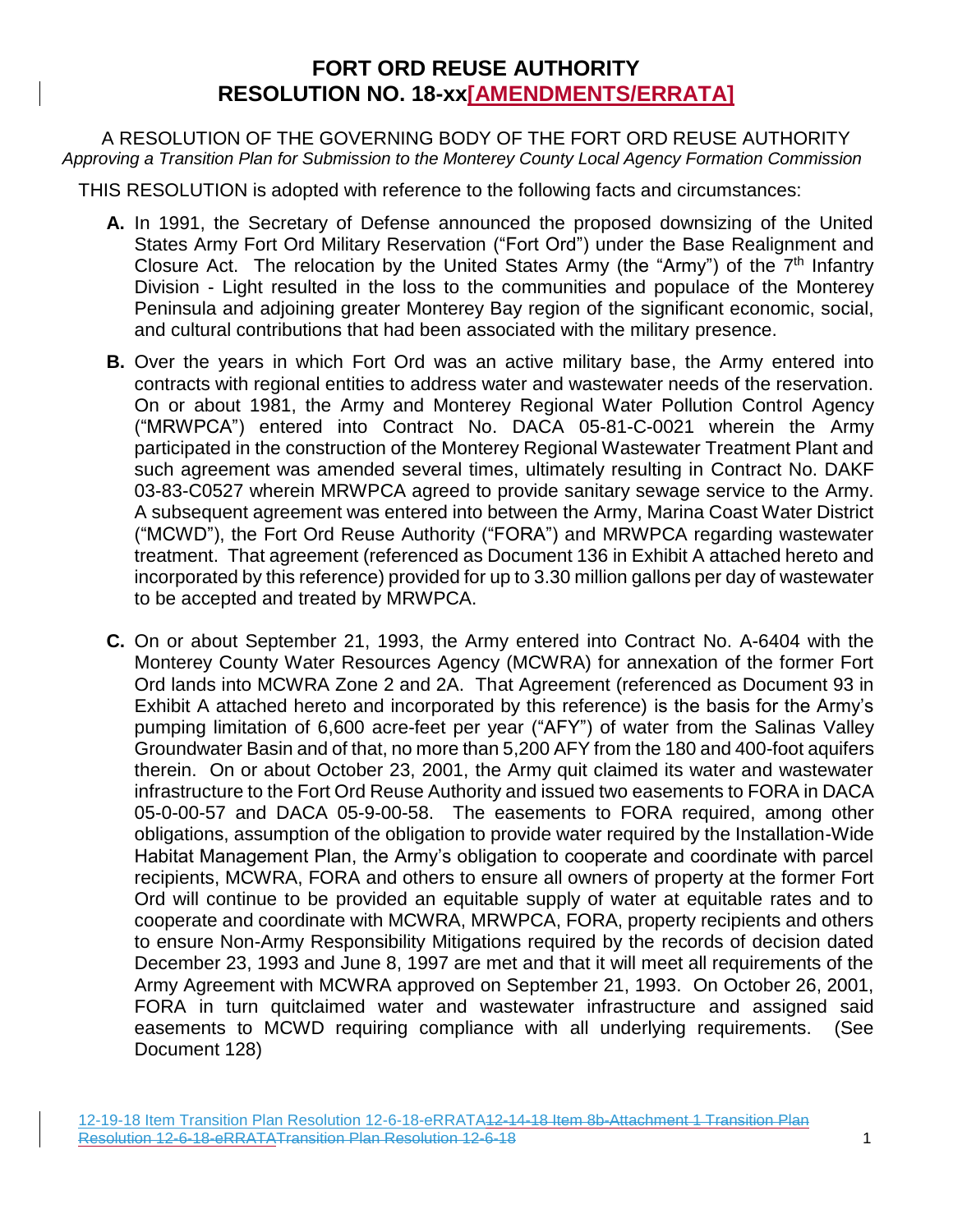# **FORT ORD REUSE AUTHORITY RESOLUTION NO. 18-xx[AMENDMENTS/ERRATA]**

A RESOLUTION OF THE GOVERNING BODY OF THE FORT ORD REUSE AUTHORITY *Approving a Transition Plan for Submission to the Monterey County Local Agency Formation Commission*

THIS RESOLUTION is adopted with reference to the following facts and circumstances:

- **A.** In 1991, the Secretary of Defense announced the proposed downsizing of the United States Army Fort Ord Military Reservation ("Fort Ord") under the Base Realignment and Closure Act. The relocation by the United States Army (the "Army") of the  $7<sup>th</sup>$  Infantry Division - Light resulted in the loss to the communities and populace of the Monterey Peninsula and adjoining greater Monterey Bay region of the significant economic, social, and cultural contributions that had been associated with the military presence.
- **B.** Over the years in which Fort Ord was an active military base, the Army entered into contracts with regional entities to address water and wastewater needs of the reservation. On or about 1981, the Army and Monterey Regional Water Pollution Control Agency ("MRWPCA") entered into Contract No. DACA 05-81-C-0021 wherein the Army participated in the construction of the Monterey Regional Wastewater Treatment Plant and such agreement was amended several times, ultimately resulting in Contract No. DAKF 03-83-C0527 wherein MRWPCA agreed to provide sanitary sewage service to the Army. A subsequent agreement was entered into between the Army, Marina Coast Water District ("MCWD"), the Fort Ord Reuse Authority ("FORA") and MRWPCA regarding wastewater treatment. That agreement (referenced as Document 136 in Exhibit A attached hereto and incorporated by this reference) provided for up to 3.30 million gallons per day of wastewater to be accepted and treated by MRWPCA.
- **C.** On or about September 21, 1993, the Army entered into Contract No. A-6404 with the Monterey County Water Resources Agency (MCWRA) for annexation of the former Fort Ord lands into MCWRA Zone 2 and 2A. That Agreement (referenced as Document 93 in Exhibit A attached hereto and incorporated by this reference) is the basis for the Army's pumping limitation of 6,600 acre-feet per year ("AFY") of water from the Salinas Valley Groundwater Basin and of that, no more than 5,200 AFY from the 180 and 400-foot aquifers therein. On or about October 23, 2001, the Army quit claimed its water and wastewater infrastructure to the Fort Ord Reuse Authority and issued two easements to FORA in DACA 05-0-00-57 and DACA 05-9-00-58. The easements to FORA required, among other obligations, assumption of the obligation to provide water required by the Installation-Wide Habitat Management Plan, the Army's obligation to cooperate and coordinate with parcel recipients, MCWRA, FORA and others to ensure all owners of property at the former Fort Ord will continue to be provided an equitable supply of water at equitable rates and to cooperate and coordinate with MCWRA, MRWPCA, FORA, property recipients and others to ensure Non-Army Responsibility Mitigations required by the records of decision dated December 23, 1993 and June 8, 1997 are met and that it will meet all requirements of the Army Agreement with MCWRA approved on September 21, 1993. On October 26, 2001, FORA in turn quitclaimed water and wastewater infrastructure and assigned said easements to MCWD requiring compliance with all underlying requirements. (See Document 128)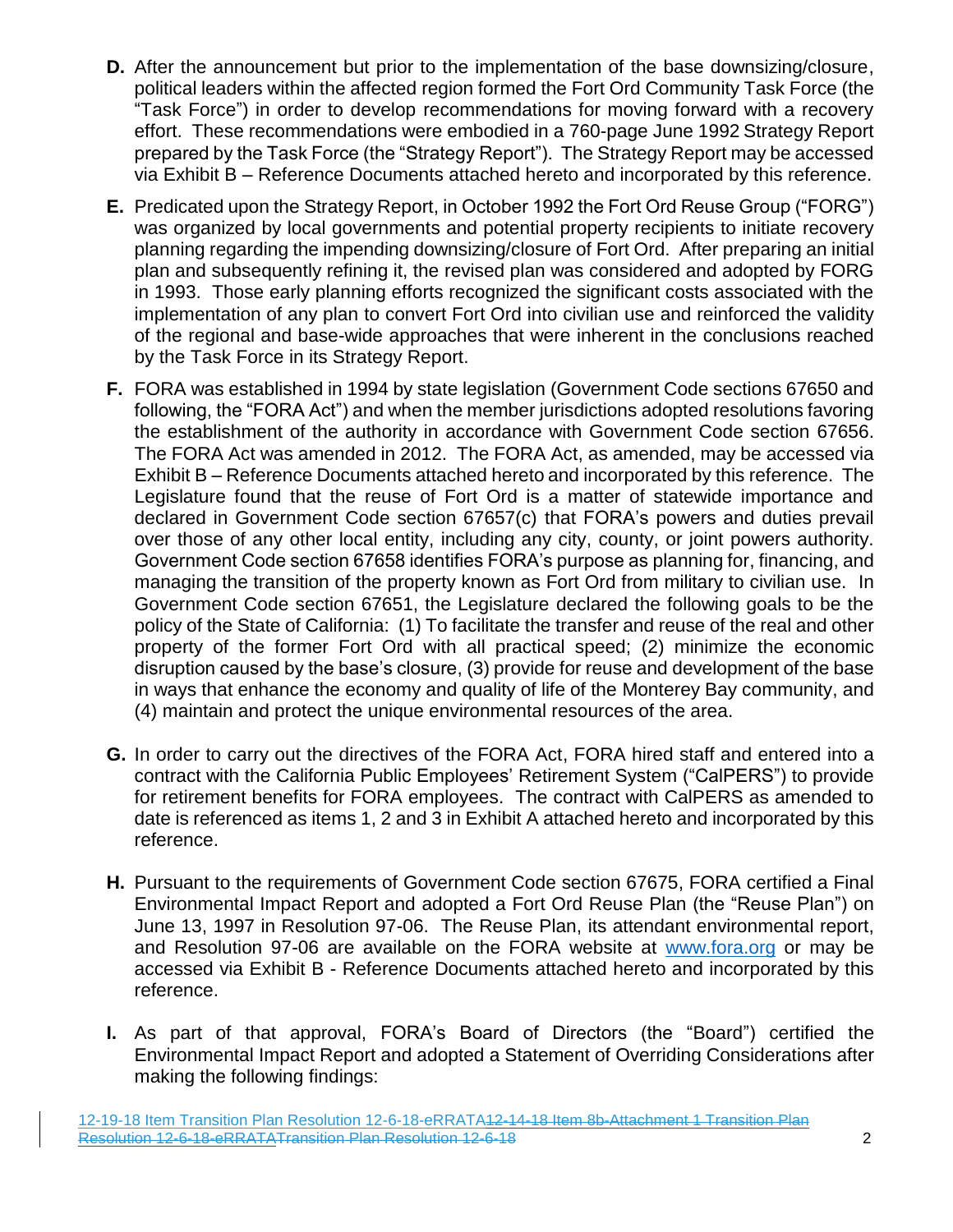- **D.** After the announcement but prior to the implementation of the base downsizing/closure, political leaders within the affected region formed the Fort Ord Community Task Force (the "Task Force") in order to develop recommendations for moving forward with a recovery effort. These recommendations were embodied in a 760-page June 1992 Strategy Report prepared by the Task Force (the "Strategy Report"). The Strategy Report may be accessed via Exhibit B – Reference Documents attached hereto and incorporated by this reference.
- **E.** Predicated upon the Strategy Report, in October 1992 the Fort Ord Reuse Group ("FORG") was organized by local governments and potential property recipients to initiate recovery planning regarding the impending downsizing/closure of Fort Ord. After preparing an initial plan and subsequently refining it, the revised plan was considered and adopted by FORG in 1993. Those early planning efforts recognized the significant costs associated with the implementation of any plan to convert Fort Ord into civilian use and reinforced the validity of the regional and base-wide approaches that were inherent in the conclusions reached by the Task Force in its Strategy Report.
- **F.** FORA was established in 1994 by state legislation (Government Code sections 67650 and following, the "FORA Act") and when the member jurisdictions adopted resolutions favoring the establishment of the authority in accordance with Government Code section 67656. The FORA Act was amended in 2012. The FORA Act, as amended, may be accessed via Exhibit B – Reference Documents attached hereto and incorporated by this reference. The Legislature found that the reuse of Fort Ord is a matter of statewide importance and declared in Government Code section 67657(c) that FORA's powers and duties prevail over those of any other local entity, including any city, county, or joint powers authority. Government Code section 67658 identifies FORA's purpose as planning for, financing, and managing the transition of the property known as Fort Ord from military to civilian use. In Government Code section 67651, the Legislature declared the following goals to be the policy of the State of California: (1) To facilitate the transfer and reuse of the real and other property of the former Fort Ord with all practical speed; (2) minimize the economic disruption caused by the base's closure, (3) provide for reuse and development of the base in ways that enhance the economy and quality of life of the Monterey Bay community, and (4) maintain and protect the unique environmental resources of the area.
- **G.** In order to carry out the directives of the FORA Act, FORA hired staff and entered into a contract with the California Public Employees' Retirement System ("CalPERS") to provide for retirement benefits for FORA employees. The contract with CalPERS as amended to date is referenced as items 1, 2 and 3 in Exhibit A attached hereto and incorporated by this reference.
- **H.** Pursuant to the requirements of Government Code section 67675, FORA certified a Final Environmental Impact Report and adopted a Fort Ord Reuse Plan (the "Reuse Plan") on June 13, 1997 in Resolution 97-06. The Reuse Plan, its attendant environmental report, and Resolution 97-06 are available on the FORA website at [www.fora.org](file://///DOMSVR01/Shared/Board%20Packets/2018/10-29-18%20Special%20Meeting/www.fora.org) or may be accessed via Exhibit B - Reference Documents attached hereto and incorporated by this reference.
- **I.** As part of that approval, FORA's Board of Directors (the "Board") certified the Environmental Impact Report and adopted a Statement of Overriding Considerations after making the following findings: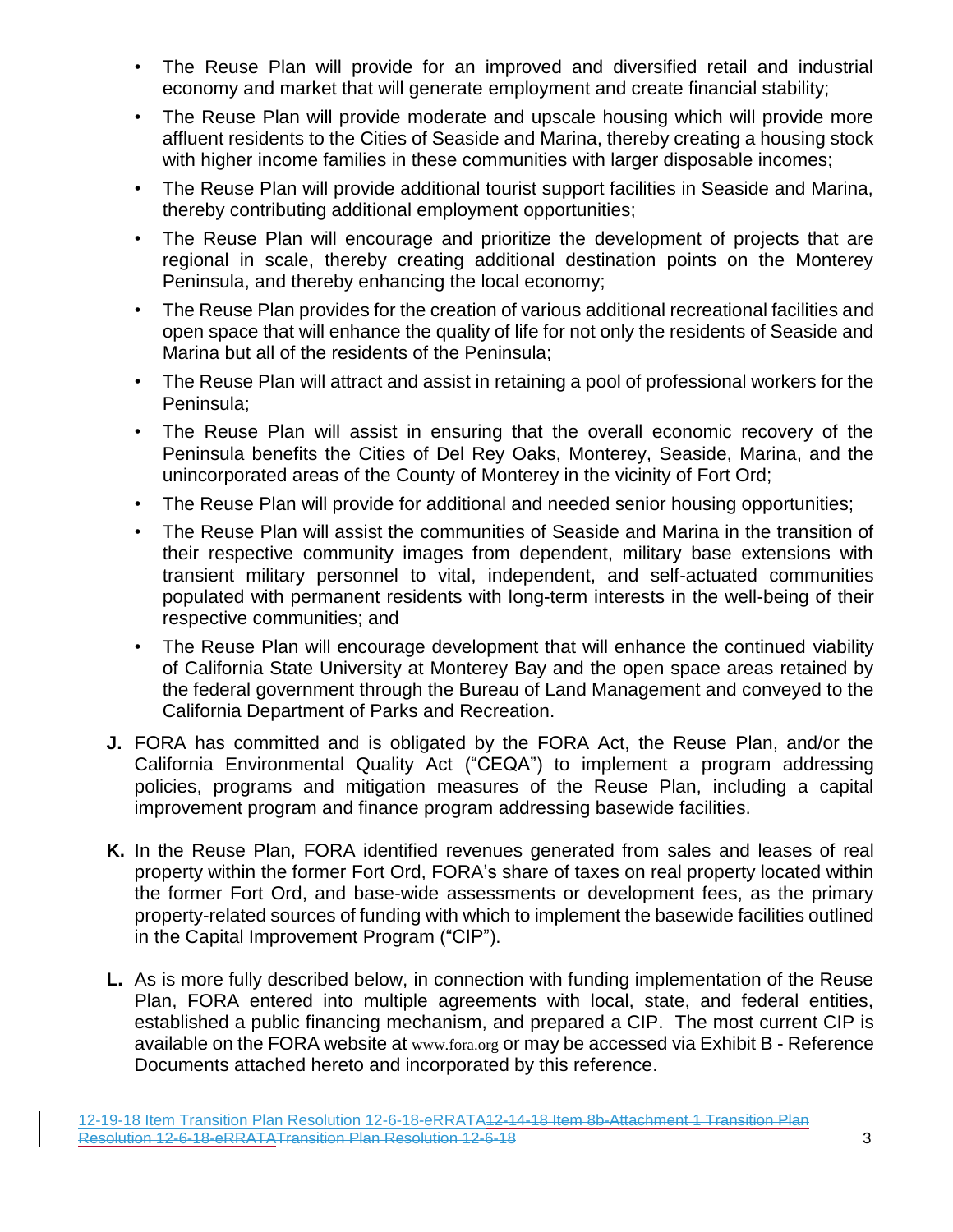- The Reuse Plan will provide for an improved and diversified retail and industrial economy and market that will generate employment and create financial stability;
- The Reuse Plan will provide moderate and upscale housing which will provide more affluent residents to the Cities of Seaside and Marina, thereby creating a housing stock with higher income families in these communities with larger disposable incomes;
- The Reuse Plan will provide additional tourist support facilities in Seaside and Marina, thereby contributing additional employment opportunities;
- The Reuse Plan will encourage and prioritize the development of projects that are regional in scale, thereby creating additional destination points on the Monterey Peninsula, and thereby enhancing the local economy;
- The Reuse Plan provides for the creation of various additional recreational facilities and open space that will enhance the quality of life for not only the residents of Seaside and Marina but all of the residents of the Peninsula;
- The Reuse Plan will attract and assist in retaining a pool of professional workers for the Peninsula;
- The Reuse Plan will assist in ensuring that the overall economic recovery of the Peninsula benefits the Cities of Del Rey Oaks, Monterey, Seaside, Marina, and the unincorporated areas of the County of Monterey in the vicinity of Fort Ord;
- The Reuse Plan will provide for additional and needed senior housing opportunities;
- The Reuse Plan will assist the communities of Seaside and Marina in the transition of their respective community images from dependent, military base extensions with transient military personnel to vital, independent, and self-actuated communities populated with permanent residents with long-term interests in the well-being of their respective communities; and
- The Reuse Plan will encourage development that will enhance the continued viability of California State University at Monterey Bay and the open space areas retained by the federal government through the Bureau of Land Management and conveyed to the California Department of Parks and Recreation.
- **J.** FORA has committed and is obligated by the FORA Act, the Reuse Plan, and/or the California Environmental Quality Act ("CEQA") to implement a program addressing policies, programs and mitigation measures of the Reuse Plan, including a capital improvement program and finance program addressing basewide facilities.
- **K.** In the Reuse Plan, FORA identified revenues generated from sales and leases of real property within the former Fort Ord, FORA's share of taxes on real property located within the former Fort Ord, and base-wide assessments or development fees, as the primary property-related sources of funding with which to implement the basewide facilities outlined in the Capital Improvement Program ("CIP").
- **L.** As is more fully described below, in connection with funding implementation of the Reuse Plan, FORA entered into multiple agreements with local, state, and federal entities, established a public financing mechanism, and prepared a CIP. The most current CIP is available on the FORA website at [www.fora.org](file://///DOMSVR01/Shared/Board%20Packets/2018/10-29-18%20Special%20Meeting/www.fora.org) or may be accessed via Exhibit B - Reference Documents attached hereto and incorporated by this reference.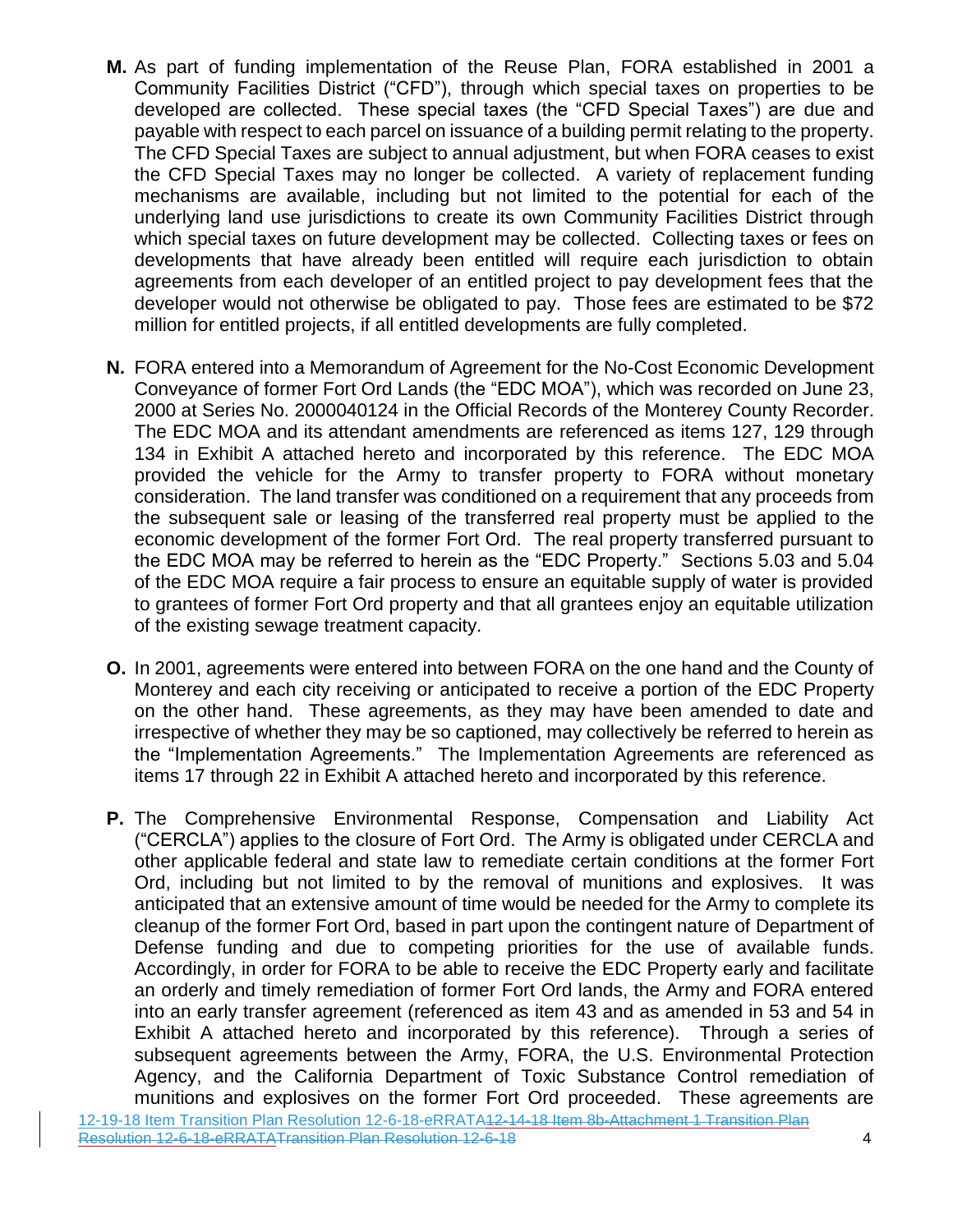- **M.** As part of funding implementation of the Reuse Plan, FORA established in 2001 a Community Facilities District ("CFD"), through which special taxes on properties to be developed are collected. These special taxes (the "CFD Special Taxes") are due and payable with respect to each parcel on issuance of a building permit relating to the property. The CFD Special Taxes are subject to annual adjustment, but when FORA ceases to exist the CFD Special Taxes may no longer be collected. A variety of replacement funding mechanisms are available, including but not limited to the potential for each of the underlying land use jurisdictions to create its own Community Facilities District through which special taxes on future development may be collected. Collecting taxes or fees on developments that have already been entitled will require each jurisdiction to obtain agreements from each developer of an entitled project to pay development fees that the developer would not otherwise be obligated to pay. Those fees are estimated to be \$72 million for entitled projects, if all entitled developments are fully completed.
- **N.** FORA entered into a Memorandum of Agreement for the No-Cost Economic Development Conveyance of former Fort Ord Lands (the "EDC MOA"), which was recorded on June 23, 2000 at Series No. 2000040124 in the Official Records of the Monterey County Recorder. The EDC MOA and its attendant amendments are referenced as items 127, 129 through 134 in Exhibit A attached hereto and incorporated by this reference. The EDC MOA provided the vehicle for the Army to transfer property to FORA without monetary consideration. The land transfer was conditioned on a requirement that any proceeds from the subsequent sale or leasing of the transferred real property must be applied to the economic development of the former Fort Ord. The real property transferred pursuant to the EDC MOA may be referred to herein as the "EDC Property." Sections 5.03 and 5.04 of the EDC MOA require a fair process to ensure an equitable supply of water is provided to grantees of former Fort Ord property and that all grantees enjoy an equitable utilization of the existing sewage treatment capacity.
- **O.** In 2001, agreements were entered into between FORA on the one hand and the County of Monterey and each city receiving or anticipated to receive a portion of the EDC Property on the other hand. These agreements, as they may have been amended to date and irrespective of whether they may be so captioned, may collectively be referred to herein as the "Implementation Agreements." The Implementation Agreements are referenced as items 17 through 22 in Exhibit A attached hereto and incorporated by this reference.
- **P.** The Comprehensive Environmental Response, Compensation and Liability Act ("CERCLA") applies to the closure of Fort Ord. The Army is obligated under CERCLA and other applicable federal and state law to remediate certain conditions at the former Fort Ord, including but not limited to by the removal of munitions and explosives. It was anticipated that an extensive amount of time would be needed for the Army to complete its cleanup of the former Fort Ord, based in part upon the contingent nature of Department of Defense funding and due to competing priorities for the use of available funds. Accordingly, in order for FORA to be able to receive the EDC Property early and facilitate an orderly and timely remediation of former Fort Ord lands, the Army and FORA entered into an early transfer agreement (referenced as item 43 and as amended in 53 and 54 in Exhibit A attached hereto and incorporated by this reference). Through a series of subsequent agreements between the Army, FORA, the U.S. Environmental Protection Agency, and the California Department of Toxic Substance Control remediation of munitions and explosives on the former Fort Ord proceeded. These agreements are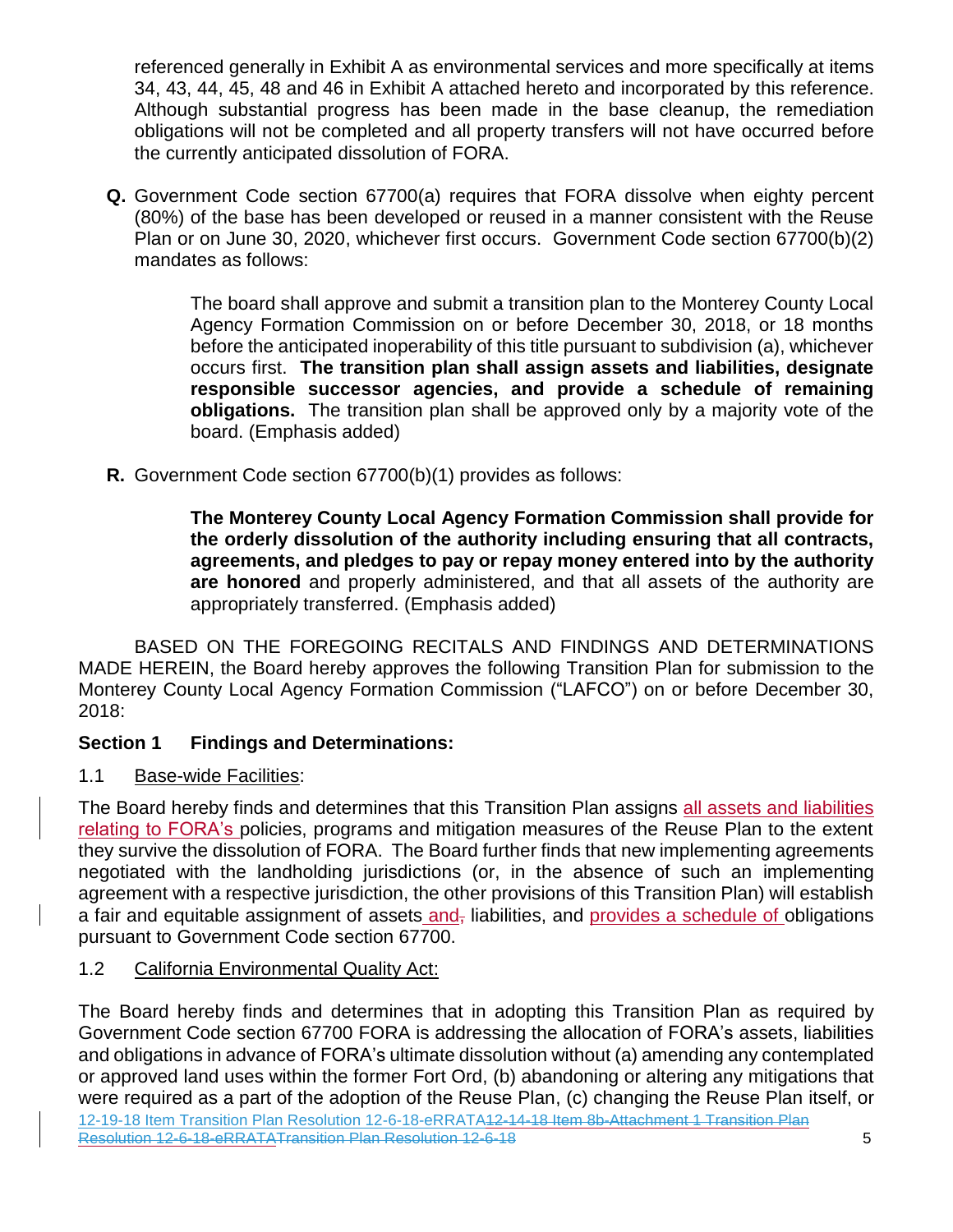referenced generally in Exhibit A as environmental services and more specifically at items 34, 43, 44, 45, 48 and 46 in Exhibit A attached hereto and incorporated by this reference. Although substantial progress has been made in the base cleanup, the remediation obligations will not be completed and all property transfers will not have occurred before the currently anticipated dissolution of FORA.

**Q.** Government Code section 67700(a) requires that FORA dissolve when eighty percent (80%) of the base has been developed or reused in a manner consistent with the Reuse Plan or on June 30, 2020, whichever first occurs. Government Code section 67700(b)(2) mandates as follows:

> The board shall approve and submit a transition plan to the Monterey County Local Agency Formation Commission on or before December 30, 2018, or 18 months before the anticipated inoperability of this title pursuant to subdivision (a), whichever occurs first. **The transition plan shall assign assets and liabilities, designate responsible successor agencies, and provide a schedule of remaining obligations.** The transition plan shall be approved only by a majority vote of the board. (Emphasis added)

**R.** Government Code section 67700(b)(1) provides as follows:

**The Monterey County Local Agency Formation Commission shall provide for the orderly dissolution of the authority including ensuring that all contracts, agreements, and pledges to pay or repay money entered into by the authority are honored** and properly administered, and that all assets of the authority are appropriately transferred. (Emphasis added)

BASED ON THE FOREGOING RECITALS AND FINDINGS AND DETERMINATIONS MADE HEREIN, the Board hereby approves the following Transition Plan for submission to the Monterey County Local Agency Formation Commission ("LAFCO") on or before December 30, 2018:

## **Section 1 Findings and Determinations:**

1.1 Base-wide Facilities:

The Board hereby finds and determines that this Transition Plan assigns all assets and liabilities relating to FORA's policies, programs and mitigation measures of the Reuse Plan to the extent they survive the dissolution of FORA. The Board further finds that new implementing agreements negotiated with the landholding jurisdictions (or, in the absence of such an implementing agreement with a respective jurisdiction, the other provisions of this Transition Plan) will establish a fair and equitable assignment of assets and, liabilities, and provides a schedule of obligations pursuant to Government Code section 67700.

# 1.2 California Environmental Quality Act:

12-19-18 Item Transition Plan Resolution 12-6-18-eRRATA12-14-18 Item 8b-Attachment 1 Transition Plan Resolution 12-6-18-eRRATATransition Plan Resolution 12-6-18 **5** The Board hereby finds and determines that in adopting this Transition Plan as required by Government Code section 67700 FORA is addressing the allocation of FORA's assets, liabilities and obligations in advance of FORA's ultimate dissolution without (a) amending any contemplated or approved land uses within the former Fort Ord, (b) abandoning or altering any mitigations that were required as a part of the adoption of the Reuse Plan, (c) changing the Reuse Plan itself, or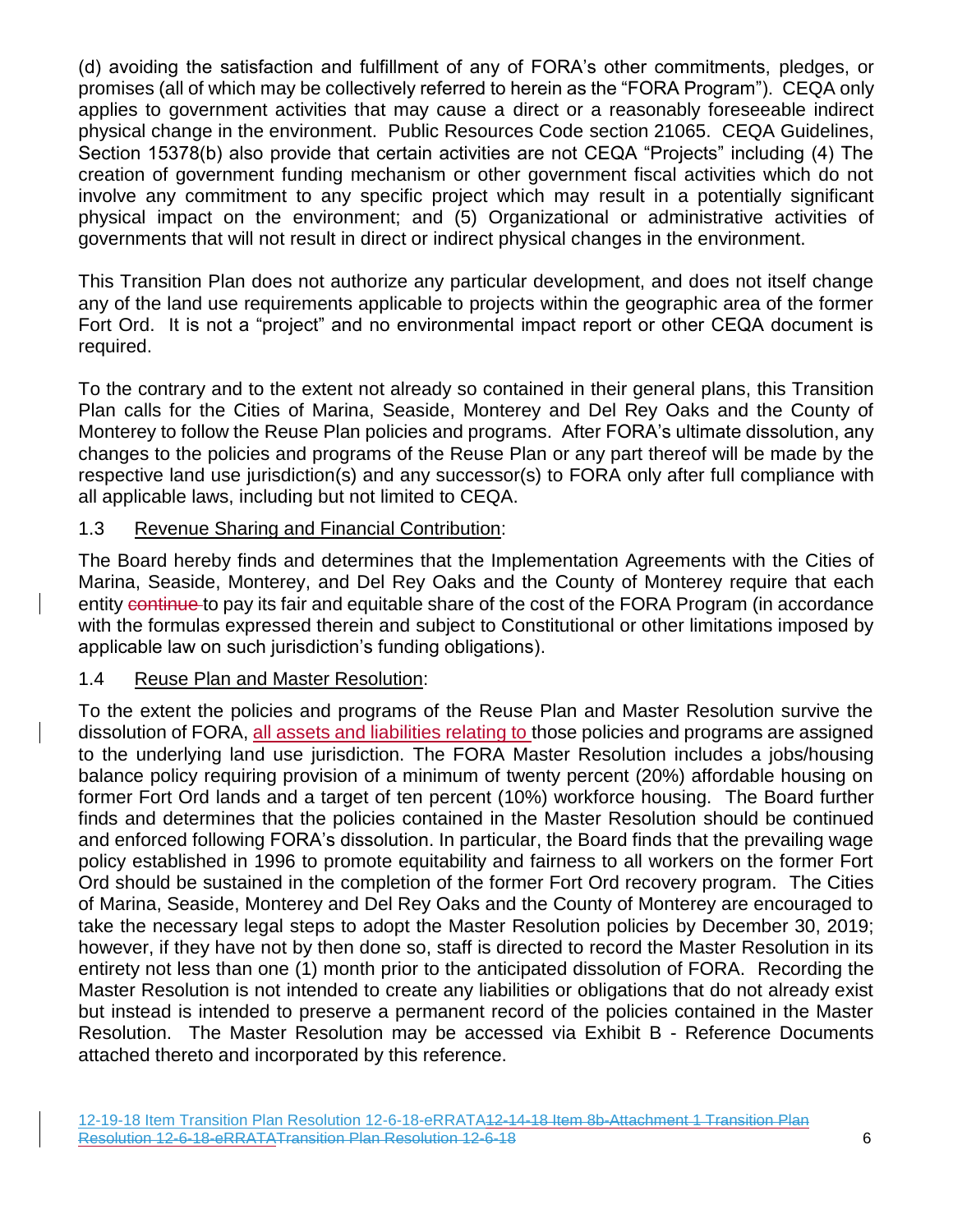(d) avoiding the satisfaction and fulfillment of any of FORA's other commitments, pledges, or promises (all of which may be collectively referred to herein as the "FORA Program"). CEQA only applies to government activities that may cause a direct or a reasonably foreseeable indirect physical change in the environment. Public Resources Code section 21065. CEQA Guidelines, Section 15378(b) also provide that certain activities are not CEQA "Projects" including (4) The creation of government funding mechanism or other government fiscal activities which do not involve any commitment to any specific project which may result in a potentially significant physical impact on the environment; and (5) Organizational or administrative activities of governments that will not result in direct or indirect physical changes in the environment.

This Transition Plan does not authorize any particular development, and does not itself change any of the land use requirements applicable to projects within the geographic area of the former Fort Ord. It is not a "project" and no environmental impact report or other CEQA document is required.

To the contrary and to the extent not already so contained in their general plans, this Transition Plan calls for the Cities of Marina, Seaside, Monterey and Del Rey Oaks and the County of Monterey to follow the Reuse Plan policies and programs. After FORA's ultimate dissolution, any changes to the policies and programs of the Reuse Plan or any part thereof will be made by the respective land use jurisdiction(s) and any successor(s) to FORA only after full compliance with all applicable laws, including but not limited to CEQA.

### 1.3 Revenue Sharing and Financial Contribution:

The Board hereby finds and determines that the Implementation Agreements with the Cities of Marina, Seaside, Monterey, and Del Rey Oaks and the County of Monterey require that each entity continue to pay its fair and equitable share of the cost of the FORA Program (in accordance with the formulas expressed therein and subject to Constitutional or other limitations imposed by applicable law on such jurisdiction's funding obligations).

#### 1.4 Reuse Plan and Master Resolution:

To the extent the policies and programs of the Reuse Plan and Master Resolution survive the dissolution of FORA, all assets and liabilities relating to those policies and programs are assigned to the underlying land use jurisdiction. The FORA Master Resolution includes a jobs/housing balance policy requiring provision of a minimum of twenty percent (20%) affordable housing on former Fort Ord lands and a target of ten percent (10%) workforce housing. The Board further finds and determines that the policies contained in the Master Resolution should be continued and enforced following FORA's dissolution. In particular, the Board finds that the prevailing wage policy established in 1996 to promote equitability and fairness to all workers on the former Fort Ord should be sustained in the completion of the former Fort Ord recovery program. The Cities of Marina, Seaside, Monterey and Del Rey Oaks and the County of Monterey are encouraged to take the necessary legal steps to adopt the Master Resolution policies by December 30, 2019; however, if they have not by then done so, staff is directed to record the Master Resolution in its entirety not less than one (1) month prior to the anticipated dissolution of FORA. Recording the Master Resolution is not intended to create any liabilities or obligations that do not already exist but instead is intended to preserve a permanent record of the policies contained in the Master Resolution. The Master Resolution may be accessed via Exhibit B - Reference Documents attached thereto and incorporated by this reference.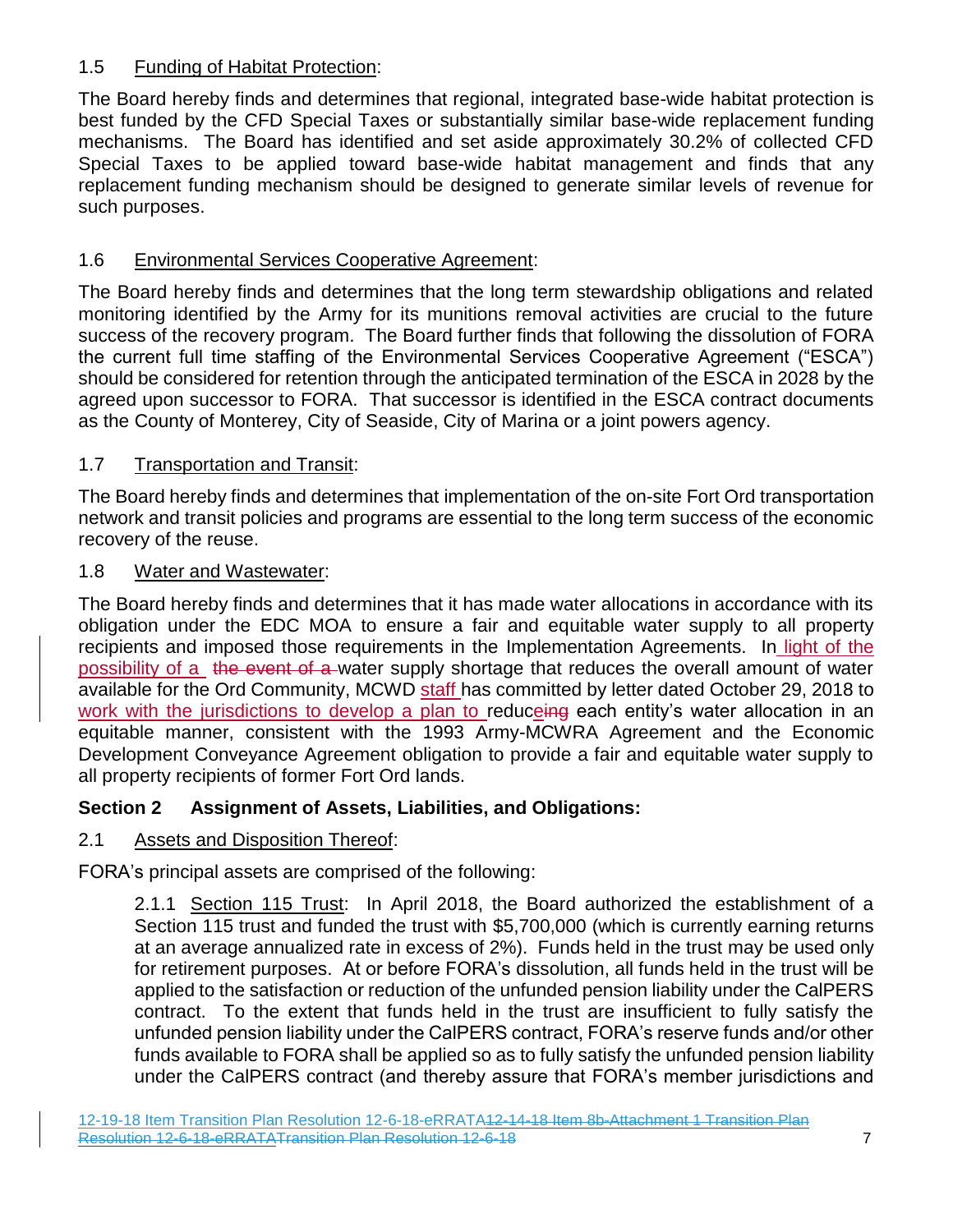### 1.5 Funding of Habitat Protection:

The Board hereby finds and determines that regional, integrated base-wide habitat protection is best funded by the CFD Special Taxes or substantially similar base-wide replacement funding mechanisms. The Board has identified and set aside approximately 30.2% of collected CFD Special Taxes to be applied toward base-wide habitat management and finds that any replacement funding mechanism should be designed to generate similar levels of revenue for such purposes.

# 1.6 Environmental Services Cooperative Agreement:

The Board hereby finds and determines that the long term stewardship obligations and related monitoring identified by the Army for its munitions removal activities are crucial to the future success of the recovery program. The Board further finds that following the dissolution of FORA the current full time staffing of the Environmental Services Cooperative Agreement ("ESCA") should be considered for retention through the anticipated termination of the ESCA in 2028 by the agreed upon successor to FORA. That successor is identified in the ESCA contract documents as the County of Monterey, City of Seaside, City of Marina or a joint powers agency.

# 1.7 Transportation and Transit:

The Board hereby finds and determines that implementation of the on-site Fort Ord transportation network and transit policies and programs are essential to the long term success of the economic recovery of the reuse.

## 1.8 Water and Wastewater:

The Board hereby finds and determines that it has made water allocations in accordance with its obligation under the EDC MOA to ensure a fair and equitable water supply to all property recipients and imposed those requirements in the Implementation Agreements. In light of the possibility of a the event of a water supply shortage that reduces the overall amount of water available for the Ord Community, MCWD staff has committed by letter dated October 29, 2018 to work with the jurisdictions to develop a plan to reduceing each entity's water allocation in an equitable manner, consistent with the 1993 Army-MCWRA Agreement and the Economic Development Conveyance Agreement obligation to provide a fair and equitable water supply to all property recipients of former Fort Ord lands.

## **Section 2 Assignment of Assets, Liabilities, and Obligations:**

## 2.1 Assets and Disposition Thereof:

FORA's principal assets are comprised of the following:

2.1.1 Section 115 Trust: In April 2018, the Board authorized the establishment of a Section 115 trust and funded the trust with \$5,700,000 (which is currently earning returns at an average annualized rate in excess of 2%). Funds held in the trust may be used only for retirement purposes. At or before FORA's dissolution, all funds held in the trust will be applied to the satisfaction or reduction of the unfunded pension liability under the CalPERS contract. To the extent that funds held in the trust are insufficient to fully satisfy the unfunded pension liability under the CalPERS contract, FORA's reserve funds and/or other funds available to FORA shall be applied so as to fully satisfy the unfunded pension liability under the CalPERS contract (and thereby assure that FORA's member jurisdictions and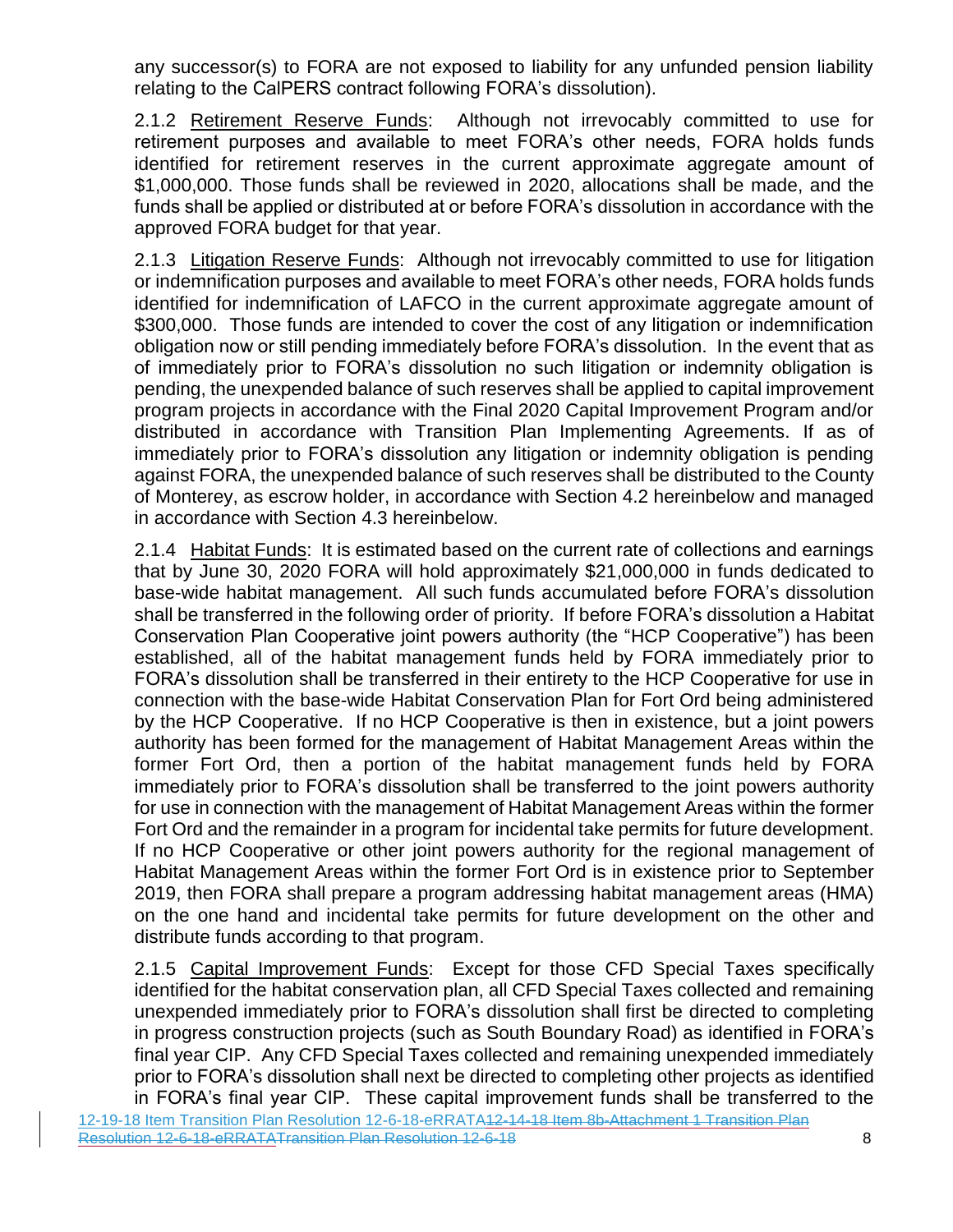any successor(s) to FORA are not exposed to liability for any unfunded pension liability relating to the CalPERS contract following FORA's dissolution).

2.1.2 Retirement Reserve Funds: Although not irrevocably committed to use for retirement purposes and available to meet FORA's other needs, FORA holds funds identified for retirement reserves in the current approximate aggregate amount of \$1,000,000. Those funds shall be reviewed in 2020, allocations shall be made, and the funds shall be applied or distributed at or before FORA's dissolution in accordance with the approved FORA budget for that year.

2.1.3 Litigation Reserve Funds: Although not irrevocably committed to use for litigation or indemnification purposes and available to meet FORA's other needs, FORA holds funds identified for indemnification of LAFCO in the current approximate aggregate amount of \$300,000. Those funds are intended to cover the cost of any litigation or indemnification obligation now or still pending immediately before FORA's dissolution. In the event that as of immediately prior to FORA's dissolution no such litigation or indemnity obligation is pending, the unexpended balance of such reserves shall be applied to capital improvement program projects in accordance with the Final 2020 Capital Improvement Program and/or distributed in accordance with Transition Plan Implementing Agreements. If as of immediately prior to FORA's dissolution any litigation or indemnity obligation is pending against FORA, the unexpended balance of such reserves shall be distributed to the County of Monterey, as escrow holder, in accordance with Section 4.2 hereinbelow and managed in accordance with Section 4.3 hereinbelow.

2.1.4 Habitat Funds: It is estimated based on the current rate of collections and earnings that by June 30, 2020 FORA will hold approximately \$21,000,000 in funds dedicated to base-wide habitat management. All such funds accumulated before FORA's dissolution shall be transferred in the following order of priority. If before FORA's dissolution a Habitat Conservation Plan Cooperative joint powers authority (the "HCP Cooperative") has been established, all of the habitat management funds held by FORA immediately prior to FORA's dissolution shall be transferred in their entirety to the HCP Cooperative for use in connection with the base-wide Habitat Conservation Plan for Fort Ord being administered by the HCP Cooperative. If no HCP Cooperative is then in existence, but a joint powers authority has been formed for the management of Habitat Management Areas within the former Fort Ord, then a portion of the habitat management funds held by FORA immediately prior to FORA's dissolution shall be transferred to the joint powers authority for use in connection with the management of Habitat Management Areas within the former Fort Ord and the remainder in a program for incidental take permits for future development. If no HCP Cooperative or other joint powers authority for the regional management of Habitat Management Areas within the former Fort Ord is in existence prior to September 2019, then FORA shall prepare a program addressing habitat management areas (HMA) on the one hand and incidental take permits for future development on the other and distribute funds according to that program.

2.1.5 Capital Improvement Funds: Except for those CFD Special Taxes specifically identified for the habitat conservation plan, all CFD Special Taxes collected and remaining unexpended immediately prior to FORA's dissolution shall first be directed to completing in progress construction projects (such as South Boundary Road) as identified in FORA's final year CIP. Any CFD Special Taxes collected and remaining unexpended immediately prior to FORA's dissolution shall next be directed to completing other projects as identified in FORA's final year CIP. These capital improvement funds shall be transferred to the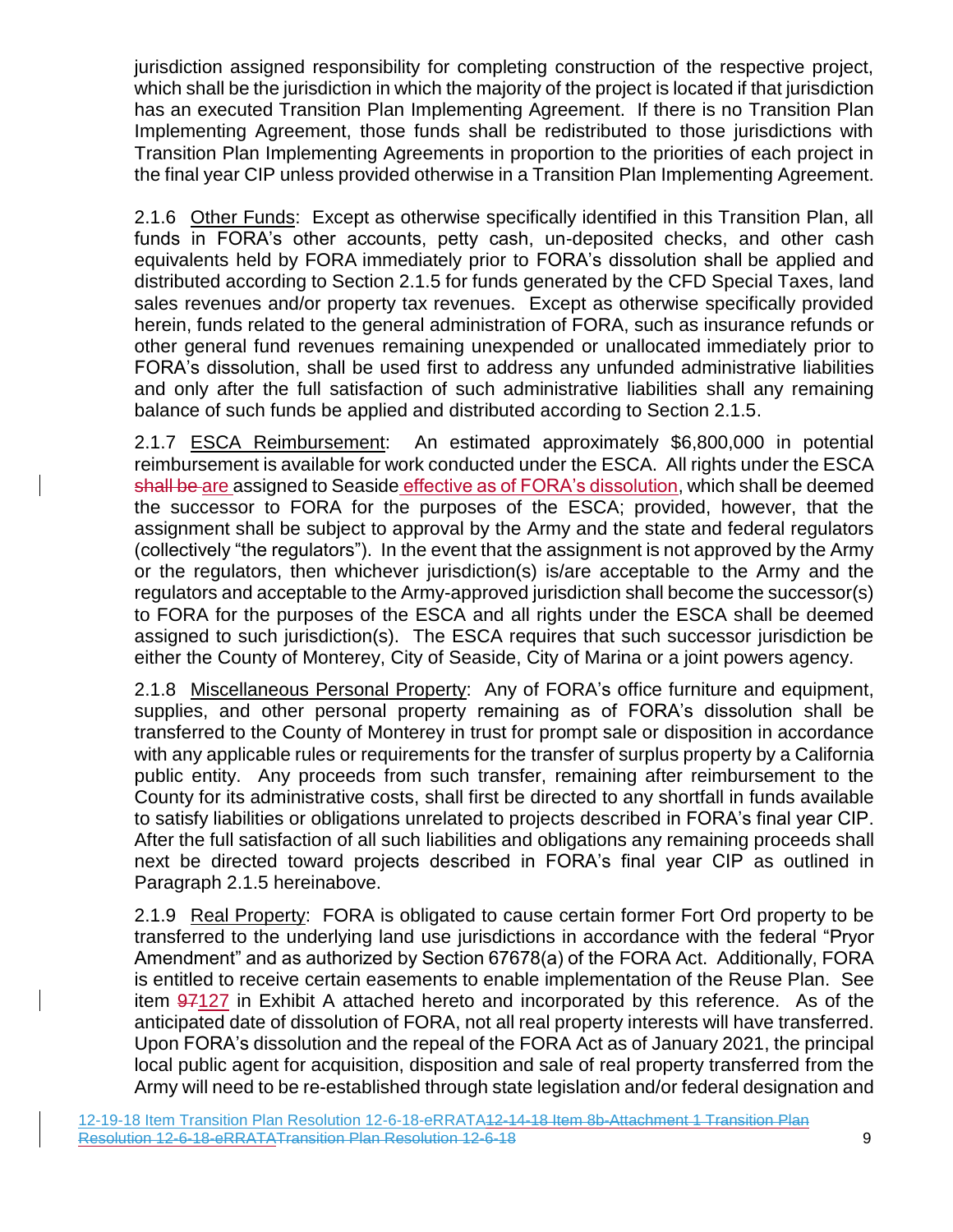jurisdiction assigned responsibility for completing construction of the respective project, which shall be the jurisdiction in which the majority of the project is located if that jurisdiction has an executed Transition Plan Implementing Agreement. If there is no Transition Plan Implementing Agreement, those funds shall be redistributed to those jurisdictions with Transition Plan Implementing Agreements in proportion to the priorities of each project in the final year CIP unless provided otherwise in a Transition Plan Implementing Agreement.

2.1.6 Other Funds: Except as otherwise specifically identified in this Transition Plan, all funds in FORA's other accounts, petty cash, un-deposited checks, and other cash equivalents held by FORA immediately prior to FORA's dissolution shall be applied and distributed according to Section 2.1.5 for funds generated by the CFD Special Taxes, land sales revenues and/or property tax revenues. Except as otherwise specifically provided herein, funds related to the general administration of FORA, such as insurance refunds or other general fund revenues remaining unexpended or unallocated immediately prior to FORA's dissolution, shall be used first to address any unfunded administrative liabilities and only after the full satisfaction of such administrative liabilities shall any remaining balance of such funds be applied and distributed according to Section 2.1.5.

2.1.7 ESCA Reimbursement: An estimated approximately \$6,800,000 in potential reimbursement is available for work conducted under the ESCA. All rights under the ESCA shall be are assigned to Seaside effective as of FORA's dissolution, which shall be deemed the successor to FORA for the purposes of the ESCA; provided, however, that the assignment shall be subject to approval by the Army and the state and federal regulators (collectively "the regulators"). In the event that the assignment is not approved by the Army or the regulators, then whichever jurisdiction(s) is/are acceptable to the Army and the regulators and acceptable to the Army-approved jurisdiction shall become the successor(s) to FORA for the purposes of the ESCA and all rights under the ESCA shall be deemed assigned to such jurisdiction(s). The ESCA requires that such successor jurisdiction be either the County of Monterey, City of Seaside, City of Marina or a joint powers agency.

2.1.8 Miscellaneous Personal Property: Any of FORA's office furniture and equipment, supplies, and other personal property remaining as of FORA's dissolution shall be transferred to the County of Monterey in trust for prompt sale or disposition in accordance with any applicable rules or requirements for the transfer of surplus property by a California public entity. Any proceeds from such transfer, remaining after reimbursement to the County for its administrative costs, shall first be directed to any shortfall in funds available to satisfy liabilities or obligations unrelated to projects described in FORA's final year CIP. After the full satisfaction of all such liabilities and obligations any remaining proceeds shall next be directed toward projects described in FORA's final year CIP as outlined in Paragraph 2.1.5 hereinabove.

2.1.9 Real Property: FORA is obligated to cause certain former Fort Ord property to be transferred to the underlying land use jurisdictions in accordance with the federal "Pryor Amendment" and as authorized by Section 67678(a) of the FORA Act. Additionally, FORA is entitled to receive certain easements to enable implementation of the Reuse Plan. See item 97127 in Exhibit A attached hereto and incorporated by this reference. As of the anticipated date of dissolution of FORA, not all real property interests will have transferred. Upon FORA's dissolution and the repeal of the FORA Act as of January 2021, the principal local public agent for acquisition, disposition and sale of real property transferred from the Army will need to be re-established through state legislation and/or federal designation and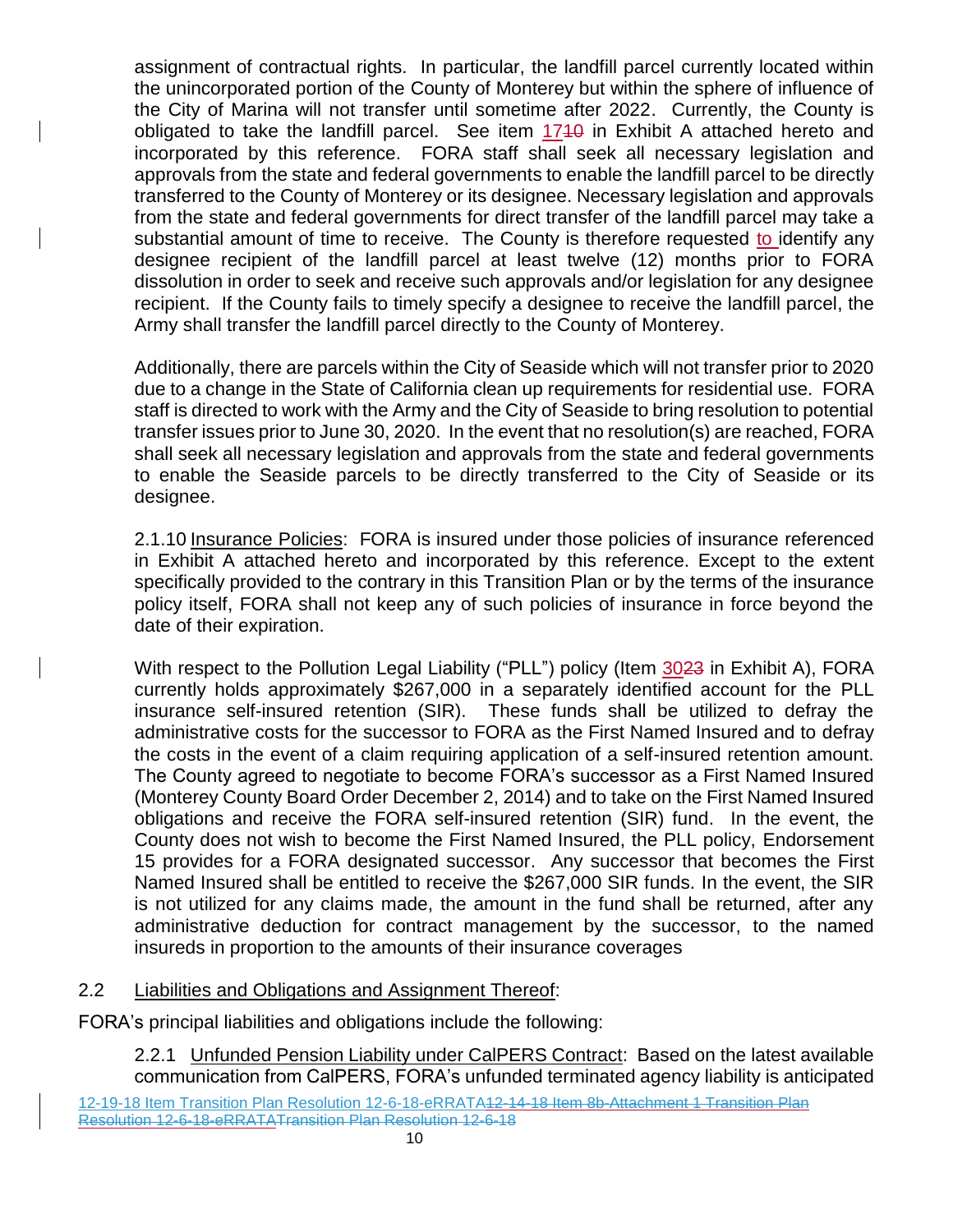assignment of contractual rights. In particular, the landfill parcel currently located within the unincorporated portion of the County of Monterey but within the sphere of influence of the City of Marina will not transfer until sometime after 2022. Currently, the County is obligated to take the landfill parcel. See item 1710 in Exhibit A attached hereto and incorporated by this reference. FORA staff shall seek all necessary legislation and approvals from the state and federal governments to enable the landfill parcel to be directly transferred to the County of Monterey or its designee. Necessary legislation and approvals from the state and federal governments for direct transfer of the landfill parcel may take a substantial amount of time to receive. The County is therefore requested to identify any designee recipient of the landfill parcel at least twelve (12) months prior to FORA dissolution in order to seek and receive such approvals and/or legislation for any designee recipient. If the County fails to timely specify a designee to receive the landfill parcel, the Army shall transfer the landfill parcel directly to the County of Monterey.

Additionally, there are parcels within the City of Seaside which will not transfer prior to 2020 due to a change in the State of California clean up requirements for residential use. FORA staff is directed to work with the Army and the City of Seaside to bring resolution to potential transfer issues prior to June 30, 2020. In the event that no resolution(s) are reached, FORA shall seek all necessary legislation and approvals from the state and federal governments to enable the Seaside parcels to be directly transferred to the City of Seaside or its designee.

2.1.10 Insurance Policies: FORA is insured under those policies of insurance referenced in Exhibit A attached hereto and incorporated by this reference. Except to the extent specifically provided to the contrary in this Transition Plan or by the terms of the insurance policy itself, FORA shall not keep any of such policies of insurance in force beyond the date of their expiration.

With respect to the Pollution Legal Liability ("PLL") policy (Item 3023 in Exhibit A), FORA currently holds approximately \$267,000 in a separately identified account for the PLL insurance self-insured retention (SIR). These funds shall be utilized to defray the administrative costs for the successor to FORA as the First Named Insured and to defray the costs in the event of a claim requiring application of a self-insured retention amount. The County agreed to negotiate to become FORA's successor as a First Named Insured (Monterey County Board Order December 2, 2014) and to take on the First Named Insured obligations and receive the FORA self-insured retention (SIR) fund. In the event, the County does not wish to become the First Named Insured, the PLL policy, Endorsement 15 provides for a FORA designated successor. Any successor that becomes the First Named Insured shall be entitled to receive the \$267,000 SIR funds. In the event, the SIR is not utilized for any claims made, the amount in the fund shall be returned, after any administrative deduction for contract management by the successor, to the named insureds in proportion to the amounts of their insurance coverages

#### 2.2 Liabilities and Obligations and Assignment Thereof:

FORA's principal liabilities and obligations include the following:

2.2.1 Unfunded Pension Liability under CalPERS Contract: Based on the latest available communication from CalPERS, FORA's unfunded terminated agency liability is anticipated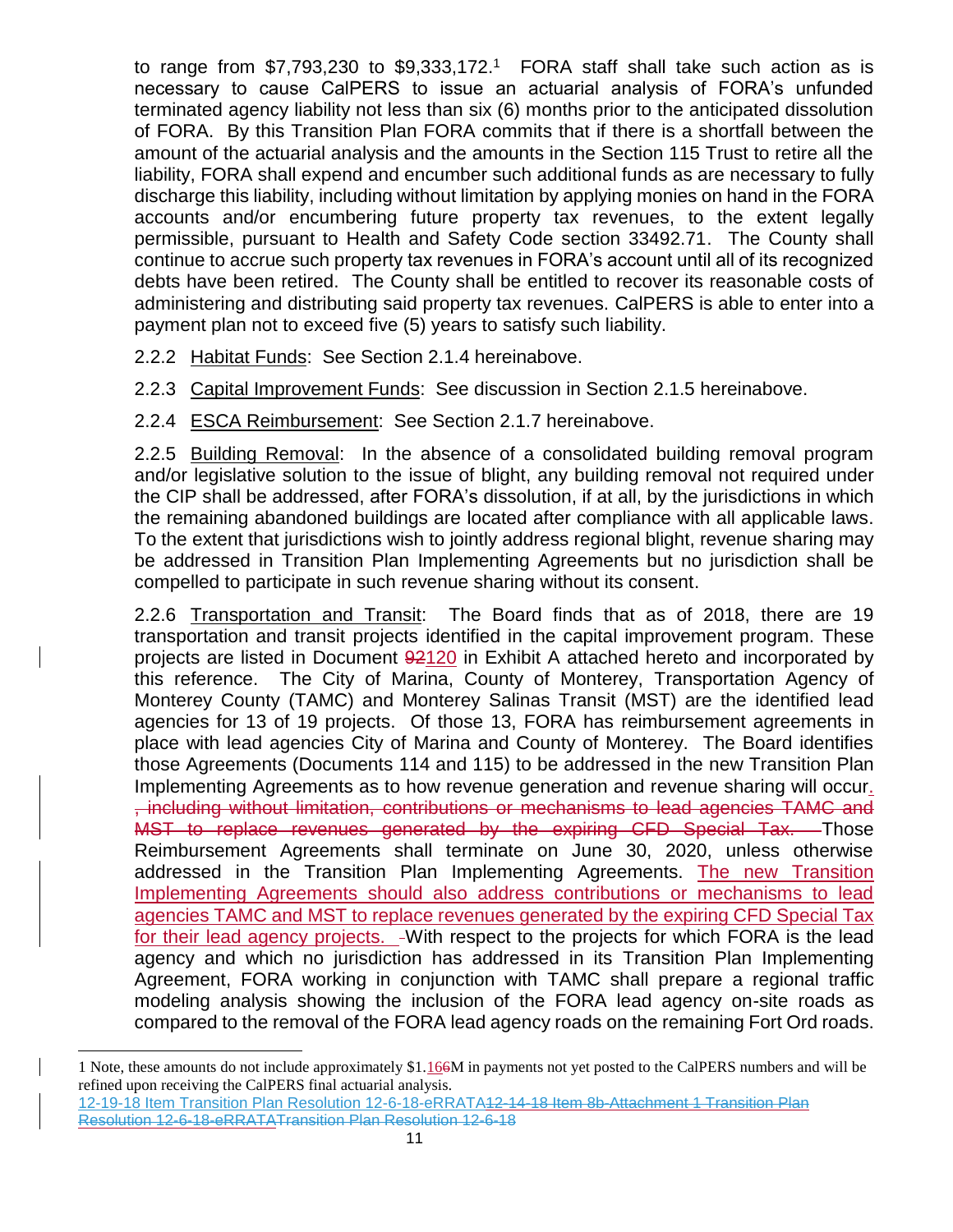to range from  $$7,793,230$  to  $$9,333,172<sup>1</sup>$  FORA staff shall take such action as is necessary to cause CalPERS to issue an actuarial analysis of FORA's unfunded terminated agency liability not less than six (6) months prior to the anticipated dissolution of FORA. By this Transition Plan FORA commits that if there is a shortfall between the amount of the actuarial analysis and the amounts in the Section 115 Trust to retire all the liability, FORA shall expend and encumber such additional funds as are necessary to fully discharge this liability, including without limitation by applying monies on hand in the FORA accounts and/or encumbering future property tax revenues, to the extent legally permissible, pursuant to Health and Safety Code section 33492.71. The County shall continue to accrue such property tax revenues in FORA's account until all of its recognized debts have been retired. The County shall be entitled to recover its reasonable costs of administering and distributing said property tax revenues. CalPERS is able to enter into a payment plan not to exceed five (5) years to satisfy such liability.

2.2.2 Habitat Funds: See Section 2.1.4 hereinabove.

2.2.3 Capital Improvement Funds: See discussion in Section 2.1.5 hereinabove.

2.2.4 ESCA Reimbursement: See Section 2.1.7 hereinabove.

2.2.5 Building Removal: In the absence of a consolidated building removal program and/or legislative solution to the issue of blight, any building removal not required under the CIP shall be addressed, after FORA's dissolution, if at all, by the jurisdictions in which the remaining abandoned buildings are located after compliance with all applicable laws. To the extent that jurisdictions wish to jointly address regional blight, revenue sharing may be addressed in Transition Plan Implementing Agreements but no jurisdiction shall be compelled to participate in such revenue sharing without its consent.

2.2.6 Transportation and Transit: The Board finds that as of 2018, there are 19 transportation and transit projects identified in the capital improvement program. These projects are listed in Document 92120 in Exhibit A attached hereto and incorporated by this reference. The City of Marina, County of Monterey, Transportation Agency of Monterey County (TAMC) and Monterey Salinas Transit (MST) are the identified lead agencies for 13 of 19 projects. Of those 13, FORA has reimbursement agreements in place with lead agencies City of Marina and County of Monterey. The Board identifies those Agreements (Documents 114 and 115) to be addressed in the new Transition Plan Implementing Agreements as to how revenue generation and revenue sharing will occur. , including without limitation, contributions or mechanisms to lead agencies TAMC and MST to replace revenues generated by the expiring CFD Special Tax. Those Reimbursement Agreements shall terminate on June 30, 2020, unless otherwise addressed in the Transition Plan Implementing Agreements. The new Transition Implementing Agreements should also address contributions or mechanisms to lead agencies TAMC and MST to replace revenues generated by the expiring CFD Special Tax for their lead agency projects. - With respect to the projects for which FORA is the lead agency and which no jurisdiction has addressed in its Transition Plan Implementing Agreement, FORA working in conjunction with TAMC shall prepare a regional traffic modeling analysis showing the inclusion of the FORA lead agency on-site roads as compared to the removal of the FORA lead agency roads on the remaining Fort Ord roads.

l

<sup>1</sup> Note, these amounts do not include approximately \$1.166M in payments not yet posted to the CalPERS numbers and will be refined upon receiving the CalPERS final actuarial analysis.

<sup>12-19-18</sup> Item Transition Plan Resolution 12-6-18-eRRATA12-14-18 Item 8b-Attachment 1 Transition Plan Resolution 12-6-18-eRRATATransition Plan Resolution 12-6-18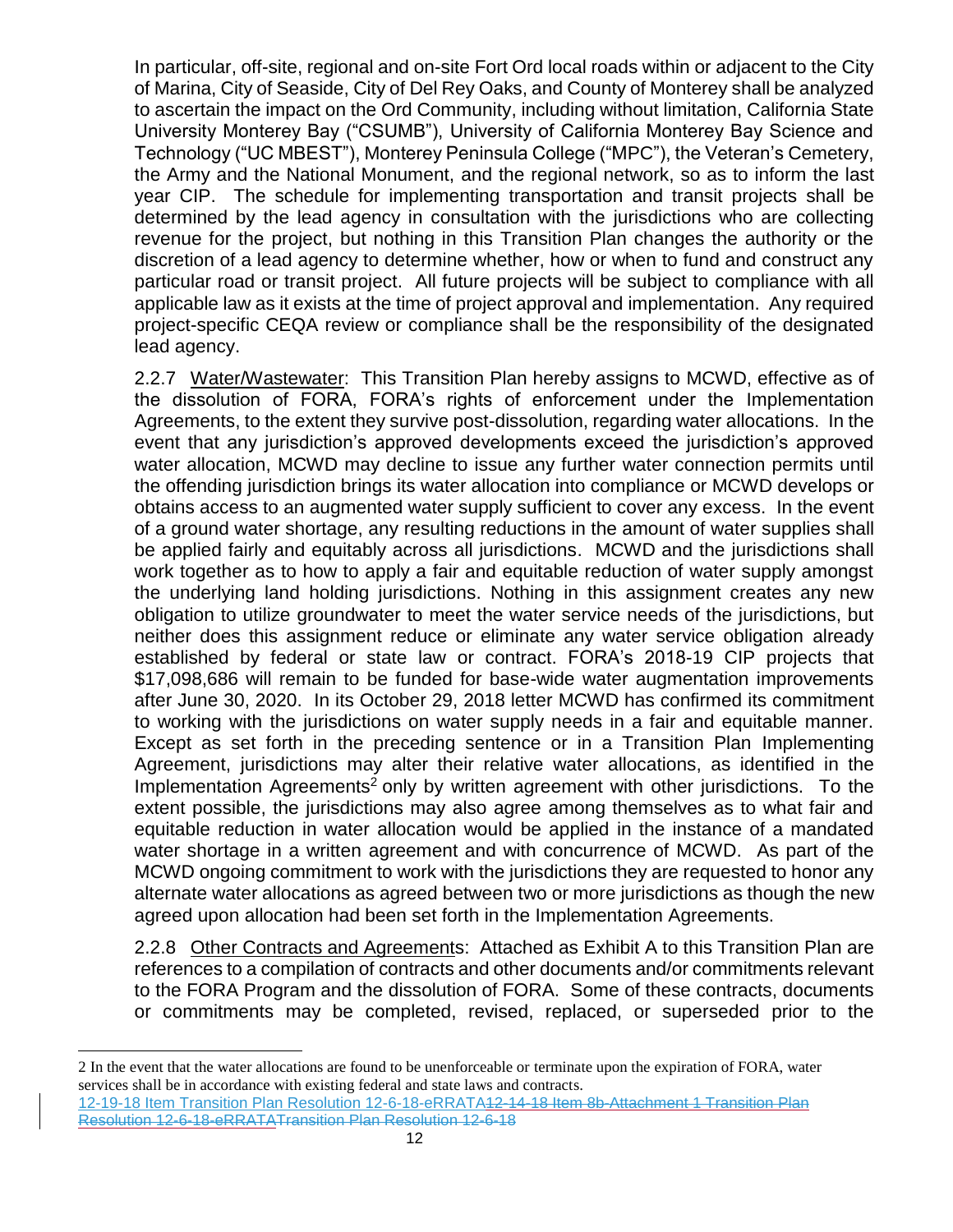In particular, off-site, regional and on-site Fort Ord local roads within or adjacent to the City of Marina, City of Seaside, City of Del Rey Oaks, and County of Monterey shall be analyzed to ascertain the impact on the Ord Community, including without limitation, California State University Monterey Bay ("CSUMB"), University of California Monterey Bay Science and Technology ("UC MBEST"), Monterey Peninsula College ("MPC"), the Veteran's Cemetery, the Army and the National Monument, and the regional network, so as to inform the last year CIP. The schedule for implementing transportation and transit projects shall be determined by the lead agency in consultation with the jurisdictions who are collecting revenue for the project, but nothing in this Transition Plan changes the authority or the discretion of a lead agency to determine whether, how or when to fund and construct any particular road or transit project. All future projects will be subject to compliance with all applicable law as it exists at the time of project approval and implementation. Any required project-specific CEQA review or compliance shall be the responsibility of the designated lead agency.

2.2.7 Water/Wastewater: This Transition Plan hereby assigns to MCWD, effective as of the dissolution of FORA, FORA's rights of enforcement under the Implementation Agreements, to the extent they survive post-dissolution, regarding water allocations. In the event that any jurisdiction's approved developments exceed the jurisdiction's approved water allocation, MCWD may decline to issue any further water connection permits until the offending jurisdiction brings its water allocation into compliance or MCWD develops or obtains access to an augmented water supply sufficient to cover any excess. In the event of a ground water shortage, any resulting reductions in the amount of water supplies shall be applied fairly and equitably across all jurisdictions. MCWD and the jurisdictions shall work together as to how to apply a fair and equitable reduction of water supply amongst the underlying land holding jurisdictions. Nothing in this assignment creates any new obligation to utilize groundwater to meet the water service needs of the jurisdictions, but neither does this assignment reduce or eliminate any water service obligation already established by federal or state law or contract. FORA's 2018-19 CIP projects that \$17,098,686 will remain to be funded for base-wide water augmentation improvements after June 30, 2020. In its October 29, 2018 letter MCWD has confirmed its commitment to working with the jurisdictions on water supply needs in a fair and equitable manner. Except as set forth in the preceding sentence or in a Transition Plan Implementing Agreement, jurisdictions may alter their relative water allocations, as identified in the Implementation Agreements<sup>2</sup> only by written agreement with other jurisdictions. To the extent possible, the jurisdictions may also agree among themselves as to what fair and equitable reduction in water allocation would be applied in the instance of a mandated water shortage in a written agreement and with concurrence of MCWD. As part of the MCWD ongoing commitment to work with the jurisdictions they are requested to honor any alternate water allocations as agreed between two or more jurisdictions as though the new agreed upon allocation had been set forth in the Implementation Agreements.

2.2.8 Other Contracts and Agreements: Attached as Exhibit A to this Transition Plan are references to a compilation of contracts and other documents and/or commitments relevant to the FORA Program and the dissolution of FORA. Some of these contracts, documents or commitments may be completed, revised, replaced, or superseded prior to the

l

<sup>2</sup> In the event that the water allocations are found to be unenforceable or terminate upon the expiration of FORA, water services shall be in accordance with existing federal and state laws and contracts.

<sup>12-19-18</sup> Item Transition Plan Resolution 12-6-18-eRRATA12-14-18 Item 8b-Attachment 1 Transition Plan Resolution 12-6-18-eRRATATransition Plan Resolution 12-6-18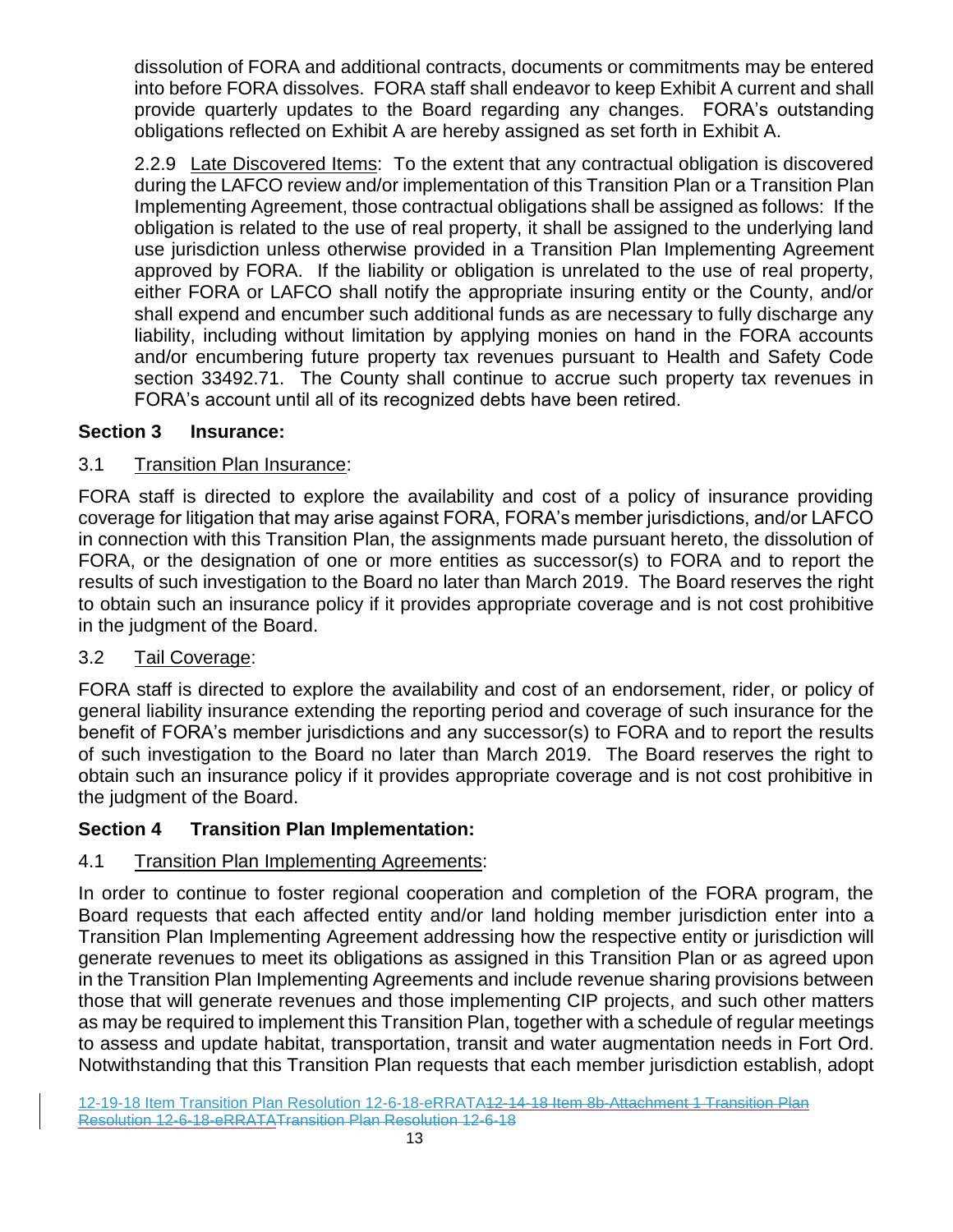dissolution of FORA and additional contracts, documents or commitments may be entered into before FORA dissolves. FORA staff shall endeavor to keep Exhibit A current and shall provide quarterly updates to the Board regarding any changes. FORA's outstanding obligations reflected on Exhibit A are hereby assigned as set forth in Exhibit A.

2.2.9 Late Discovered Items: To the extent that any contractual obligation is discovered during the LAFCO review and/or implementation of this Transition Plan or a Transition Plan Implementing Agreement, those contractual obligations shall be assigned as follows: If the obligation is related to the use of real property, it shall be assigned to the underlying land use jurisdiction unless otherwise provided in a Transition Plan Implementing Agreement approved by FORA. If the liability or obligation is unrelated to the use of real property, either FORA or LAFCO shall notify the appropriate insuring entity or the County, and/or shall expend and encumber such additional funds as are necessary to fully discharge any liability, including without limitation by applying monies on hand in the FORA accounts and/or encumbering future property tax revenues pursuant to Health and Safety Code section 33492.71. The County shall continue to accrue such property tax revenues in FORA's account until all of its recognized debts have been retired.

#### **Section 3 Insurance:**

#### 3.1 Transition Plan Insurance:

FORA staff is directed to explore the availability and cost of a policy of insurance providing coverage for litigation that may arise against FORA, FORA's member jurisdictions, and/or LAFCO in connection with this Transition Plan, the assignments made pursuant hereto, the dissolution of FORA, or the designation of one or more entities as successor(s) to FORA and to report the results of such investigation to the Board no later than March 2019. The Board reserves the right to obtain such an insurance policy if it provides appropriate coverage and is not cost prohibitive in the judgment of the Board.

#### 3.2 Tail Coverage:

FORA staff is directed to explore the availability and cost of an endorsement, rider, or policy of general liability insurance extending the reporting period and coverage of such insurance for the benefit of FORA's member jurisdictions and any successor(s) to FORA and to report the results of such investigation to the Board no later than March 2019. The Board reserves the right to obtain such an insurance policy if it provides appropriate coverage and is not cost prohibitive in the judgment of the Board.

#### **Section 4 Transition Plan Implementation:**

#### 4.1 Transition Plan Implementing Agreements:

In order to continue to foster regional cooperation and completion of the FORA program, the Board requests that each affected entity and/or land holding member jurisdiction enter into a Transition Plan Implementing Agreement addressing how the respective entity or jurisdiction will generate revenues to meet its obligations as assigned in this Transition Plan or as agreed upon in the Transition Plan Implementing Agreements and include revenue sharing provisions between those that will generate revenues and those implementing CIP projects, and such other matters as may be required to implement this Transition Plan, together with a schedule of regular meetings to assess and update habitat, transportation, transit and water augmentation needs in Fort Ord. Notwithstanding that this Transition Plan requests that each member jurisdiction establish, adopt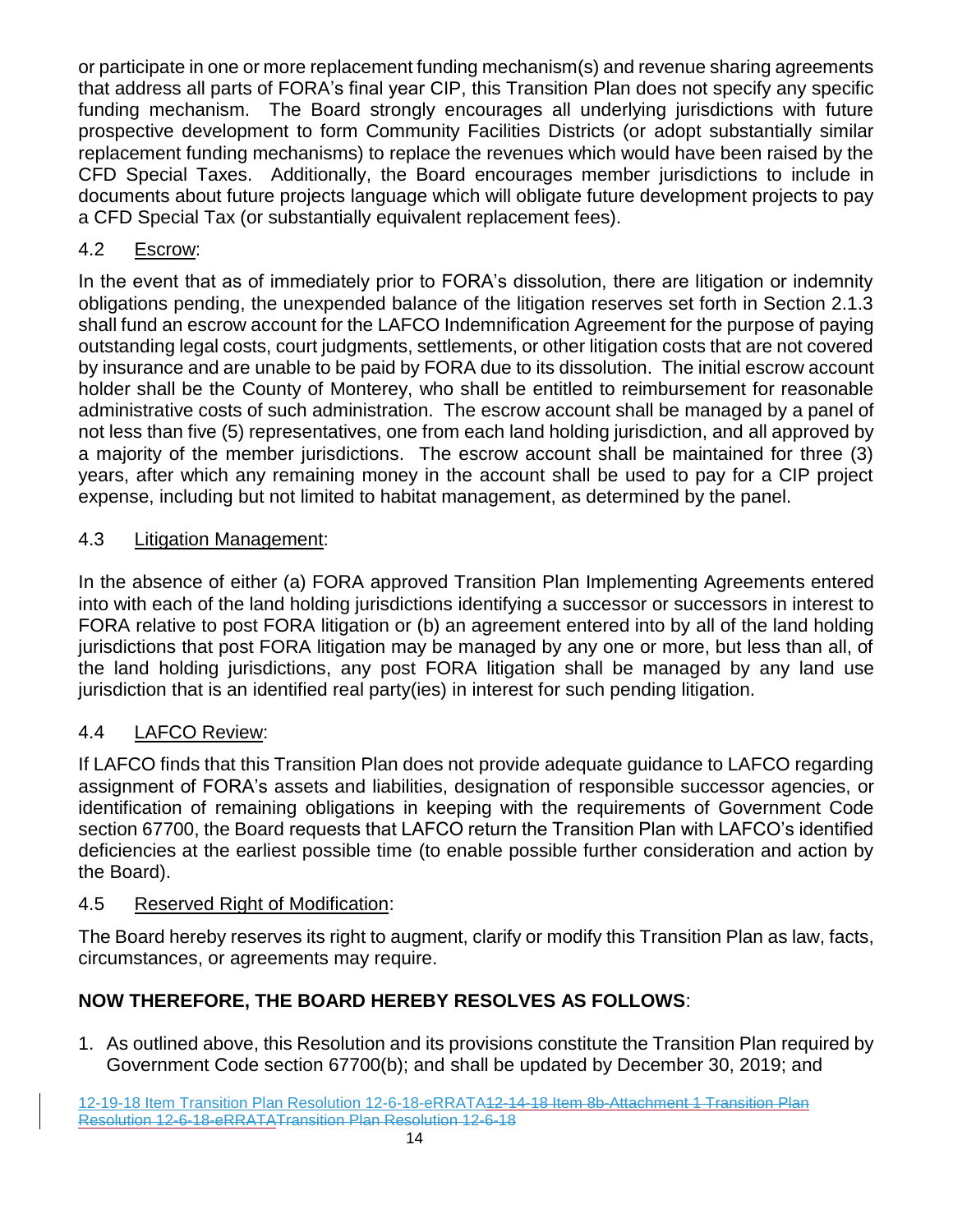or participate in one or more replacement funding mechanism(s) and revenue sharing agreements that address all parts of FORA's final year CIP, this Transition Plan does not specify any specific funding mechanism. The Board strongly encourages all underlying jurisdictions with future prospective development to form Community Facilities Districts (or adopt substantially similar replacement funding mechanisms) to replace the revenues which would have been raised by the CFD Special Taxes. Additionally, the Board encourages member jurisdictions to include in documents about future projects language which will obligate future development projects to pay a CFD Special Tax (or substantially equivalent replacement fees).

# 4.2 Escrow:

In the event that as of immediately prior to FORA's dissolution, there are litigation or indemnity obligations pending, the unexpended balance of the litigation reserves set forth in Section 2.1.3 shall fund an escrow account for the LAFCO Indemnification Agreement for the purpose of paying outstanding legal costs, court judgments, settlements, or other litigation costs that are not covered by insurance and are unable to be paid by FORA due to its dissolution. The initial escrow account holder shall be the County of Monterey, who shall be entitled to reimbursement for reasonable administrative costs of such administration. The escrow account shall be managed by a panel of not less than five (5) representatives, one from each land holding jurisdiction, and all approved by a majority of the member jurisdictions. The escrow account shall be maintained for three (3) years, after which any remaining money in the account shall be used to pay for a CIP project expense, including but not limited to habitat management, as determined by the panel.

# 4.3 Litigation Management:

In the absence of either (a) FORA approved Transition Plan Implementing Agreements entered into with each of the land holding jurisdictions identifying a successor or successors in interest to FORA relative to post FORA litigation or (b) an agreement entered into by all of the land holding jurisdictions that post FORA litigation may be managed by any one or more, but less than all, of the land holding jurisdictions, any post FORA litigation shall be managed by any land use jurisdiction that is an identified real party(ies) in interest for such pending litigation.

# 4.4 LAFCO Review:

If LAFCO finds that this Transition Plan does not provide adequate guidance to LAFCO regarding assignment of FORA's assets and liabilities, designation of responsible successor agencies, or identification of remaining obligations in keeping with the requirements of Government Code section 67700, the Board requests that LAFCO return the Transition Plan with LAFCO's identified deficiencies at the earliest possible time (to enable possible further consideration and action by the Board).

## 4.5 Reserved Right of Modification:

The Board hereby reserves its right to augment, clarify or modify this Transition Plan as law, facts, circumstances, or agreements may require.

# **NOW THEREFORE, THE BOARD HEREBY RESOLVES AS FOLLOWS**:

1. As outlined above, this Resolution and its provisions constitute the Transition Plan required by Government Code section 67700(b); and shall be updated by December 30, 2019; and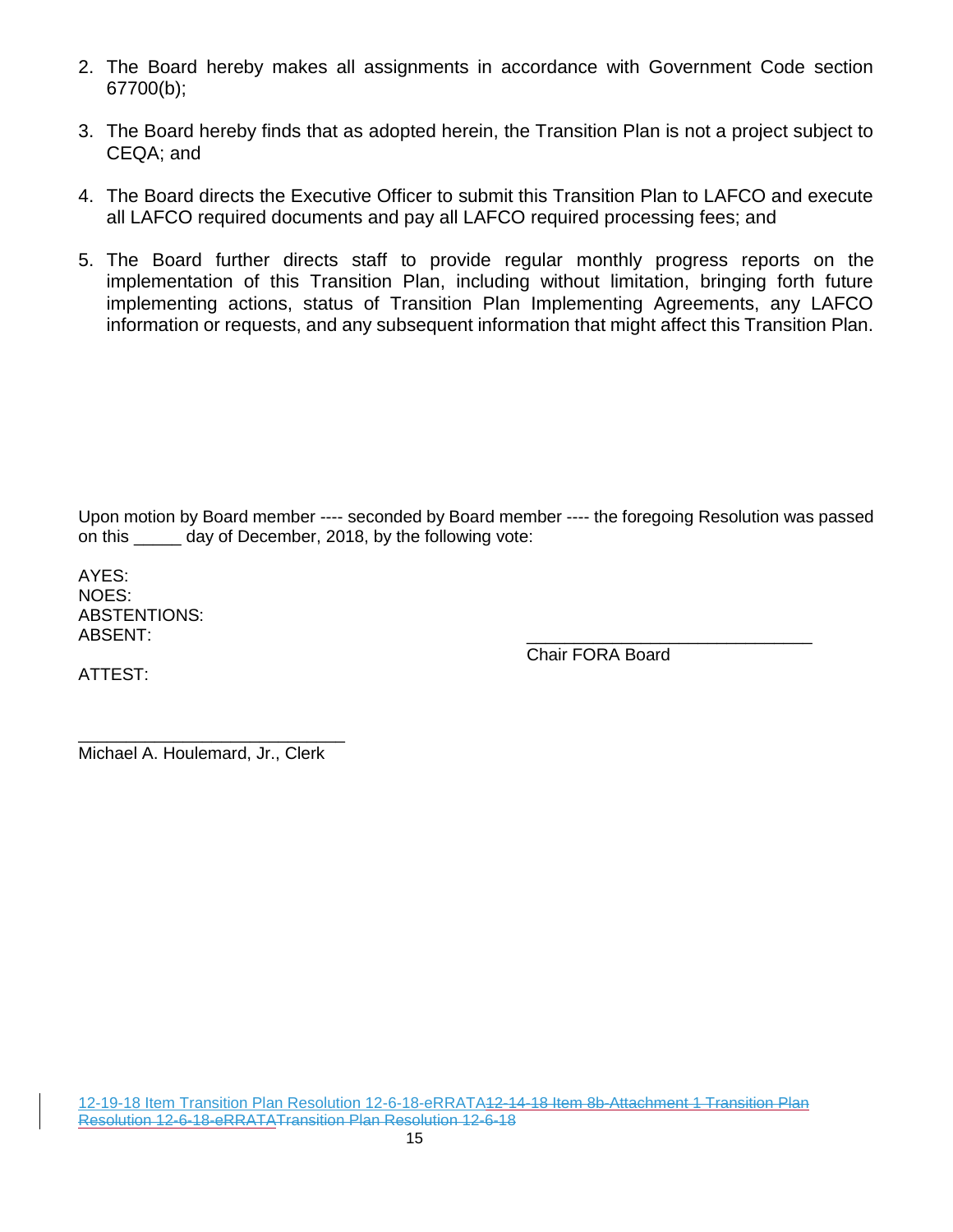- 2. The Board hereby makes all assignments in accordance with Government Code section 67700(b);
- 3. The Board hereby finds that as adopted herein, the Transition Plan is not a project subject to CEQA; and
- 4. The Board directs the Executive Officer to submit this Transition Plan to LAFCO and execute all LAFCO required documents and pay all LAFCO required processing fees; and
- 5. The Board further directs staff to provide regular monthly progress reports on the implementation of this Transition Plan, including without limitation, bringing forth future implementing actions, status of Transition Plan Implementing Agreements, any LAFCO information or requests, and any subsequent information that might affect this Transition Plan.

Upon motion by Board member ---- seconded by Board member ---- the foregoing Resolution was passed on this \_\_\_\_\_ day of December, 2018, by the following vote:

AYES: NOES: ABSTENTIONS: ABSENT: \_\_\_\_\_\_\_\_\_\_\_\_\_\_\_\_\_\_\_\_\_\_\_\_\_\_\_\_\_\_

Chair FORA Board

ATTEST:

\_\_\_\_\_\_\_\_\_\_\_\_\_\_\_\_\_\_\_\_\_\_\_\_\_\_\_\_ Michael A. Houlemard, Jr., Clerk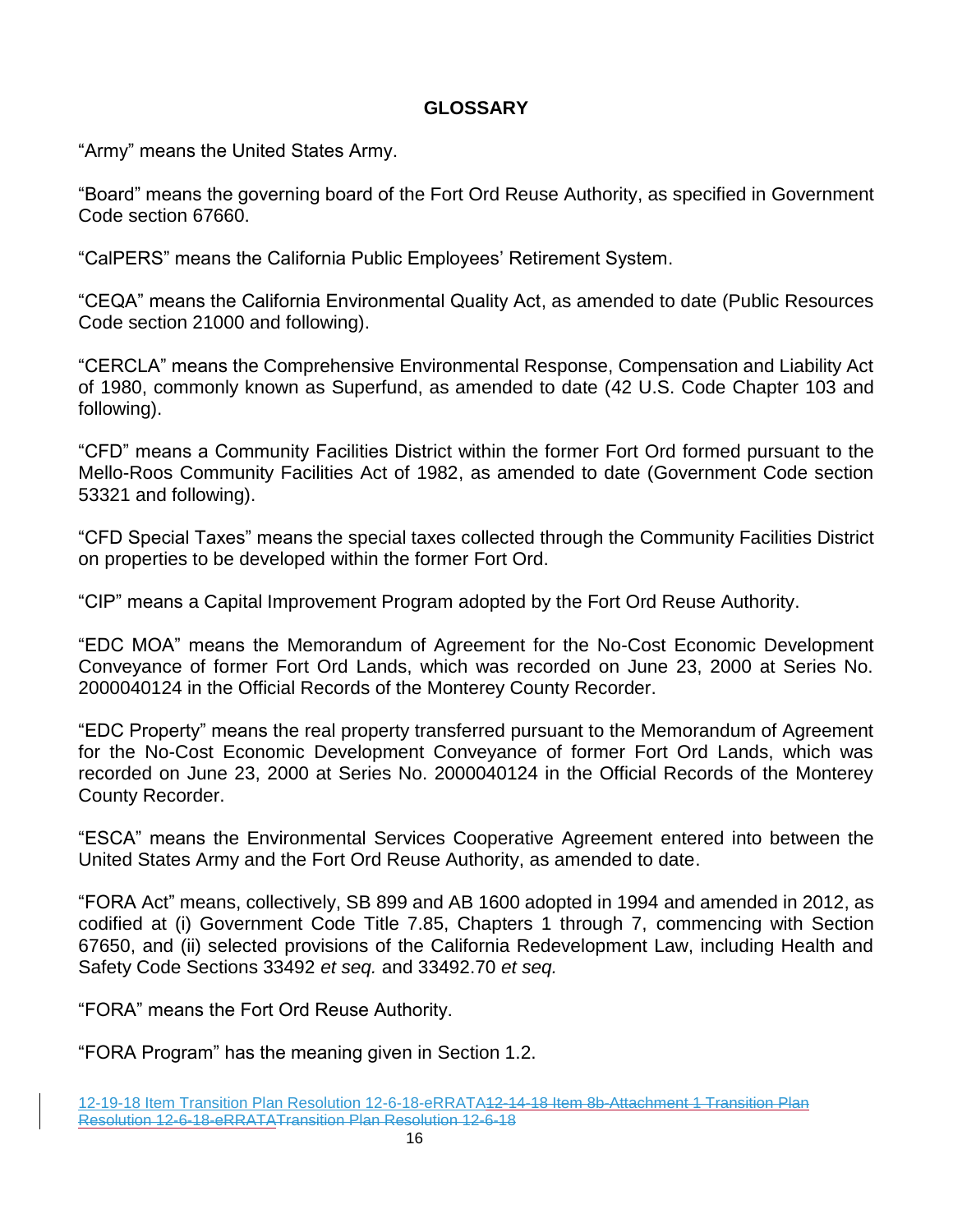#### **GLOSSARY**

"Army" means the United States Army.

"Board" means the governing board of the Fort Ord Reuse Authority, as specified in Government Code section 67660.

"CalPERS" means the California Public Employees' Retirement System.

"CEQA" means the California Environmental Quality Act, as amended to date (Public Resources Code section 21000 and following).

"CERCLA" means the Comprehensive Environmental Response, Compensation and Liability Act of 1980, commonly known as Superfund, as amended to date (42 U.S. Code Chapter 103 and following).

"CFD" means a Community Facilities District within the former Fort Ord formed pursuant to the Mello-Roos Community Facilities Act of 1982, as amended to date (Government Code section 53321 and following).

"CFD Special Taxes" means the special taxes collected through the Community Facilities District on properties to be developed within the former Fort Ord.

"CIP" means a Capital Improvement Program adopted by the Fort Ord Reuse Authority.

"EDC MOA" means the Memorandum of Agreement for the No-Cost Economic Development Conveyance of former Fort Ord Lands, which was recorded on June 23, 2000 at Series No. 2000040124 in the Official Records of the Monterey County Recorder.

"EDC Property" means the real property transferred pursuant to the Memorandum of Agreement for the No-Cost Economic Development Conveyance of former Fort Ord Lands, which was recorded on June 23, 2000 at Series No. 2000040124 in the Official Records of the Monterey County Recorder.

"ESCA" means the Environmental Services Cooperative Agreement entered into between the United States Army and the Fort Ord Reuse Authority, as amended to date.

"FORA Act" means, collectively, SB 899 and AB 1600 adopted in 1994 and amended in 2012, as codified at (i) Government Code Title 7.85, Chapters 1 through 7, commencing with Section 67650, and (ii) selected provisions of the California Redevelopment Law, including Health and Safety Code Sections 33492 *et seq.* and 33492.70 *et seq.*

"FORA" means the Fort Ord Reuse Authority.

"FORA Program" has the meaning given in Section 1.2.

<sup>12-19-18</sup> Item Transition Plan Resolution 12-6-18-eRRATA12-14-18 Item 8b-Attachment 1 Transition Plan Resolution 12-6-18-eRRATATransition Plan Resolution 12-6-18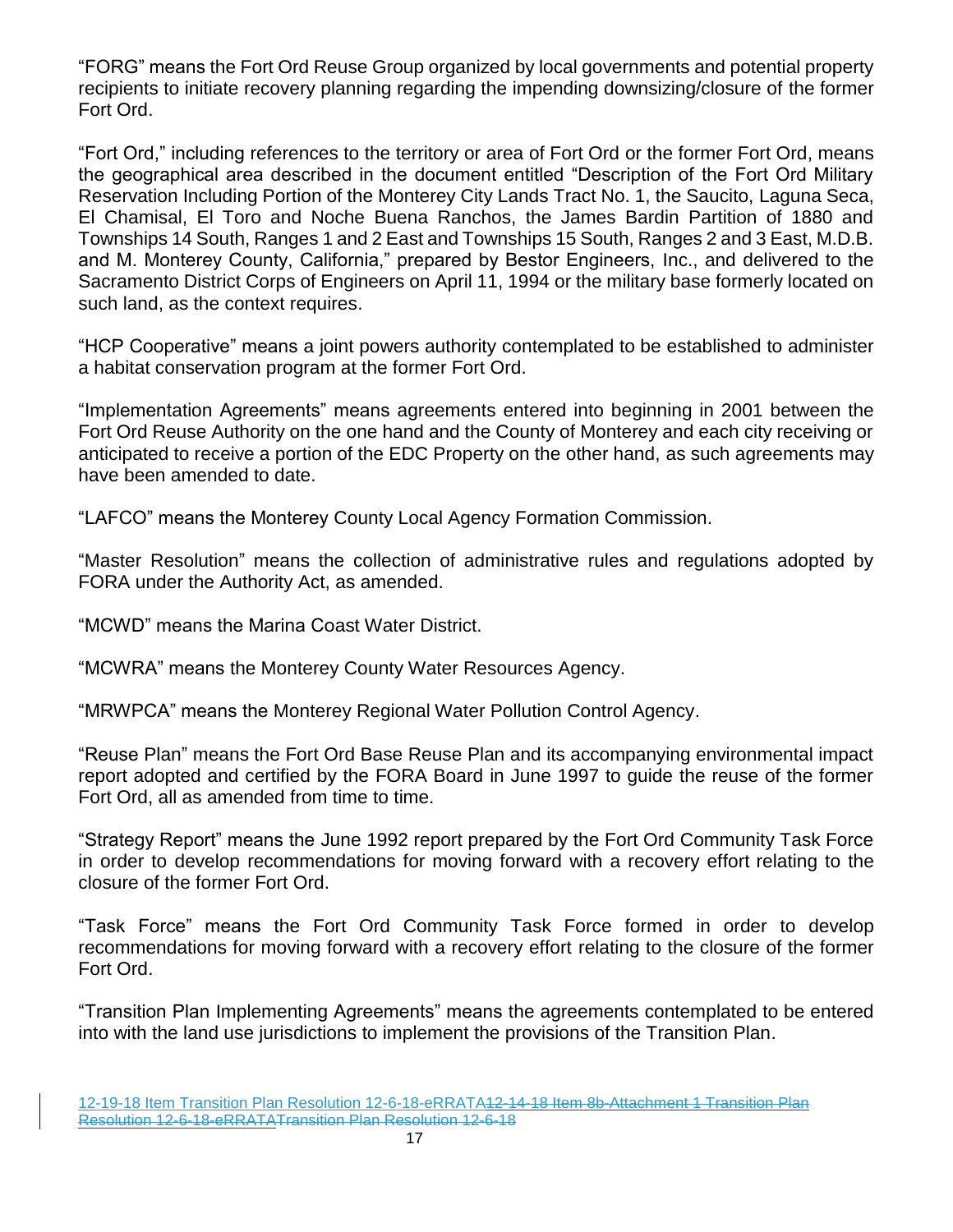"FORG" means the Fort Ord Reuse Group organized by local governments and potential property recipients to initiate recovery planning regarding the impending downsizing/closure of the former Fort Ord.

"Fort Ord," including references to the territory or area of Fort Ord or the former Fort Ord, means the geographical area described in the document entitled "Description of the Fort Ord Military Reservation Including Portion of the Monterey City Lands Tract No. 1, the Saucito, Laguna Seca, El Chamisal, El Toro and Noche Buena Ranchos, the James Bardin Partition of 1880 and Townships 14 South, Ranges 1 and 2 East and Townships 15 South, Ranges 2 and 3 East, M.D.B. and M. Monterey County, California," prepared by Bestor Engineers, Inc., and delivered to the Sacramento District Corps of Engineers on April 11, 1994 or the military base formerly located on such land, as the context requires.

"HCP Cooperative" means a joint powers authority contemplated to be established to administer a habitat conservation program at the former Fort Ord.

"Implementation Agreements" means agreements entered into beginning in 2001 between the Fort Ord Reuse Authority on the one hand and the County of Monterey and each city receiving or anticipated to receive a portion of the EDC Property on the other hand, as such agreements may have been amended to date.

"LAFCO" means the Monterey County Local Agency Formation Commission.

"Master Resolution" means the collection of administrative rules and regulations adopted by FORA under the Authority Act, as amended.

"MCWD" means the Marina Coast Water District.

"MCWRA" means the Monterey County Water Resources Agency.

"MRWPCA" means the Monterey Regional Water Pollution Control Agency.

"Reuse Plan" means the Fort Ord Base Reuse Plan and its accompanying environmental impact report adopted and certified by the FORA Board in June 1997 to guide the reuse of the former Fort Ord, all as amended from time to time.

"Strategy Report" means the June 1992 report prepared by the Fort Ord Community Task Force in order to develop recommendations for moving forward with a recovery effort relating to the closure of the former Fort Ord.

"Task Force" means the Fort Ord Community Task Force formed in order to develop recommendations for moving forward with a recovery effort relating to the closure of the former Fort Ord.

"Transition Plan Implementing Agreements" means the agreements contemplated to be entered into with the land use jurisdictions to implement the provisions of the Transition Plan.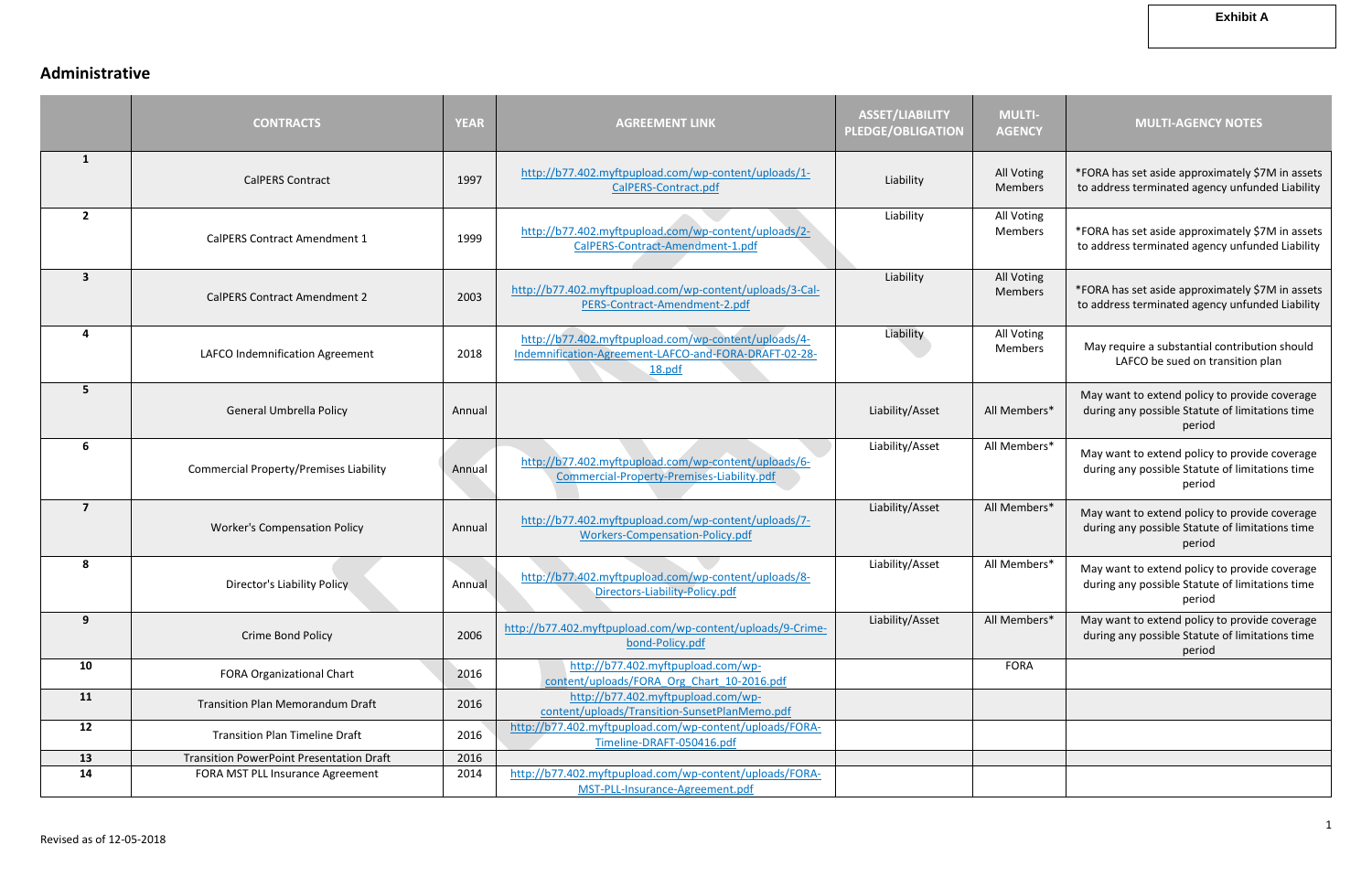# **Administrative**

|                         | <b>CONTRACTS</b>                                | <b>YEAR</b> | <b>AGREEMENT LINK</b>                                                                                                   | <b>ASSET/LIABILITY</b><br><b>PLEDGE/OBLIGATION</b> | <b>MULTI-</b><br><b>AGENCY</b> | <b>MULTI-AGENCY NOTES</b>                                                                                  |
|-------------------------|-------------------------------------------------|-------------|-------------------------------------------------------------------------------------------------------------------------|----------------------------------------------------|--------------------------------|------------------------------------------------------------------------------------------------------------|
| $\mathbf{1}$            | <b>CalPERS Contract</b>                         | 1997        | http://b77.402.myftpupload.com/wp-content/uploads/1-<br>CalPERS-Contract.pdf                                            | Liability                                          | All Voting<br><b>Members</b>   | *FORA has set aside approximately \$7M in assets<br>to address terminated agency unfunded Liability        |
| $\overline{2}$          | <b>CalPERS Contract Amendment 1</b>             | 1999        | http://b77.402.myftpupload.com/wp-content/uploads/2-<br>CalPERS-Contract-Amendment-1.pdf                                | Liability                                          | All Voting<br>Members          | *FORA has set aside approximately \$7M in assets<br>to address terminated agency unfunded Liability        |
| $\overline{\mathbf{3}}$ | <b>CalPERS Contract Amendment 2</b>             | 2003        | http://b77.402.myftpupload.com/wp-content/uploads/3-Cal-<br>PERS-Contract-Amendment-2.pdf                               | Liability                                          | All Voting<br>Members          | *FORA has set aside approximately \$7M in assets<br>to address terminated agency unfunded Liability        |
| 4                       | LAFCO Indemnification Agreement                 | 2018        | http://b77.402.myftpupload.com/wp-content/uploads/4-<br>Indemnification-Agreement-LAFCO-and-FORA-DRAFT-02-28-<br>18.pdf | Liability                                          | All Voting<br><b>Members</b>   | May require a substantial contribution should<br>LAFCO be sued on transition plan                          |
| 5                       | <b>General Umbrella Policy</b>                  | Annual      |                                                                                                                         | Liability/Asset                                    | All Members*                   | May want to extend policy to provide coverage<br>during any possible Statute of limitations time<br>period |
| 6                       | <b>Commercial Property/Premises Liability</b>   | Annual      | http://b77.402.myftpupload.com/wp-content/uploads/6-<br>Commercial-Property-Premises-Liability.pdf                      | Liability/Asset                                    | All Members*                   | May want to extend policy to provide coverage<br>during any possible Statute of limitations time<br>period |
| $\overline{7}$          | <b>Worker's Compensation Policy</b>             | Annual      | http://b77.402.myftpupload.com/wp-content/uploads/7-<br>Workers-Compensation-Policy.pdf                                 | Liability/Asset                                    | All Members*                   | May want to extend policy to provide coverage<br>during any possible Statute of limitations time<br>period |
| 8                       | <b>Director's Liability Policy</b>              | Annual      | http://b77.402.myftpupload.com/wp-content/uploads/8-<br>Directors-Liability-Policy.pdf                                  | Liability/Asset                                    | All Members*                   | May want to extend policy to provide coverage<br>during any possible Statute of limitations time<br>period |
| 9                       | Crime Bond Policy                               | 2006        | http://b77.402.myftpupload.com/wp-content/uploads/9-Crime-<br>bond-Policy.pdf                                           | Liability/Asset                                    | All Members*                   | May want to extend policy to provide coverage<br>during any possible Statute of limitations time<br>period |
| 10                      | <b>FORA Organizational Chart</b>                | 2016        | http://b77.402.myftpupload.com/wp-<br>content/uploads/FORA Org Chart 10-2016.pdf                                        |                                                    | <b>FORA</b>                    |                                                                                                            |
| 11                      | <b>Transition Plan Memorandum Draft</b>         | 2016        | http://b77.402.myftpupload.com/wp-<br>content/uploads/Transition-SunsetPlanMemo.pdf                                     |                                                    |                                |                                                                                                            |
| 12                      | <b>Transition Plan Timeline Draft</b>           | 2016        | http://b77.402.myftpupload.com/wp-content/uploads/FORA-<br>Timeline-DRAFT-050416.pdf                                    |                                                    |                                |                                                                                                            |
| 13                      | <b>Transition PowerPoint Presentation Draft</b> | 2016        |                                                                                                                         |                                                    |                                |                                                                                                            |
| 14                      | FORA MST PLL Insurance Agreement                | 2014        | http://b77.402.myftpupload.com/wp-content/uploads/FORA-<br>MST-PLL-Insurance-Agreement.pdf                              |                                                    |                                |                                                                                                            |

#### **Exhibit A**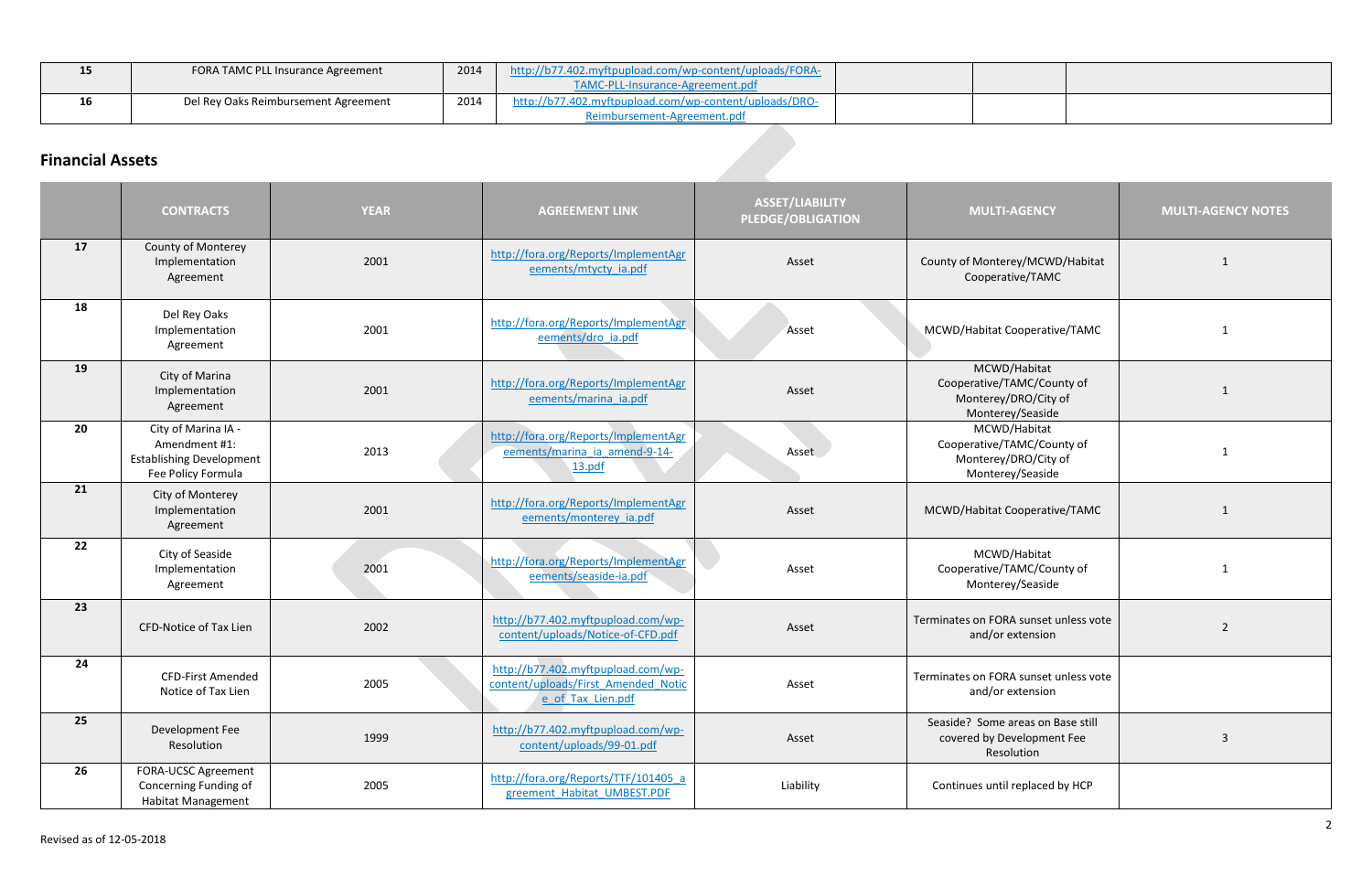| -- | FORA TAMC PLL Insurance Agreement    | 2014 | http://b77.402.myftpupload.com/wp-content/uploads/FORA- |  |  |
|----|--------------------------------------|------|---------------------------------------------------------|--|--|
|    |                                      |      | TAMC-PLL-Insurance-Agreement.pdf                        |  |  |
| 16 | Del Rey Oaks Reimbursement Agreement | 2014 | http://b77.402.myftpupload.com/wp-content/uploads/DRO-  |  |  |
|    |                                      |      | Reimbursement-Agreement.pdf                             |  |  |

# **Financial Assets**

|    | <b>CONTRACTS</b>                                                                              | <b>YEAR</b> | <b>AGREEMENT LINK</b>                                                                          | <b>ASSET/LIABILITY</b><br><b>PLEDGE/OBLIGATION</b> | <b>MULTI-AGENCY</b>                                                                    | <b>MULTI-AGENCY NOTES</b> |
|----|-----------------------------------------------------------------------------------------------|-------------|------------------------------------------------------------------------------------------------|----------------------------------------------------|----------------------------------------------------------------------------------------|---------------------------|
| 17 | County of Monterey<br>Implementation<br>Agreement                                             | 2001        | http://fora.org/Reports/ImplementAgr<br>eements/mtycty ia.pdf                                  | Asset                                              | County of Monterey/MCWD/Habitat<br>Cooperative/TAMC                                    | $\mathbf{1}$              |
| 18 | Del Rey Oaks<br>Implementation<br>Agreement                                                   | 2001        | http://fora.org/Reports/ImplementAgr<br>eements/dro ia.pdf                                     | MCWD/Habitat Cooperative/TAMC<br>Asset             |                                                                                        | 1                         |
| 19 | City of Marina<br>Implementation<br>Agreement                                                 | 2001        | http://fora.org/Reports/ImplementAgr<br>eements/marina ia.pdf                                  | Asset                                              | MCWD/Habitat<br>Cooperative/TAMC/County of<br>Monterey/DRO/City of<br>Monterey/Seaside | $\overline{1}$            |
| 20 | City of Marina IA -<br>Amendment #1:<br><b>Establishing Development</b><br>Fee Policy Formula | 2013        | http://fora.org/Reports/ImplementAgr<br>eements/marina ia amend-9-14-<br>13.pdf                | Asset                                              | MCWD/Habitat<br>Cooperative/TAMC/County of<br>Monterey/DRO/City of<br>Monterey/Seaside |                           |
| 21 | City of Monterey<br>Implementation<br>Agreement                                               | 2001        | http://fora.org/Reports/ImplementAgr<br>eements/monterey ia.pdf                                | Asset                                              | MCWD/Habitat Cooperative/TAMC                                                          | $\mathbf{1}$              |
| 22 | City of Seaside<br>Implementation<br>Agreement                                                | 2001        | http://fora.org/Reports/ImplementAgr<br>eements/seaside-ia.pdf                                 | Asset                                              | MCWD/Habitat<br>Cooperative/TAMC/County of<br>Monterey/Seaside                         | -1                        |
| 23 | <b>CFD-Notice of Tax Lien</b>                                                                 | 2002        | http://b77.402.myftpupload.com/wp-<br>content/uploads/Notice-of-CFD.pdf                        | Asset                                              | Terminates on FORA sunset unless vote<br>and/or extension                              | $\overline{2}$            |
| 24 | <b>CFD-First Amended</b><br>Notice of Tax Lien                                                | 2005        | http://b77.402.myftpupload.com/wp-<br>content/uploads/First Amended Notic<br>e of Tax Lien.pdf | Asset                                              | Terminates on FORA sunset unless vote<br>and/or extension                              |                           |
| 25 | Development Fee<br>Resolution                                                                 | 1999        | http://b77.402.myftpupload.com/wp-<br>content/uploads/99-01.pdf                                | Asset                                              | Seaside? Some areas on Base still<br>covered by Development Fee<br>Resolution          | 3                         |
| 26 | <b>FORA-UCSC Agreement</b><br>Concerning Funding of<br><b>Habitat Management</b>              | 2005        | http://fora.org/Reports/TTF/101405_a<br>greement Habitat UMBEST.PDF                            | Liability                                          | Continues until replaced by HCP                                                        |                           |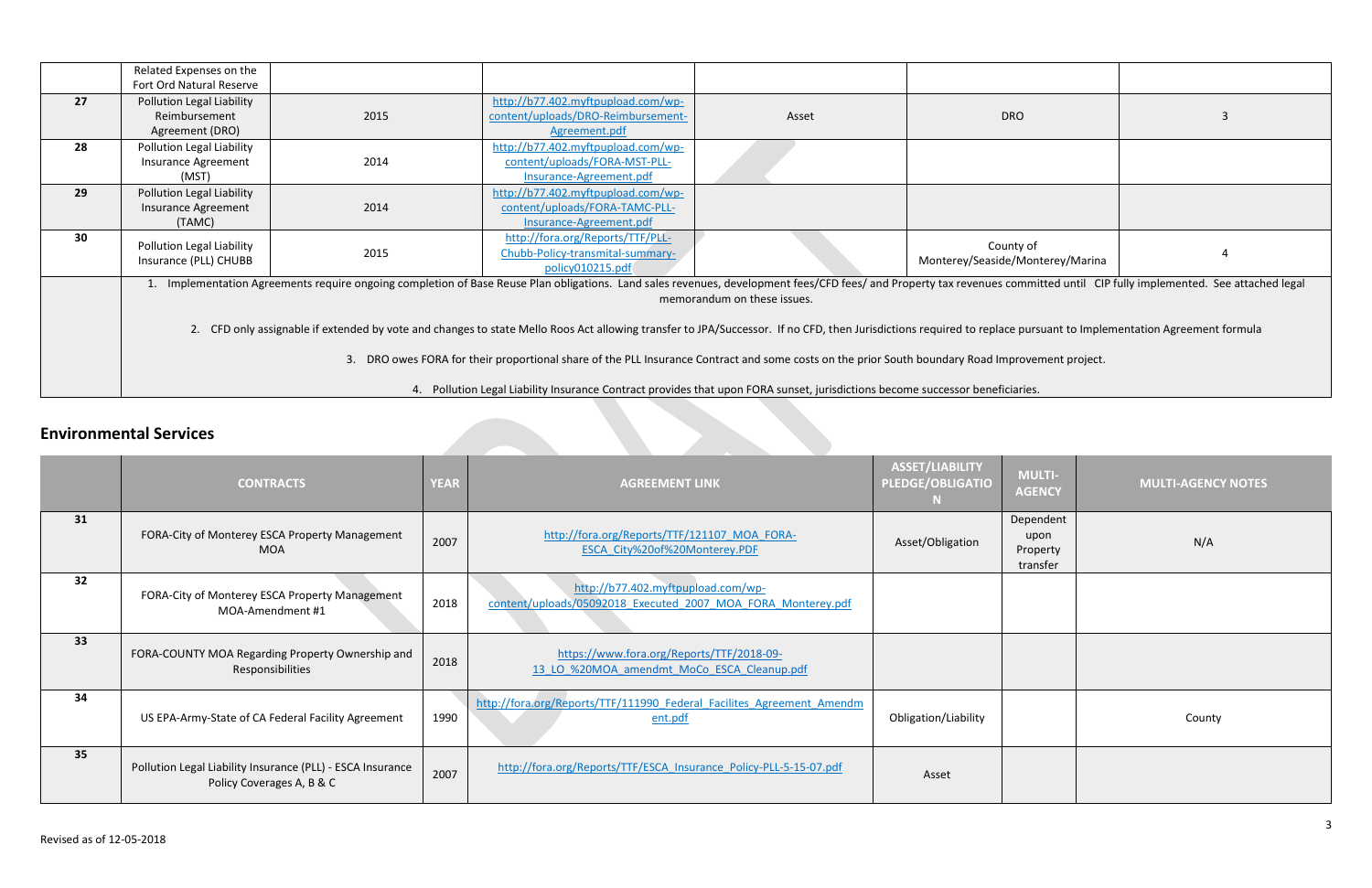| <b>DRO</b>                                                                                             | 3 |  |  |  |
|--------------------------------------------------------------------------------------------------------|---|--|--|--|
|                                                                                                        |   |  |  |  |
|                                                                                                        |   |  |  |  |
| County of<br>Monterey/Seaside/Monterey/Marina                                                          | 4 |  |  |  |
| erty tax revenues committed until CIP fully implemented. See attached legal                            |   |  |  |  |
| required to replace pursuant to Implementation Agreement formula<br>boundary Road Improvement project. |   |  |  |  |
| successor heneficiaries                                                                                |   |  |  |  |

|    | Related Expenses on the                                                                                                                                                                                                                                    |      |                                                                                                                               |       |                                               |  |
|----|------------------------------------------------------------------------------------------------------------------------------------------------------------------------------------------------------------------------------------------------------------|------|-------------------------------------------------------------------------------------------------------------------------------|-------|-----------------------------------------------|--|
| 27 | Fort Ord Natural Reserve<br>Pollution Legal Liability<br>Reimbursement                                                                                                                                                                                     | 2015 | http://b77.402.myftpupload.com/wp-<br>content/uploads/DRO-Reimbursement-                                                      | Asset | <b>DRO</b>                                    |  |
| 28 | Agreement (DRO)<br>Pollution Legal Liability<br>Insurance Agreement<br>(MST)                                                                                                                                                                               | 2014 | Agreement.pdf<br>http://b77.402.myftpupload.com/wp-<br>content/uploads/FORA-MST-PLL-<br>Insurance-Agreement.pdf               |       |                                               |  |
| 29 | Pollution Legal Liability<br>Insurance Agreement<br>(TAMC)                                                                                                                                                                                                 | 2014 | http://b77.402.myftpupload.com/wp-<br>content/uploads/FORA-TAMC-PLL-<br>Insurance-Agreement.pdf                               |       |                                               |  |
| 30 | Pollution Legal Liability<br>Insurance (PLL) CHUBB                                                                                                                                                                                                         | 2015 | http://fora.org/Reports/TTF/PLL-<br>Chubb-Policy-transmital-summary-<br>policy010215.pdf                                      |       | County of<br>Monterey/Seaside/Monterey/Marina |  |
|    | 1. Implementation Agreements require ongoing completion of Base Reuse Plan obligations. Land sales revenues, development fees/CFD fees/ and Property tax revenues committed until CIP fully implemented. See attached legal<br>memorandum on these issues. |      |                                                                                                                               |       |                                               |  |
|    | 2. CFD only assignable if extended by vote and changes to state Mello Roos Act allowing transfer to JPA/Successor. If no CFD, then Jurisdictions required to replace pursuant to Implementation Agreement formula                                          |      |                                                                                                                               |       |                                               |  |
|    | DRO owes FORA for their proportional share of the PLL Insurance Contract and some costs on the prior South boundary Road Improvement project.<br>3.                                                                                                        |      |                                                                                                                               |       |                                               |  |
|    |                                                                                                                                                                                                                                                            |      | 4. Pollution Legal Liability Insurance Contract provides that upon FORA sunset, jurisdictions become successor beneficiaries. |       |                                               |  |

# **Environmental Services**

| <b>MULTI-</b><br><b>AGENCY</b>            | <b>MULTI-AGENCY NOTES</b> |
|-------------------------------------------|---------------------------|
| Dependent<br>upon<br>Property<br>transfer | N/A                       |
|                                           |                           |
|                                           |                           |
|                                           | County                    |
|                                           |                           |

a sa kabila na matangana na matangana na matangana na matangana na matangana na matangana na matangana na mata

|    | <b>CONTRACTS</b>                                                                        | <b>YEAR</b> | <b>AGREEMENT LINK</b>                                                                              | ASSET/LIABILITY<br><b>PLEDGE/OBLIGATIO</b> | <b>MULTI-</b><br><b>AGENCY</b>            | <b>MULTI-AGENC</b> |
|----|-----------------------------------------------------------------------------------------|-------------|----------------------------------------------------------------------------------------------------|--------------------------------------------|-------------------------------------------|--------------------|
| 31 | FORA-City of Monterey ESCA Property Management<br><b>MOA</b>                            | 2007        | http://fora.org/Reports/TTF/121107_MOA_FORA-<br>ESCA City%20of%20Monterey.PDF                      | Asset/Obligation                           | Dependent<br>upon<br>Property<br>transfer | N/A                |
| 32 | FORA-City of Monterey ESCA Property Management<br>MOA-Amendment #1                      | 2018        | http://b77.402.myftpupload.com/wp-<br>content/uploads/05092018 Executed 2007 MOA FORA Monterey.pdf |                                            |                                           |                    |
| 33 | FORA-COUNTY MOA Regarding Property Ownership and<br>Responsibilities                    | 2018        | https://www.fora.org/Reports/TTF/2018-09-<br>13 LO %20MOA amendmt MoCo ESCA Cleanup.pdf            |                                            |                                           |                    |
| 34 | US EPA-Army-State of CA Federal Facility Agreement                                      | 1990        | http://fora.org/Reports/TTF/111990 Federal Facilites Agreement Amendm<br>ent.pdf                   | Obligation/Liability                       |                                           | County             |
| 35 | Pollution Legal Liability Insurance (PLL) - ESCA Insurance<br>Policy Coverages A, B & C | 2007        | http://fora.org/Reports/TTF/ESCA Insurance Policy-PLL-5-15-07.pdf                                  | Asset                                      |                                           |                    |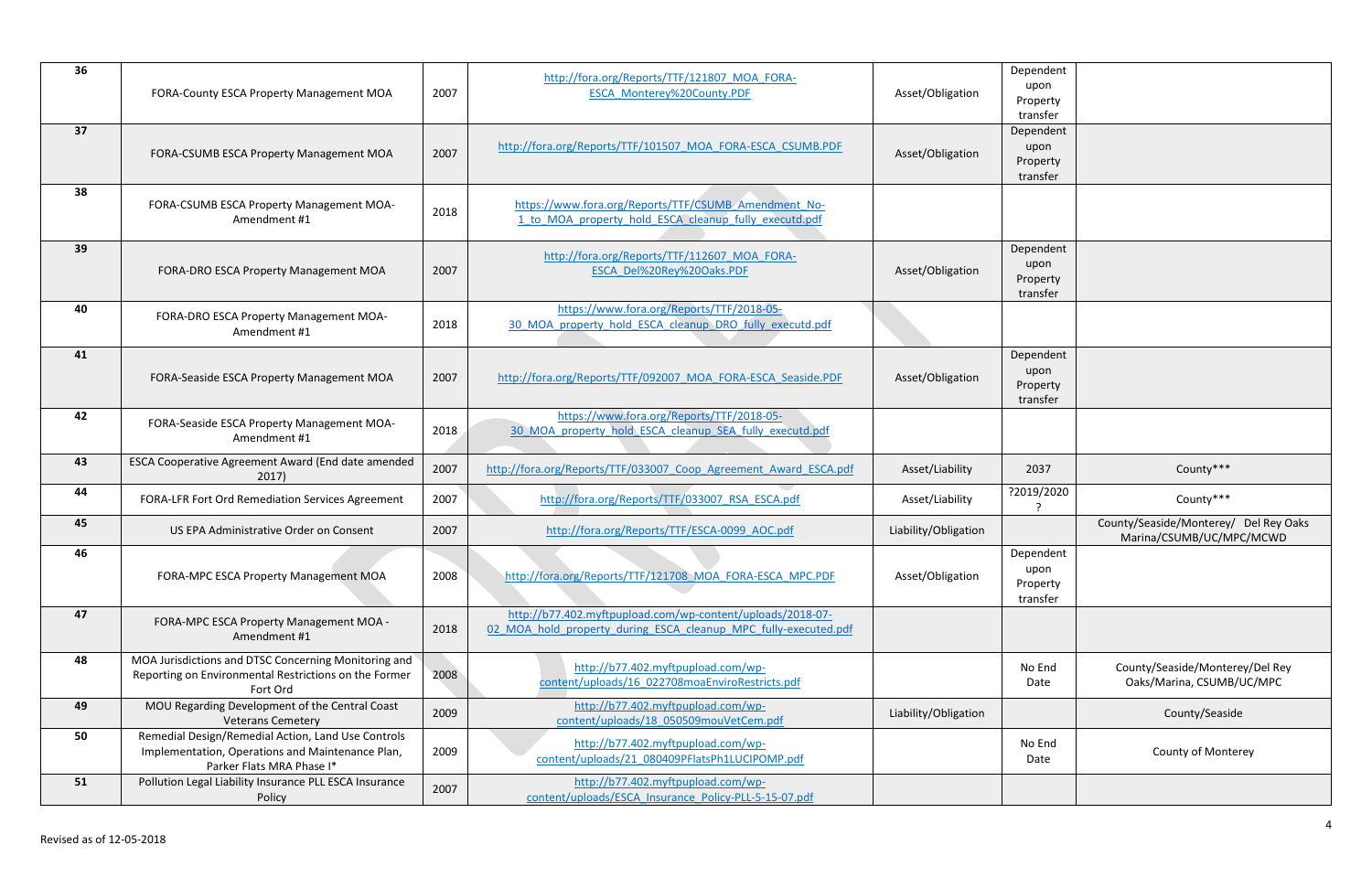| Dependent       |                                                                   |
|-----------------|-------------------------------------------------------------------|
| upon            |                                                                   |
| Property        |                                                                   |
| transfer        |                                                                   |
| Dependent       |                                                                   |
| upon            |                                                                   |
| Property        |                                                                   |
| transfer        |                                                                   |
|                 |                                                                   |
|                 |                                                                   |
|                 |                                                                   |
| Dependent       |                                                                   |
| upon            |                                                                   |
| Property        |                                                                   |
| transfer        |                                                                   |
|                 |                                                                   |
|                 |                                                                   |
| Dependent       |                                                                   |
| upon            |                                                                   |
| Property        |                                                                   |
| transfer        |                                                                   |
|                 |                                                                   |
|                 |                                                                   |
| 2037            | County***                                                         |
| ?2019/2020<br>? | County***                                                         |
|                 | County/Seaside/Monterey/ Del Rey Oaks<br>Marina/CSUMB/UC/MPC/MCWD |
| Dependent       |                                                                   |
| upon            |                                                                   |
| Property        |                                                                   |
| transfer        |                                                                   |
|                 |                                                                   |
|                 |                                                                   |
|                 |                                                                   |
| No End          | County/Seaside/Monterey/Del Rey                                   |
|                 |                                                                   |
| Date            | Oaks/Marina, CSUMB/UC/MPC                                         |
|                 | County/Seaside                                                    |
| No End          |                                                                   |
| Date            | County of Monterey                                                |
|                 |                                                                   |
|                 |                                                                   |
|                 |                                                                   |

| 36 | FORA-County ESCA Property Management MOA                                                                                            | 2007 | http://fora.org/Reports/TTF/121807 MOA FORA-<br>ESCA Monterey%20County.PDF                                                    | Asset/Obligation     | Dependent<br>upon<br>Property<br>transfer |                                                                   |
|----|-------------------------------------------------------------------------------------------------------------------------------------|------|-------------------------------------------------------------------------------------------------------------------------------|----------------------|-------------------------------------------|-------------------------------------------------------------------|
| 37 | FORA-CSUMB ESCA Property Management MOA                                                                                             | 2007 | http://fora.org/Reports/TTF/101507_MOA_FORA-ESCA_CSUMB.PDF                                                                    | Asset/Obligation     | Dependent<br>upon<br>Property<br>transfer |                                                                   |
| 38 | FORA-CSUMB ESCA Property Management MOA-<br>Amendment #1                                                                            | 2018 | https://www.fora.org/Reports/TTF/CSUMB Amendment No-<br>1 to MOA property hold ESCA cleanup fully executd.pdf                 |                      |                                           |                                                                   |
| 39 | FORA-DRO ESCA Property Management MOA                                                                                               | 2007 | http://fora.org/Reports/TTF/112607 MOA FORA-<br>ESCA Del%20Rey%20Oaks.PDF                                                     | Asset/Obligation     | Dependent<br>upon<br>Property<br>transfer |                                                                   |
| 40 | FORA-DRO ESCA Property Management MOA-<br>Amendment #1                                                                              | 2018 | https://www.fora.org/Reports/TTF/2018-05-<br>30 MOA property hold ESCA cleanup DRO fully executd.pdf                          |                      |                                           |                                                                   |
| 41 | FORA-Seaside ESCA Property Management MOA                                                                                           | 2007 | http://fora.org/Reports/TTF/092007 MOA FORA-ESCA Seaside.PDF                                                                  | Asset/Obligation     | Dependent<br>upon<br>Property<br>transfer |                                                                   |
| 42 | FORA-Seaside ESCA Property Management MOA-<br>Amendment #1                                                                          | 2018 | https://www.fora.org/Reports/TTF/2018-05-<br>30 MOA property hold ESCA cleanup SEA fully executd.pdf                          |                      |                                           |                                                                   |
| 43 | ESCA Cooperative Agreement Award (End date amended<br>2017)                                                                         | 2007 | http://fora.org/Reports/TTF/033007 Coop Agreement Award ESCA.pdf                                                              | Asset/Liability      | 2037                                      | County***                                                         |
| 44 | FORA-LFR Fort Ord Remediation Services Agreement                                                                                    | 2007 | http://fora.org/Reports/TTF/033007 RSA ESCA.pdf                                                                               | Asset/Liability      | ?2019/2020                                | County***                                                         |
| 45 | US EPA Administrative Order on Consent                                                                                              | 2007 | http://fora.org/Reports/TTF/ESCA-0099 AOC.pdf                                                                                 | Liability/Obligation |                                           | County/Seaside/Monterey/ Del Rey Oaks<br>Marina/CSUMB/UC/MPC/MCWD |
| 46 | FORA-MPC ESCA Property Management MOA                                                                                               | 2008 | http://fora.org/Reports/TTF/121708 MOA FORA-ESCA MPC.PDF                                                                      | Asset/Obligation     | Dependent<br>upon<br>Property<br>transfer |                                                                   |
| 47 | FORA-MPC ESCA Property Management MOA -<br>Amendment #1                                                                             | 2018 | http://b77.402.myftpupload.com/wp-content/uploads/2018-07-<br>02 MOA hold property during ESCA cleanup MPC fully-executed.pdf |                      |                                           |                                                                   |
| 48 | MOA Jurisdictions and DTSC Concerning Monitoring and<br>Reporting on Environmental Restrictions on the Former<br>Fort Ord           | 2008 | http://b77.402.myftpupload.com/wp-<br>content/uploads/16 022708moaEnviroRestricts.pdf                                         |                      | No End<br>Date                            | County/Seaside/Monterey/Del Rey<br>Oaks/Marina, CSUMB/UC/MPC      |
| 49 | MOU Regarding Development of the Central Coast<br><b>Veterans Cemetery</b>                                                          | 2009 | http://b77.402.myftpupload.com/wp-<br>content/uploads/18 050509mouVetCem.pdf                                                  | Liability/Obligation |                                           | County/Seaside                                                    |
| 50 | Remedial Design/Remedial Action, Land Use Controls<br>Implementation, Operations and Maintenance Plan,<br>Parker Flats MRA Phase I* | 2009 | http://b77.402.myftpupload.com/wp-<br>content/uploads/21_080409PFlatsPh1LUCIPOMP.pdf                                          |                      | No End<br>Date                            | County of Monterey                                                |
| 51 | Pollution Legal Liability Insurance PLL ESCA Insurance<br>Policy                                                                    | 2007 | http://b77.402.myftpupload.com/wp-<br>content/uploads/ESCA Insurance Policy-PLL-5-15-07.pdf                                   |                      |                                           |                                                                   |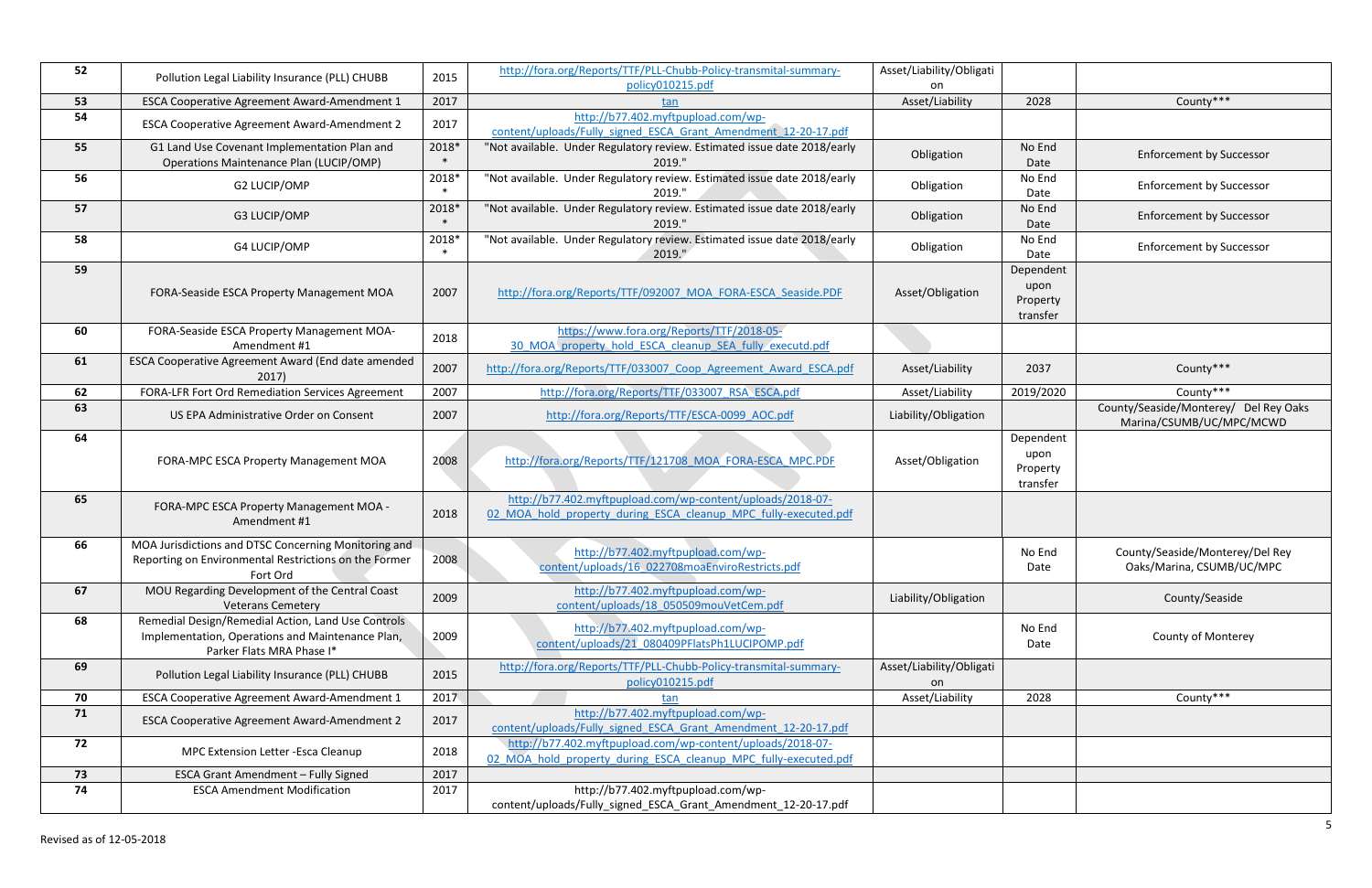| 2028                                      | County***                                                         |
|-------------------------------------------|-------------------------------------------------------------------|
|                                           |                                                                   |
| No End<br>Date                            | <b>Enforcement by Successor</b>                                   |
| No End<br>Date                            | <b>Enforcement by Successor</b>                                   |
| No End<br>Date                            | <b>Enforcement by Successor</b>                                   |
| No End<br>Date                            | <b>Enforcement by Successor</b>                                   |
| Dependent<br>upon<br>Property<br>transfer |                                                                   |
|                                           |                                                                   |
| 2037                                      | County***                                                         |
| 2019/2020                                 | County***                                                         |
|                                           | County/Seaside/Monterey/ Del Rey Oaks<br>Marina/CSUMB/UC/MPC/MCWD |
| Dependent<br>upon<br>Property<br>transfer |                                                                   |
|                                           |                                                                   |
| No End<br>Date                            | County/Seaside/Monterey/Del Rey<br>Oaks/Marina, CSUMB/UC/MPC      |
|                                           | County/Seaside                                                    |
| No End<br>Date                            | County of Monterey                                                |
|                                           |                                                                   |
| 2028                                      | County***                                                         |
|                                           |                                                                   |
|                                           |                                                                   |
|                                           |                                                                   |
|                                           |                                                                   |
|                                           |                                                                   |

| 52 | Pollution Legal Liability Insurance (PLL) CHUBB                               | 2015  | http://fora.org/Reports/TTF/PLL-Chubb-Policy-transmital-summary-         | Asset/Liability/Obligati |                      |                                       |
|----|-------------------------------------------------------------------------------|-------|--------------------------------------------------------------------------|--------------------------|----------------------|---------------------------------------|
| 53 | ESCA Cooperative Agreement Award-Amendment 1                                  | 2017  | policy010215.pdf<br>tan                                                  | on<br>Asset/Liability    | 2028                 | County***                             |
| 54 |                                                                               |       | http://b77.402.myftpupload.com/wp-                                       |                          |                      |                                       |
|    | ESCA Cooperative Agreement Award-Amendment 2                                  | 2017  | content/uploads/Fully signed ESCA Grant Amendment 12-20-17.pdf           |                          |                      |                                       |
| 55 | G1 Land Use Covenant Implementation Plan and                                  | 2018* | "Not available. Under Regulatory review. Estimated issue date 2018/early |                          | No End               |                                       |
|    | Operations Maintenance Plan (LUCIP/OMP)                                       |       | 2019."                                                                   | Obligation               | Date                 | <b>Enforcement by Successor</b>       |
| 56 | G2 LUCIP/OMP                                                                  | 2018* | "Not available. Under Regulatory review. Estimated issue date 2018/early | Obligation               | No End               | <b>Enforcement by Successor</b>       |
|    |                                                                               |       | 2019."                                                                   |                          | Date                 |                                       |
| 57 | G3 LUCIP/OMP                                                                  | 2018* | "Not available. Under Regulatory review. Estimated issue date 2018/early | Obligation               | No End               | <b>Enforcement by Successor</b>       |
|    |                                                                               |       | 2019."                                                                   |                          | Date                 |                                       |
| 58 | G4 LUCIP/OMP                                                                  | 2018* | "Not available. Under Regulatory review. Estimated issue date 2018/early | Obligation               | No End               | <b>Enforcement by Successor</b>       |
|    |                                                                               |       | 2019."                                                                   |                          | Date                 |                                       |
| 59 |                                                                               |       |                                                                          |                          | Dependent            |                                       |
|    | FORA-Seaside ESCA Property Management MOA                                     | 2007  | http://fora.org/Reports/TTF/092007 MOA FORA-ESCA Seaside.PDF             | Asset/Obligation         | upon<br>Property     |                                       |
|    |                                                                               |       |                                                                          |                          | transfer             |                                       |
| 60 | FORA-Seaside ESCA Property Management MOA-                                    |       | https://www.fora.org/Reports/TTF/2018-05-                                |                          |                      |                                       |
|    | Amendment #1                                                                  | 2018  | 30 MOA property hold ESCA cleanup SEA fully executd.pdf                  |                          |                      |                                       |
| 61 | ESCA Cooperative Agreement Award (End date amended                            | 2007  | http://fora.org/Reports/TTF/033007_Coop_Agreement_Award_ESCA.pdf         | Asset/Liability          | 2037                 | County***                             |
|    | 2017)                                                                         |       |                                                                          |                          |                      |                                       |
| 62 | FORA-LFR Fort Ord Remediation Services Agreement                              | 2007  | http://fora.org/Reports/TTF/033007 RSA ESCA.pdf                          | Asset/Liability          | 2019/2020            | County***                             |
| 63 | US EPA Administrative Order on Consent                                        | 2007  | http://fora.org/Reports/TTF/ESCA-0099 AOC.pdf                            | Liability/Obligation     |                      | County/Seaside/Monterey/ Del Rey Oaks |
|    |                                                                               |       |                                                                          |                          |                      | Marina/CSUMB/UC/MPC/MCWD              |
| 64 |                                                                               |       |                                                                          |                          | Dependent            |                                       |
|    | FORA-MPC ESCA Property Management MOA                                         | 2008  | http://fora.org/Reports/TTF/121708 MOA FORA-ESCA MPC.PDF                 | Asset/Obligation         | upon                 |                                       |
|    |                                                                               |       |                                                                          |                          | Property<br>transfer |                                       |
| 65 |                                                                               |       | http://b77.402.myftpupload.com/wp-content/uploads/2018-07-               |                          |                      |                                       |
|    | FORA-MPC ESCA Property Management MOA -                                       | 2018  | 02 MOA hold property during ESCA cleanup MPC fully-executed.pdf          |                          |                      |                                       |
|    | Amendment #1                                                                  |       |                                                                          |                          |                      |                                       |
| 66 | MOA Jurisdictions and DTSC Concerning Monitoring and                          |       | http://b77.402.myftpupload.com/wp-                                       |                          | No End               | County/Seaside/Monterey/Del Rey       |
|    | Reporting on Environmental Restrictions on the Former                         | 2008  | content/uploads/16_022708moaEnviroRestricts.pdf                          |                          | Date                 | Oaks/Marina, CSUMB/UC/MPC             |
|    | Fort Ord                                                                      |       |                                                                          |                          |                      |                                       |
| 67 | MOU Regarding Development of the Central Coast                                | 2009  | http://b77.402.myftpupload.com/wp-                                       | Liability/Obligation     |                      | County/Seaside                        |
|    | <b>Veterans Cemetery</b>                                                      |       | content/uploads/18 050509mouVetCem.pdf                                   |                          |                      |                                       |
| 68 | Remedial Design/Remedial Action, Land Use Controls                            |       | http://b77.402.myftpupload.com/wp-                                       |                          | No End               |                                       |
|    | Implementation, Operations and Maintenance Plan,<br>Parker Flats MRA Phase I* | 2009  | content/uploads/21_080409PFlatsPh1LUCIPOMP.pdf                           |                          | Date                 | <b>County of Monterey</b>             |
| 69 |                                                                               |       | http://fora.org/Reports/TTF/PLL-Chubb-Policy-transmital-summary-         | Asset/Liability/Obligati |                      |                                       |
|    | Pollution Legal Liability Insurance (PLL) CHUBB                               | 2015  | policy010215.pdf                                                         | on                       |                      |                                       |
| 70 | ESCA Cooperative Agreement Award-Amendment 1                                  | 2017  | tan                                                                      | Asset/Liability          | 2028                 | County***                             |
| 71 |                                                                               |       | http://b77.402.myftpupload.com/wp-                                       |                          |                      |                                       |
|    | ESCA Cooperative Agreement Award-Amendment 2                                  | 2017  | content/uploads/Fully signed ESCA Grant Amendment 12-20-17.pdf           |                          |                      |                                       |
| 72 | MPC Extension Letter - Esca Cleanup                                           | 2018  | http://b77.402.myftpupload.com/wp-content/uploads/2018-07-               |                          |                      |                                       |
|    |                                                                               |       | 02 MOA hold property during ESCA cleanup MPC fully-executed.pdf          |                          |                      |                                       |
| 73 | <b>ESCA Grant Amendment - Fully Signed</b>                                    | 2017  |                                                                          |                          |                      |                                       |
| 74 | <b>ESCA Amendment Modification</b>                                            | 2017  | http://b77.402.myftpupload.com/wp-                                       |                          |                      |                                       |
|    |                                                                               |       | content/uploads/Fully_signed_ESCA_Grant_Amendment_12-20-17.pdf           |                          |                      |                                       |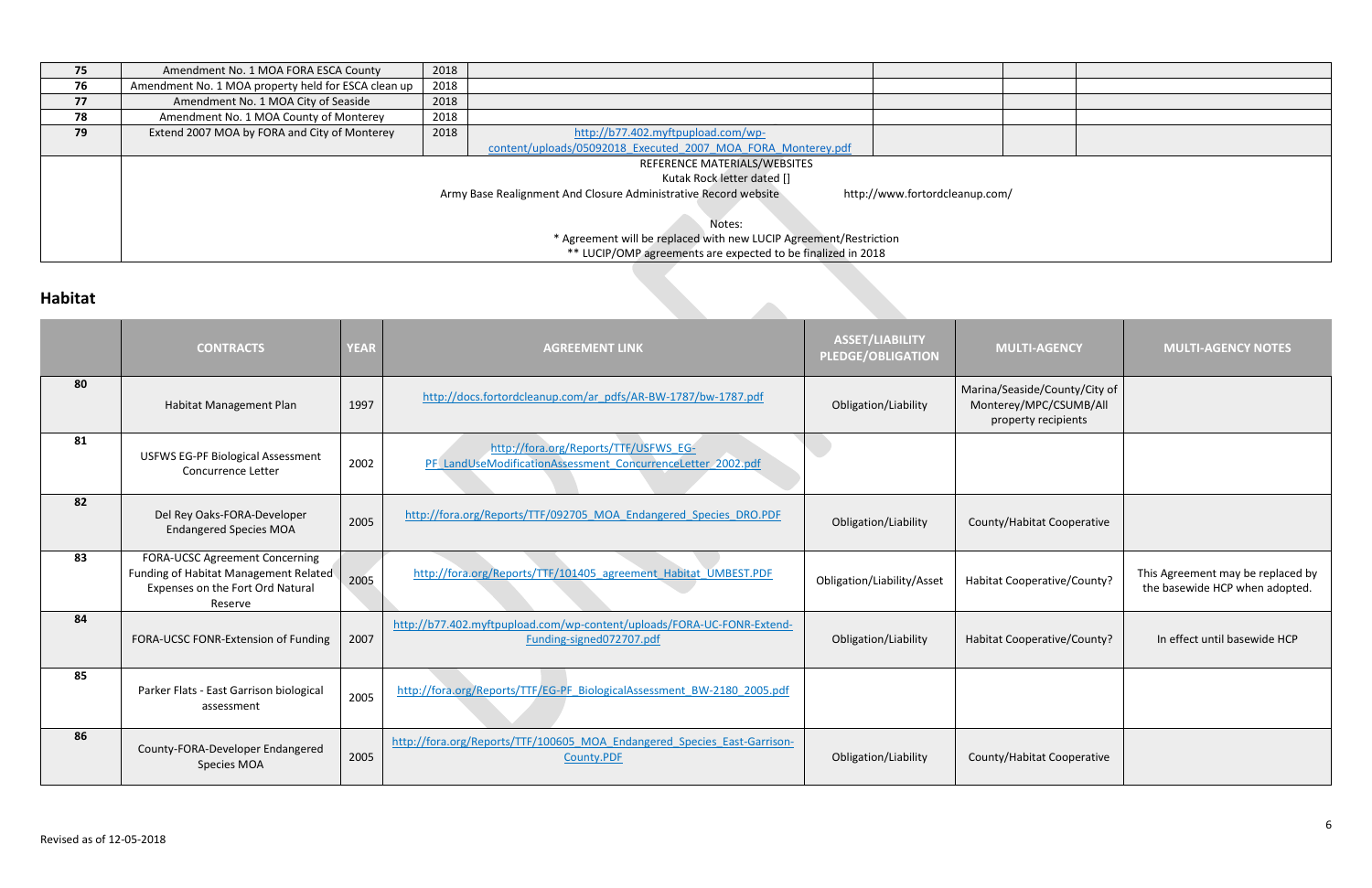| 75      | Amendment No. 1 MOA FORA ESCA County                                                              | 2018 |                                                              |  |  |
|---------|---------------------------------------------------------------------------------------------------|------|--------------------------------------------------------------|--|--|
| 76      | Amendment No. 1 MOA property held for ESCA clean up                                               | 2018 |                                                              |  |  |
| 77      | Amendment No. 1 MOA City of Seaside                                                               | 2018 |                                                              |  |  |
| 78      | Amendment No. 1 MOA County of Monterey                                                            | 2018 |                                                              |  |  |
| 79      | Extend 2007 MOA by FORA and City of Monterey                                                      | 2018 | http://b77.402.myftpupload.com/wp-                           |  |  |
|         |                                                                                                   |      | content/uploads/05092018 Executed 2007 MOA FORA Monterey.pdf |  |  |
|         |                                                                                                   |      | REFERENCE MATERIALS/WEBSITES                                 |  |  |
|         | Kutak Rock letter dated []                                                                        |      |                                                              |  |  |
|         | Army Base Realignment And Closure Administrative Record website<br>http://www.fortordcleanup.com/ |      |                                                              |  |  |
|         |                                                                                                   |      |                                                              |  |  |
|         | Notes:                                                                                            |      |                                                              |  |  |
|         | * Agreement will be replaced with new LUCIP Agreement/Restriction                                 |      |                                                              |  |  |
|         | ** LUCIP/OMP agreements are expected to be finalized in 2018                                      |      |                                                              |  |  |
| Habitat |                                                                                                   |      |                                                              |  |  |
|         |                                                                                                   |      |                                                              |  |  |

# **Habitat**

|    | <b>CONTRACTS</b>                                                                                                              | <b>YEAR</b> | <b>AGREEMENT LINK</b>                                                                                | <b>ASSET/LIABILITY</b><br><b>PLEDGE/OBLIGATION</b> | <b>MULTI-AGENCY</b>                                                            | <b>MULTI-AGENCY NOTES</b>                                           |
|----|-------------------------------------------------------------------------------------------------------------------------------|-------------|------------------------------------------------------------------------------------------------------|----------------------------------------------------|--------------------------------------------------------------------------------|---------------------------------------------------------------------|
| 80 | Habitat Management Plan                                                                                                       | 1997        | http://docs.fortordcleanup.com/ar_pdfs/AR-BW-1787/bw-1787.pdf                                        | Obligation/Liability                               | Marina/Seaside/County/City of<br>Monterey/MPC/CSUMB/All<br>property recipients |                                                                     |
| 81 | <b>USFWS EG-PF Biological Assessment</b><br>Concurrence Letter                                                                | 2002        | http://fora.org/Reports/TTF/USFWS EG-<br>PF LandUseModificationAssessment ConcurrenceLetter 2002.pdf |                                                    |                                                                                |                                                                     |
| 82 | Del Rey Oaks-FORA-Developer<br><b>Endangered Species MOA</b>                                                                  | 2005        | http://fora.org/Reports/TTF/092705 MOA Endangered Species DRO.PDF                                    | Obligation/Liability                               | County/Habitat Cooperative                                                     |                                                                     |
| 83 | <b>FORA-UCSC Agreement Concerning</b><br>Funding of Habitat Management Related<br>Expenses on the Fort Ord Natural<br>Reserve | 2005        | http://fora.org/Reports/TTF/101405 agreement Habitat UMBEST.PDF                                      | Obligation/Liability/Asset                         | Habitat Cooperative/County?                                                    | This Agreement may be replaced by<br>the basewide HCP when adopted. |
| 84 | FORA-UCSC FONR-Extension of Funding                                                                                           | 2007        | http://b77.402.myftpupload.com/wp-content/uploads/FORA-UC-FONR-Extend-<br>Funding-signed072707.pdf   | Obligation/Liability                               | Habitat Cooperative/County?                                                    | In effect until basewide HCP                                        |
| 85 | Parker Flats - East Garrison biological<br>assessment                                                                         | 2005        | http://fora.org/Reports/TTF/EG-PF BiologicalAssessment BW-2180 2005.pdf                              |                                                    |                                                                                |                                                                     |
| 86 | County-FORA-Developer Endangered<br><b>Species MOA</b>                                                                        | 2005        | http://fora.org/Reports/TTF/100605_MOA_Endangered_Species_East-Garrison-<br>County.PDF               | Obligation/Liability                               | County/Habitat Cooperative                                                     |                                                                     |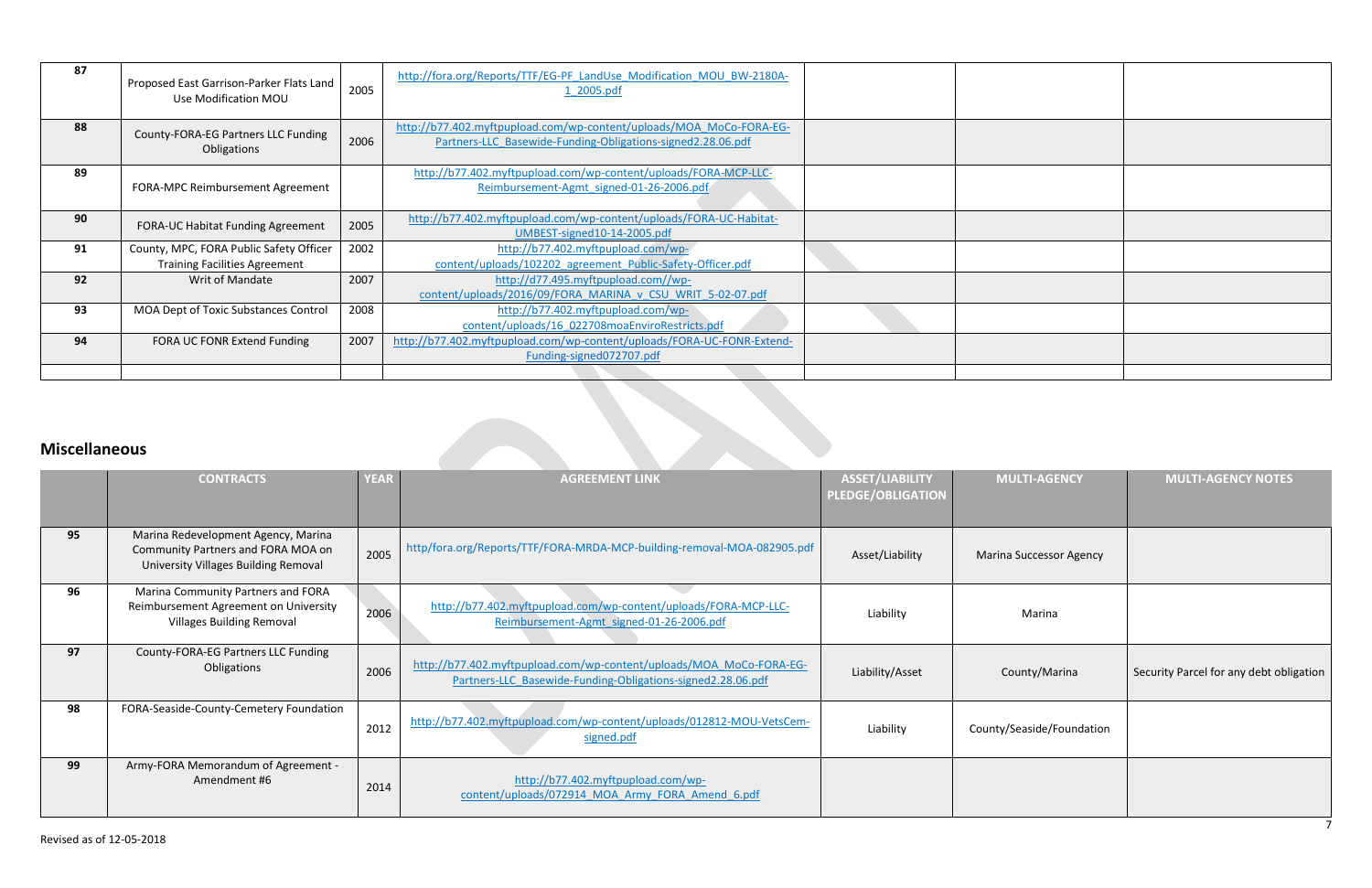| 87 | Proposed East Garrison-Parker Flats Land<br>Use Modification MOU | 2005 | http://fora.org/Reports/TTF/EG-PF LandUse Modification MOU BW-2180A-<br>1 2005.pdf                                                 |  |  |
|----|------------------------------------------------------------------|------|------------------------------------------------------------------------------------------------------------------------------------|--|--|
| 88 | County-FORA-EG Partners LLC Funding<br>Obligations               | 2006 | http://b77.402.myftpupload.com/wp-content/uploads/MOA MoCo-FORA-EG-<br>Partners-LLC Basewide-Funding-Obligations-signed2.28.06.pdf |  |  |
| 89 | FORA-MPC Reimbursement Agreement                                 |      | http://b77.402.myftpupload.com/wp-content/uploads/FORA-MCP-LLC-<br>Reimbursement-Agmt_signed-01-26-2006.pdf                        |  |  |
| 90 | FORA-UC Habitat Funding Agreement                                | 2005 | http://b77.402.myftpupload.com/wp-content/uploads/FORA-UC-Habitat-<br>UMBEST-signed10-14-2005.pdf                                  |  |  |
| 91 | County, MPC, FORA Public Safety Officer                          | 2002 | http://b77.402.myftpupload.com/wp-                                                                                                 |  |  |
|    | <b>Training Facilities Agreement</b>                             |      | content/uploads/102202 agreement Public-Safety-Officer.pdf                                                                         |  |  |
| 92 | Writ of Mandate                                                  | 2007 | http://d77.495.myftpupload.com//wp-                                                                                                |  |  |
|    |                                                                  |      | content/uploads/2016/09/FORA MARINA v CSU WRIT 5-02-07.pdf                                                                         |  |  |
| 93 | MOA Dept of Toxic Substances Control                             | 2008 | http://b77.402.myftpupload.com/wp-                                                                                                 |  |  |
|    |                                                                  |      | content/uploads/16_022708moaEnviroRestricts.pdf                                                                                    |  |  |
| 94 | FORA UC FONR Extend Funding                                      | 2007 | http://b77.402.myftpupload.com/wp-content/uploads/FORA-UC-FONR-Extend-                                                             |  |  |
|    |                                                                  |      | Funding-signed072707.pdf                                                                                                           |  |  |
|    |                                                                  |      |                                                                                                                                    |  |  |

# **Miscellaneous**

| <b>Miscellaneous</b> |                                                                                                                   |             |                                                                                                                                    |                                                    |                                |                                         |  |
|----------------------|-------------------------------------------------------------------------------------------------------------------|-------------|------------------------------------------------------------------------------------------------------------------------------------|----------------------------------------------------|--------------------------------|-----------------------------------------|--|
|                      | <b>CONTRACTS</b>                                                                                                  | <b>YEAR</b> | <b>AGREEMENT LINK</b>                                                                                                              | <b>ASSET/LIABILITY</b><br><b>PLEDGE/OBLIGATION</b> | <b>MULTI-AGENCY</b>            | <b>MULTI-AGENCY NOTES</b>               |  |
| 95                   | Marina Redevelopment Agency, Marina<br>Community Partners and FORA MOA on<br>University Villages Building Removal | 2005        | http/fora.org/Reports/TTF/FORA-MRDA-MCP-building-removal-MOA-082905.pdf                                                            | Asset/Liability                                    | <b>Marina Successor Agency</b> |                                         |  |
| 96                   | Marina Community Partners and FORA<br>Reimbursement Agreement on University<br><b>Villages Building Removal</b>   | 2006        | http://b77.402.myftpupload.com/wp-content/uploads/FORA-MCP-LLC-<br>Reimbursement-Agmt signed-01-26-2006.pdf                        | Liability                                          | Marina                         |                                         |  |
| 97                   | County-FORA-EG Partners LLC Funding<br>Obligations                                                                | 2006        | http://b77.402.myftpupload.com/wp-content/uploads/MOA_MoCo-FORA-EG-<br>Partners-LLC Basewide-Funding-Obligations-signed2.28.06.pdf | Liability/Asset                                    | County/Marina                  | Security Parcel for any debt obligation |  |
| 98                   | FORA-Seaside-County-Cemetery Foundation                                                                           | 2012        | http://b77.402.myftpupload.com/wp-content/uploads/012812-MOU-VetsCem-<br>signed.pdf                                                | Liability                                          | County/Seaside/Foundation      |                                         |  |
| 99                   | Army-FORA Memorandum of Agreement -<br>Amendment #6                                                               | 2014        | http://b77.402.myftpupload.com/wp-<br>content/uploads/072914 MOA Army FORA Amend 6.pdf                                             |                                                    |                                |                                         |  |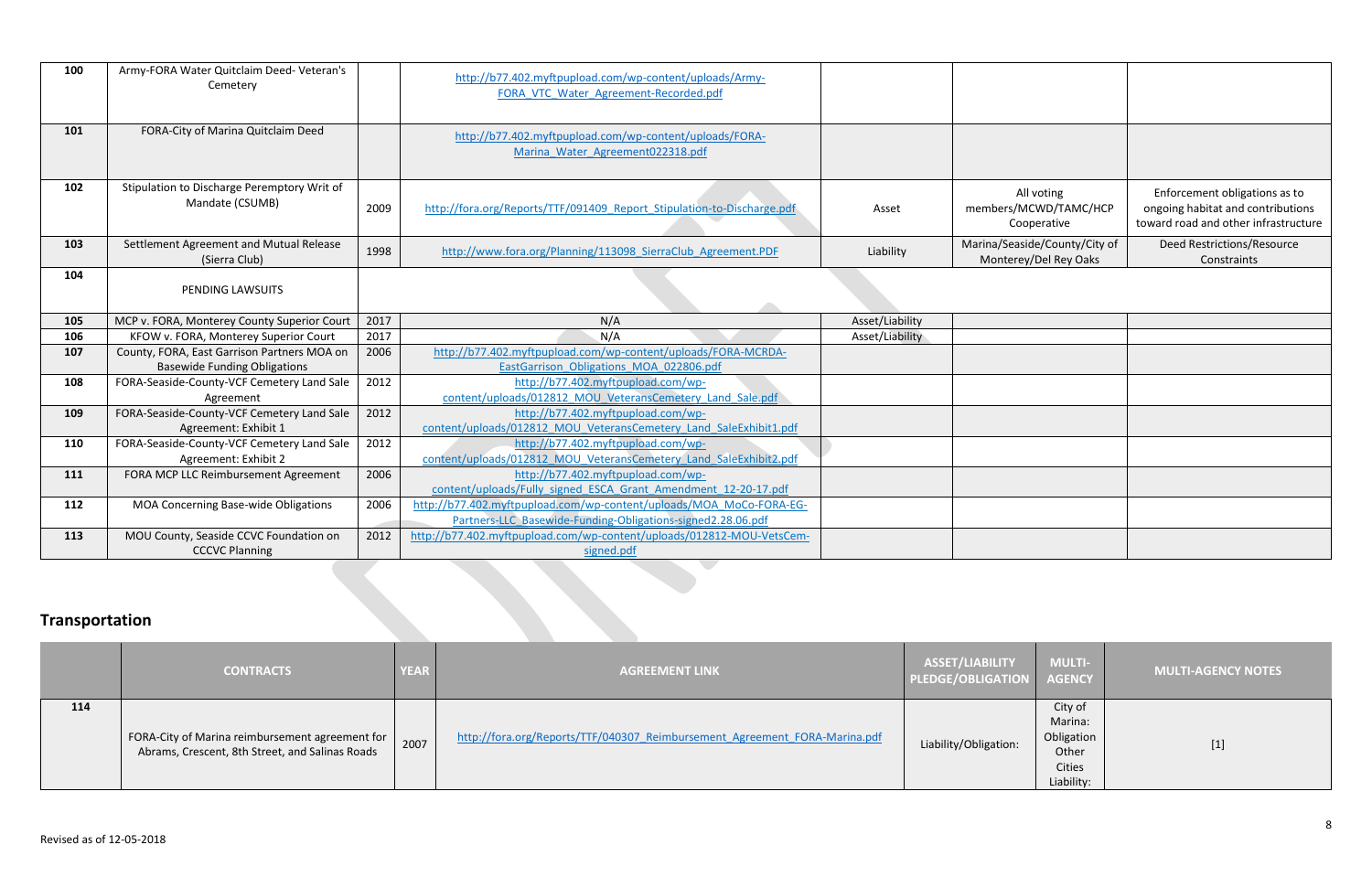| 100            | Army-FORA Water Quitclaim Deed- Veteran's<br>Cemetery                             |      | http://b77.402.myftpupload.com/wp-content/uploads/Army-<br>FORA VTC Water Agreement-Recorded.pdf                                   |                 |                                                        |                                                                                                            |
|----------------|-----------------------------------------------------------------------------------|------|------------------------------------------------------------------------------------------------------------------------------------|-----------------|--------------------------------------------------------|------------------------------------------------------------------------------------------------------------|
| 101            | FORA-City of Marina Quitclaim Deed                                                |      | http://b77.402.myftpupload.com/wp-content/uploads/FORA-<br>Marina Water Agreement022318.pdf                                        |                 |                                                        |                                                                                                            |
| 102            | Stipulation to Discharge Peremptory Writ of<br>Mandate (CSUMB)                    | 2009 | http://fora.org/Reports/TTF/091409 Report Stipulation-to-Discharge.pdf                                                             | Asset           | All voting<br>members/MCWD/TAMC/HCP<br>Cooperative     | Enforcement obligations as to<br>ongoing habitat and contributions<br>toward road and other infrastructure |
| 103            | Settlement Agreement and Mutual Release<br>(Sierra Club)                          | 1998 | http://www.fora.org/Planning/113098 SierraClub Agreement.PDF                                                                       | Liability       | Marina/Seaside/County/City of<br>Monterey/Del Rey Oaks | <b>Deed Restrictions/Resource</b><br>Constraints                                                           |
| 104            | PENDING LAWSUITS                                                                  |      |                                                                                                                                    |                 |                                                        |                                                                                                            |
| 105            | MCP v. FORA, Monterey County Superior Court                                       | 2017 | N/A                                                                                                                                | Asset/Liability |                                                        |                                                                                                            |
| 106            | KFOW v. FORA, Monterey Superior Court                                             | 2017 | N/A                                                                                                                                | Asset/Liability |                                                        |                                                                                                            |
| 107            | County, FORA, East Garrison Partners MOA on                                       | 2006 | http://b77.402.myftpupload.com/wp-content/uploads/FORA-MCRDA-                                                                      |                 |                                                        |                                                                                                            |
| 108            | <b>Basewide Funding Obligations</b><br>FORA-Seaside-County-VCF Cemetery Land Sale | 2012 | EastGarrison Obligations MOA 022806.pdf<br>http://b77.402.myftpupload.com/wp-                                                      |                 |                                                        |                                                                                                            |
|                | Agreement                                                                         |      | content/uploads/012812 MOU VeteransCemetery Land Sale.pdf                                                                          |                 |                                                        |                                                                                                            |
| 109            | FORA-Seaside-County-VCF Cemetery Land Sale                                        | 2012 | http://b77.402.myftpupload.com/wp-                                                                                                 |                 |                                                        |                                                                                                            |
|                | Agreement: Exhibit 1                                                              |      | content/uploads/012812 MOU VeteransCemetery Land SaleExhibit1.pdf                                                                  |                 |                                                        |                                                                                                            |
| 110            | FORA-Seaside-County-VCF Cemetery Land Sale                                        | 2012 | http://b77.402.myftpupload.com/wp-                                                                                                 |                 |                                                        |                                                                                                            |
|                | Agreement: Exhibit 2                                                              |      | content/uploads/012812 MOU VeteransCemetery Land SaleExhibit2.pdf                                                                  |                 |                                                        |                                                                                                            |
| 111            | FORA MCP LLC Reimbursement Agreement                                              | 2006 | http://b77.402.myftpupload.com/wp-                                                                                                 |                 |                                                        |                                                                                                            |
|                |                                                                                   |      | content/uploads/Fully signed ESCA Grant Amendment 12-20-17.pdf                                                                     |                 |                                                        |                                                                                                            |
| 112            | MOA Concerning Base-wide Obligations                                              | 2006 | http://b77.402.myftpupload.com/wp-content/uploads/MOA MoCo-FORA-EG-<br>Partners-LLC Basewide-Funding-Obligations-signed2.28.06.pdf |                 |                                                        |                                                                                                            |
| 113            | MOU County, Seaside CCVC Foundation on                                            | 2012 | http://b77.402.myftpupload.com/wp-content/uploads/012812-MOU-VetsCem-                                                              |                 |                                                        |                                                                                                            |
|                | <b>CCCVC Planning</b>                                                             |      | signed.pdf                                                                                                                         |                 |                                                        |                                                                                                            |
| Transportation |                                                                                   |      |                                                                                                                                    |                 |                                                        |                                                                                                            |

# **Transportation**

|     | <b>CONTRACTS</b>                                                                                   | <b>YEAR</b> | <b>AGREEMENT LINK</b>                                                      | ASSET/LIABILITY<br>PLEDGE/OBLIGATION AGENCY | <b>MULTI-</b>                                                            | <b>MULTI-AGENCY NOTES</b> |
|-----|----------------------------------------------------------------------------------------------------|-------------|----------------------------------------------------------------------------|---------------------------------------------|--------------------------------------------------------------------------|---------------------------|
| 114 | FORA-City of Marina reimbursement agreement for<br>Abrams, Crescent, 8th Street, and Salinas Roads | 2007        | http://fora.org/Reports/TTF/040307 Reimbursement Agreement FORA-Marina.pdf | Liability/Obligation:                       | City of<br>Marina:<br>Obligation<br>Other<br><b>Cities</b><br>Liability: | $[1]$                     |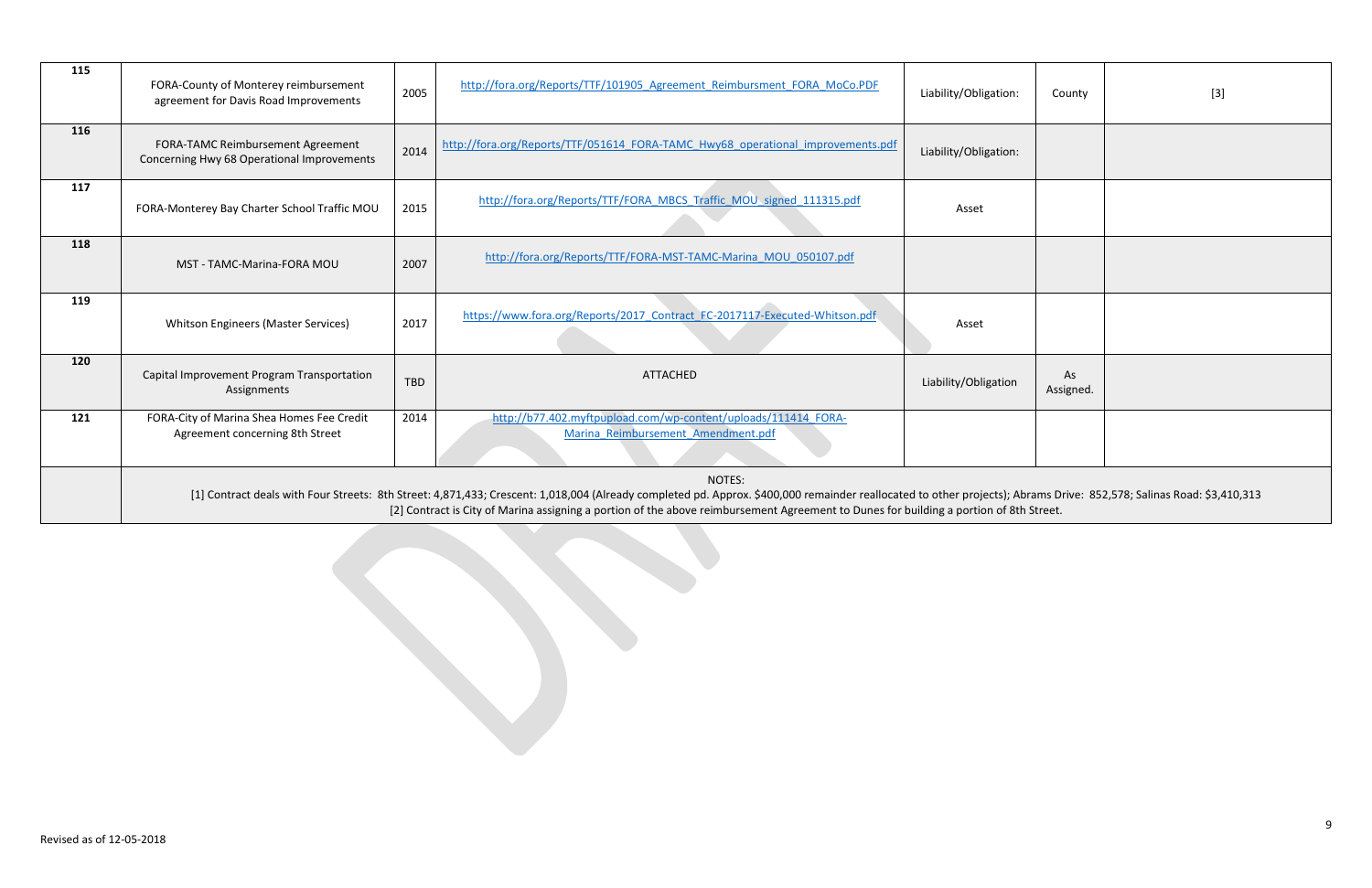| 115 | FORA-County of Monterey reimbursement<br>agreement for Davis Road Improvements                                                                                                                                                                                                                                                                                           | 2005 | http://fora.org/Reports/TTF/101905 Agreement Reimbursment FORA MoCo.PDF                              | Liability/Obligation: | County          | $[3]$ |  |
|-----|--------------------------------------------------------------------------------------------------------------------------------------------------------------------------------------------------------------------------------------------------------------------------------------------------------------------------------------------------------------------------|------|------------------------------------------------------------------------------------------------------|-----------------------|-----------------|-------|--|
| 116 | FORA-TAMC Reimbursement Agreement<br>Concerning Hwy 68 Operational Improvements                                                                                                                                                                                                                                                                                          | 2014 | http://fora.org/Reports/TTF/051614 FORA-TAMC Hwy68 operational improvements.pdf                      | Liability/Obligation: |                 |       |  |
| 117 | FORA-Monterey Bay Charter School Traffic MOU                                                                                                                                                                                                                                                                                                                             | 2015 | http://fora.org/Reports/TTF/FORA_MBCS_Traffic_MOU_signed_111315.pdf                                  | Asset                 |                 |       |  |
| 118 | MST - TAMC-Marina-FORA MOU                                                                                                                                                                                                                                                                                                                                               | 2007 | http://fora.org/Reports/TTF/FORA-MST-TAMC-Marina MOU 050107.pdf                                      |                       |                 |       |  |
| 119 | <b>Whitson Engineers (Master Services)</b>                                                                                                                                                                                                                                                                                                                               | 2017 | https://www.fora.org/Reports/2017 Contract FC-2017117-Executed-Whitson.pdf                           | Asset                 |                 |       |  |
| 120 | Capital Improvement Program Transportation<br>Assignments                                                                                                                                                                                                                                                                                                                | TBD  | ATTACHED                                                                                             | Liability/Obligation  | As<br>Assigned. |       |  |
| 121 | FORA-City of Marina Shea Homes Fee Credit<br>Agreement concerning 8th Street                                                                                                                                                                                                                                                                                             | 2014 | http://b77.402.myftpupload.com/wp-content/uploads/111414 FORA-<br>Marina Reimbursement Amendment.pdf |                       |                 |       |  |
|     | NOTES:<br>[1] Contract deals with Four Streets: 8th Street: 4,871,433; Crescent: 1,018,004 (Already completed pd. Approx. \$400,000 remainder reallocated to other projects); Abrams Drive: 852,578; Salinas Road: \$3,410,313<br>[2] Contract is City of Marina assigning a portion of the above reimbursement Agreement to Dunes for building a portion of 8th Street. |      |                                                                                                      |                       |                 |       |  |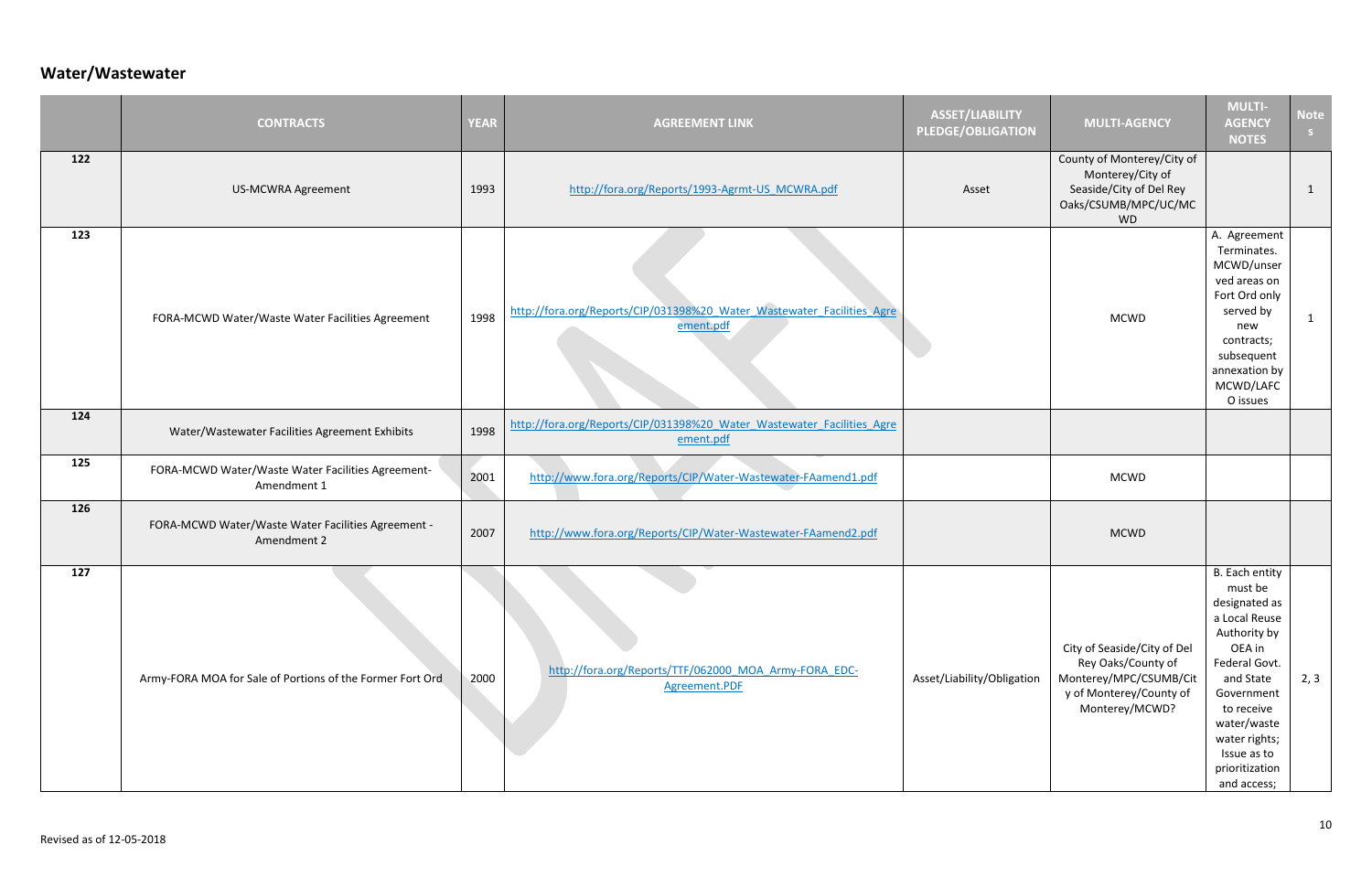# **Water/Wastewater**

|     | <b>CONTRACTS</b>                                                  | <b>YEAR</b> | <b>AGREEMENT LINK</b>                                                               | <b>ASSET/LIABILITY</b><br><b>PLEDGE/OBLIGATION</b> | <b>MULTI-AGENCY</b>                                                                                                      | <b>MULTI-</b><br><b>AGENCY</b><br><b>NOTES</b>                                                                                                                                                                                  | <b>Note</b><br>S |
|-----|-------------------------------------------------------------------|-------------|-------------------------------------------------------------------------------------|----------------------------------------------------|--------------------------------------------------------------------------------------------------------------------------|---------------------------------------------------------------------------------------------------------------------------------------------------------------------------------------------------------------------------------|------------------|
| 122 | <b>US-MCWRA Agreement</b>                                         | 1993        | http://fora.org/Reports/1993-Agrmt-US MCWRA.pdf                                     | Asset                                              | County of Monterey/City of<br>Monterey/City of<br>Seaside/City of Del Rey<br>Oaks/CSUMB/MPC/UC/MC<br><b>WD</b>           |                                                                                                                                                                                                                                 | $\mathbf{1}$     |
| 123 | FORA-MCWD Water/Waste Water Facilities Agreement                  | 1998        | http://fora.org/Reports/CIP/031398%20 Water Wastewater Facilities Agre<br>ement.pdf |                                                    | <b>MCWD</b>                                                                                                              | A. Agreement<br>Terminates.<br>MCWD/unser<br>ved areas on<br>Fort Ord only<br>served by<br>new<br>contracts;<br>subsequent<br>annexation by<br>MCWD/LAFC<br>O issues                                                            | $\mathbf{1}$     |
| 124 | Water/Wastewater Facilities Agreement Exhibits                    | 1998        | http://fora.org/Reports/CIP/031398%20 Water Wastewater Facilities Agre<br>ement.pdf |                                                    |                                                                                                                          |                                                                                                                                                                                                                                 |                  |
| 125 | FORA-MCWD Water/Waste Water Facilities Agreement-<br>Amendment 1  | 2001        | http://www.fora.org/Reports/CIP/Water-Wastewater-FAamend1.pdf                       |                                                    | <b>MCWD</b>                                                                                                              |                                                                                                                                                                                                                                 |                  |
| 126 | FORA-MCWD Water/Waste Water Facilities Agreement -<br>Amendment 2 | 2007        | http://www.fora.org/Reports/CIP/Water-Wastewater-FAamend2.pdf                       |                                                    | <b>MCWD</b>                                                                                                              |                                                                                                                                                                                                                                 |                  |
| 127 | Army-FORA MOA for Sale of Portions of the Former Fort Ord         | 2000        | http://fora.org/Reports/TTF/062000 MOA Army-FORA EDC-<br>Agreement.PDF              | Asset/Liability/Obligation                         | City of Seaside/City of Del<br>Rey Oaks/County of<br>Monterey/MPC/CSUMB/Cit<br>y of Monterey/County of<br>Monterey/MCWD? | B. Each entity<br>must be<br>designated as<br>a Local Reuse<br>Authority by<br>OEA in<br>Federal Govt.<br>and State<br>Government<br>to receive<br>water/waste<br>water rights;<br>Issue as to<br>prioritization<br>and access; | 2, 3             |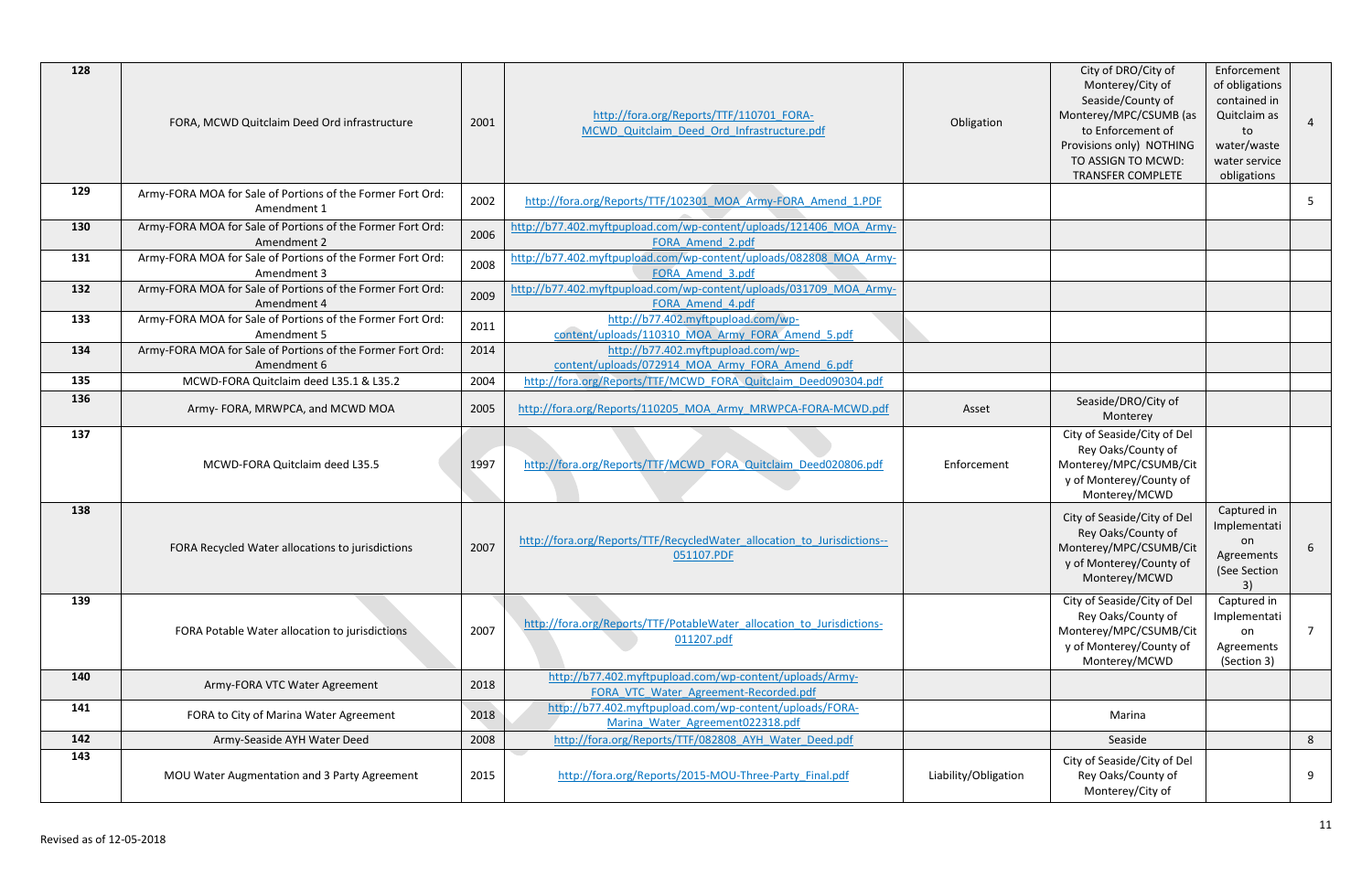| 128 | FORA, MCWD Quitclaim Deed Ord infrastructure                              | 2001 | http://fora.org/Reports/TTF/110701 FORA-<br>MCWD Quitclaim Deed Ord Infrastructure.pdf           | Obligation           | City of DRO/City of<br>Monterey/City of<br>Seaside/County of<br>Monterey/MPC/CSUMB (as<br>to Enforcement of<br>Provisions only) NOTHING<br>TO ASSIGN TO MCWD:<br><b>TRANSFER COMPLETE</b> | Enforcement<br>of obligations<br>contained in<br>Quitclaim as<br>to<br>water/waste<br>water service<br>obligations | $\overline{4}$ |
|-----|---------------------------------------------------------------------------|------|--------------------------------------------------------------------------------------------------|----------------------|-------------------------------------------------------------------------------------------------------------------------------------------------------------------------------------------|--------------------------------------------------------------------------------------------------------------------|----------------|
| 129 | Army-FORA MOA for Sale of Portions of the Former Fort Ord:<br>Amendment 1 | 2002 | http://fora.org/Reports/TTF/102301 MOA Army-FORA Amend 1.PDF                                     |                      |                                                                                                                                                                                           |                                                                                                                    | 5              |
| 130 | Army-FORA MOA for Sale of Portions of the Former Fort Ord:<br>Amendment 2 | 2006 | http://b77.402.myftpupload.com/wp-content/uploads/121406_MOA_Army-<br>FORA Amend 2.pdf           |                      |                                                                                                                                                                                           |                                                                                                                    |                |
| 131 | Army-FORA MOA for Sale of Portions of the Former Fort Ord:<br>Amendment 3 | 2008 | http://b77.402.myftpupload.com/wp-content/uploads/082808 MOA Army-<br>FORA Amend 3.pdf           |                      |                                                                                                                                                                                           |                                                                                                                    |                |
| 132 | Army-FORA MOA for Sale of Portions of the Former Fort Ord:<br>Amendment 4 | 2009 | http://b77.402.myftpupload.com/wp-content/uploads/031709_MOA_Army-<br>FORA Amend 4.pdf           |                      |                                                                                                                                                                                           |                                                                                                                    |                |
| 133 | Army-FORA MOA for Sale of Portions of the Former Fort Ord:<br>Amendment 5 | 2011 | http://b77.402.myftpupload.com/wp-<br>content/uploads/110310 MOA Army FORA Amend 5.pdf           |                      |                                                                                                                                                                                           |                                                                                                                    |                |
| 134 | Army-FORA MOA for Sale of Portions of the Former Fort Ord:<br>Amendment 6 | 2014 | http://b77.402.myftpupload.com/wp-<br>content/uploads/072914 MOA Army FORA Amend 6.pdf           |                      |                                                                                                                                                                                           |                                                                                                                    |                |
| 135 | MCWD-FORA Quitclaim deed L35.1 & L35.2                                    | 2004 | http://fora.org/Reports/TTF/MCWD FORA Quitclaim Deed090304.pdf                                   |                      |                                                                                                                                                                                           |                                                                                                                    |                |
| 136 | Army- FORA, MRWPCA, and MCWD MOA                                          | 2005 | http://fora.org/Reports/110205 MOA Army MRWPCA-FORA-MCWD.pdf                                     | Asset                | Seaside/DRO/City of<br>Monterey                                                                                                                                                           |                                                                                                                    |                |
| 137 | MCWD-FORA Quitclaim deed L35.5                                            | 1997 | http://fora.org/Reports/TTF/MCWD FORA Quitclaim Deed020806.pdf                                   | Enforcement          | City of Seaside/City of Del<br>Rey Oaks/County of<br>Monterey/MPC/CSUMB/Cit<br>y of Monterey/County of<br>Monterey/MCWD                                                                   |                                                                                                                    |                |
| 138 | FORA Recycled Water allocations to jurisdictions                          | 2007 | http://fora.org/Reports/TTF/RecycledWater allocation to Jurisdictions--<br>051107.PDF            |                      | City of Seaside/City of Del<br>Rey Oaks/County of<br>Monterey/MPC/CSUMB/Cit<br>y of Monterey/County of<br>Monterey/MCWD                                                                   | Captured in<br>Implementati<br>on<br>Agreements<br>(See Section<br>3)                                              | 6              |
| 139 | FORA Potable Water allocation to jurisdictions                            | 2007 | http://fora.org/Reports/TTF/PotableWater allocation to Jurisdictions-<br>011207.pdf              |                      | City of Seaside/City of Del<br>Rey Oaks/County of<br>Monterey/MPC/CSUMB/Cit<br>y of Monterey/County of<br>Monterey/MCWD                                                                   | Captured in<br>Implementati<br>on<br>Agreements<br>(Section 3)                                                     | 7              |
| 140 | Army-FORA VTC Water Agreement                                             | 2018 | http://b77.402.myftpupload.com/wp-content/uploads/Army-<br>FORA VTC Water Agreement-Recorded.pdf |                      |                                                                                                                                                                                           |                                                                                                                    |                |
| 141 | FORA to City of Marina Water Agreement                                    | 2018 | http://b77.402.myftpupload.com/wp-content/uploads/FORA-<br>Marina Water Agreement022318.pdf      |                      | Marina                                                                                                                                                                                    |                                                                                                                    |                |
| 142 | Army-Seaside AYH Water Deed                                               | 2008 | http://fora.org/Reports/TTF/082808 AYH Water Deed.pdf                                            |                      | Seaside                                                                                                                                                                                   |                                                                                                                    | 8              |
| 143 | MOU Water Augmentation and 3 Party Agreement                              | 2015 | http://fora.org/Reports/2015-MOU-Three-Party Final.pdf                                           | Liability/Obligation | City of Seaside/City of Del<br>Rey Oaks/County of<br>Monterey/City of                                                                                                                     |                                                                                                                    | 9              |
|     |                                                                           |      |                                                                                                  |                      |                                                                                                                                                                                           |                                                                                                                    |                |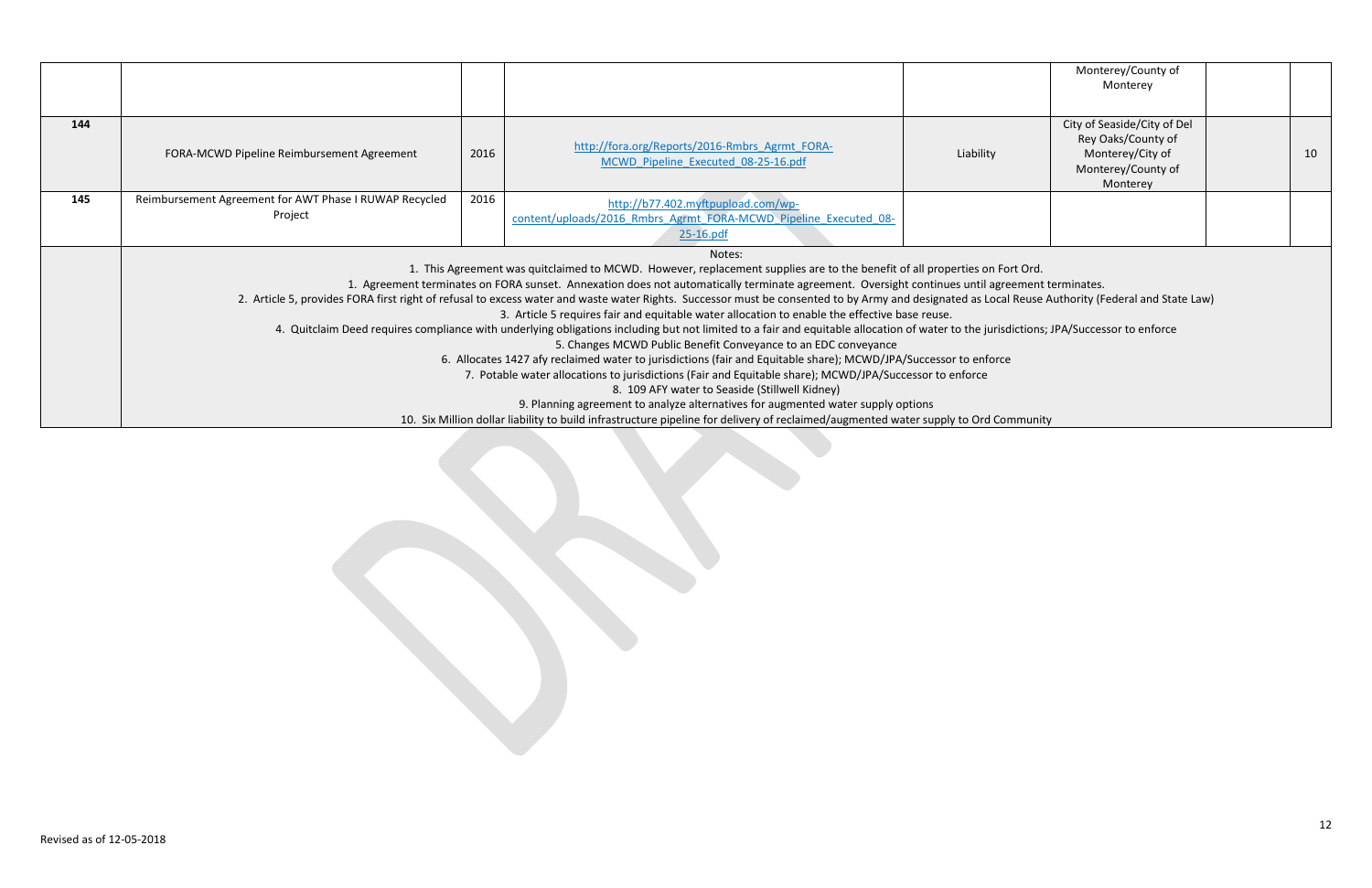|     |                                                                                                                                                                                                                                                                                                                                                                                                                                                                                                                                                                                                                                                                                                                                                                                                                                                                                                                                                                                                                                                                                                                                                                                                                               |      |                                                                                                                        |           | Monterey/County of<br>Monterey                                                                          |    |
|-----|-------------------------------------------------------------------------------------------------------------------------------------------------------------------------------------------------------------------------------------------------------------------------------------------------------------------------------------------------------------------------------------------------------------------------------------------------------------------------------------------------------------------------------------------------------------------------------------------------------------------------------------------------------------------------------------------------------------------------------------------------------------------------------------------------------------------------------------------------------------------------------------------------------------------------------------------------------------------------------------------------------------------------------------------------------------------------------------------------------------------------------------------------------------------------------------------------------------------------------|------|------------------------------------------------------------------------------------------------------------------------|-----------|---------------------------------------------------------------------------------------------------------|----|
| 144 | FORA-MCWD Pipeline Reimbursement Agreement                                                                                                                                                                                                                                                                                                                                                                                                                                                                                                                                                                                                                                                                                                                                                                                                                                                                                                                                                                                                                                                                                                                                                                                    | 2016 | http://fora.org/Reports/2016-Rmbrs_Agrmt_FORA-<br>MCWD Pipeline Executed 08-25-16.pdf                                  | Liability | City of Seaside/City of Del<br>Rey Oaks/County of<br>Monterey/City of<br>Monterey/County of<br>Monterey | 10 |
| 145 | Reimbursement Agreement for AWT Phase I RUWAP Recycled<br>Project                                                                                                                                                                                                                                                                                                                                                                                                                                                                                                                                                                                                                                                                                                                                                                                                                                                                                                                                                                                                                                                                                                                                                             | 2016 | http://b77.402.myftpupload.com/wp-<br>content/uploads/2016 Rmbrs Agrmt FORA-MCWD Pipeline Executed 08-<br>$25-16$ .pdf |           |                                                                                                         |    |
|     | Notes:<br>1. This Agreement was quitclaimed to MCWD. However, replacement supplies are to the benefit of all properties on Fort Ord.<br>1. Agreement terminates on FORA sunset. Annexation does not automatically terminate agreement. Oversight continues until agreement terminates.<br>2. Article 5, provides FORA first right of refusal to excess water and waste water Rights. Successor must be consented to by Army and designated as Local Reuse Authority (Federal and State Law)<br>3. Article 5 requires fair and equitable water allocation to enable the effective base reuse.<br>4. Quitclaim Deed requires compliance with underlying obligations including but not limited to a fair and equitable allocation of water to the jurisdictions; JPA/Successor to enforce<br>5. Changes MCWD Public Benefit Conveyance to an EDC conveyance<br>6. Allocates 1427 afy reclaimed water to jurisdictions (fair and Equitable share); MCWD/JPA/Successor to enforce<br>7. Potable water allocations to jurisdictions (Fair and Equitable share); MCWD/JPA/Successor to enforce<br>8. 109 AFY water to Seaside (Stillwell Kidney)<br>9. Planning agreement to analyze alternatives for augmented water supply options |      |                                                                                                                        |           |                                                                                                         |    |